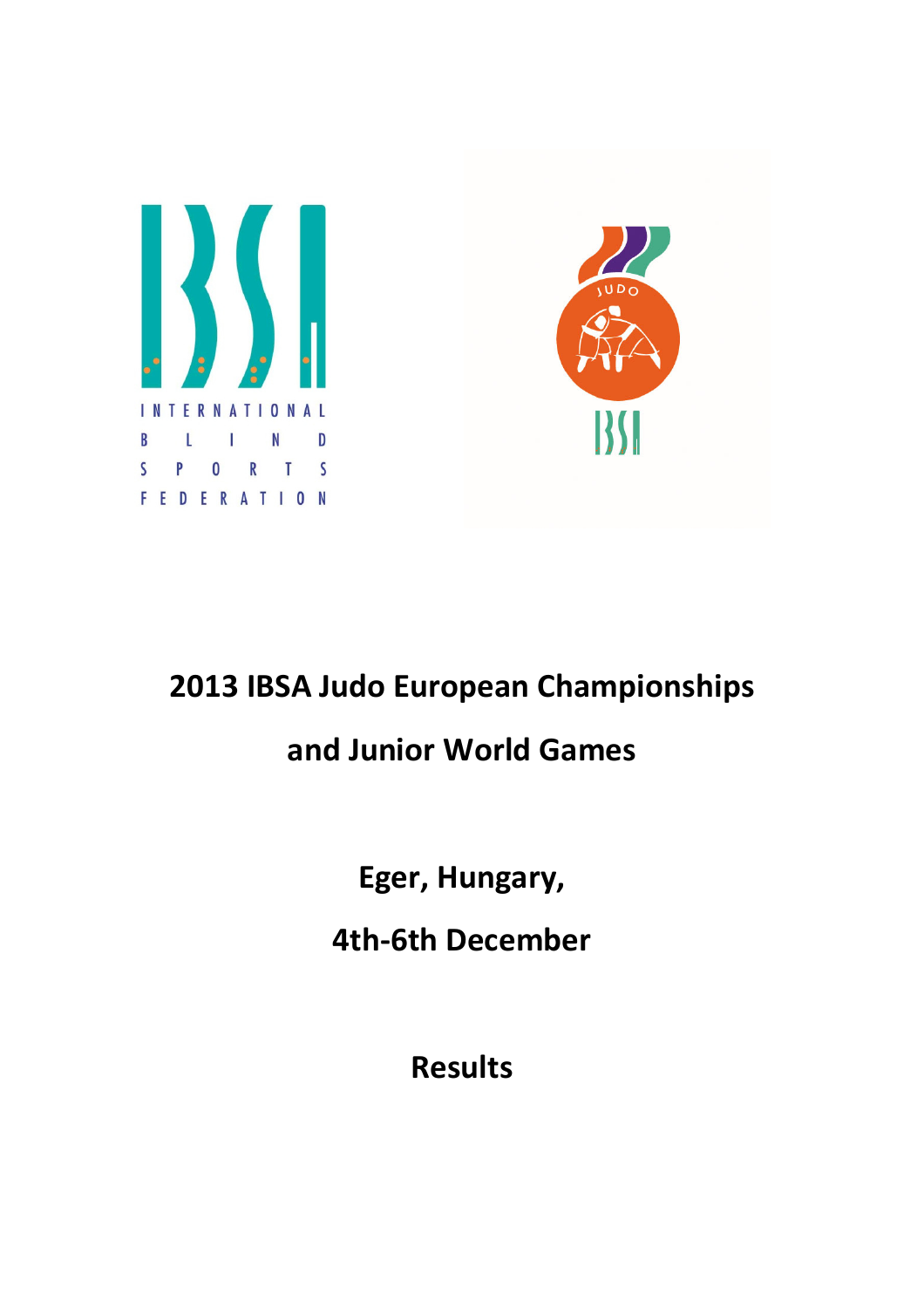



## 2013 IBSA Judo European Championships

## and Junior World Games

Eger, Hungary,

4th-6th December

Results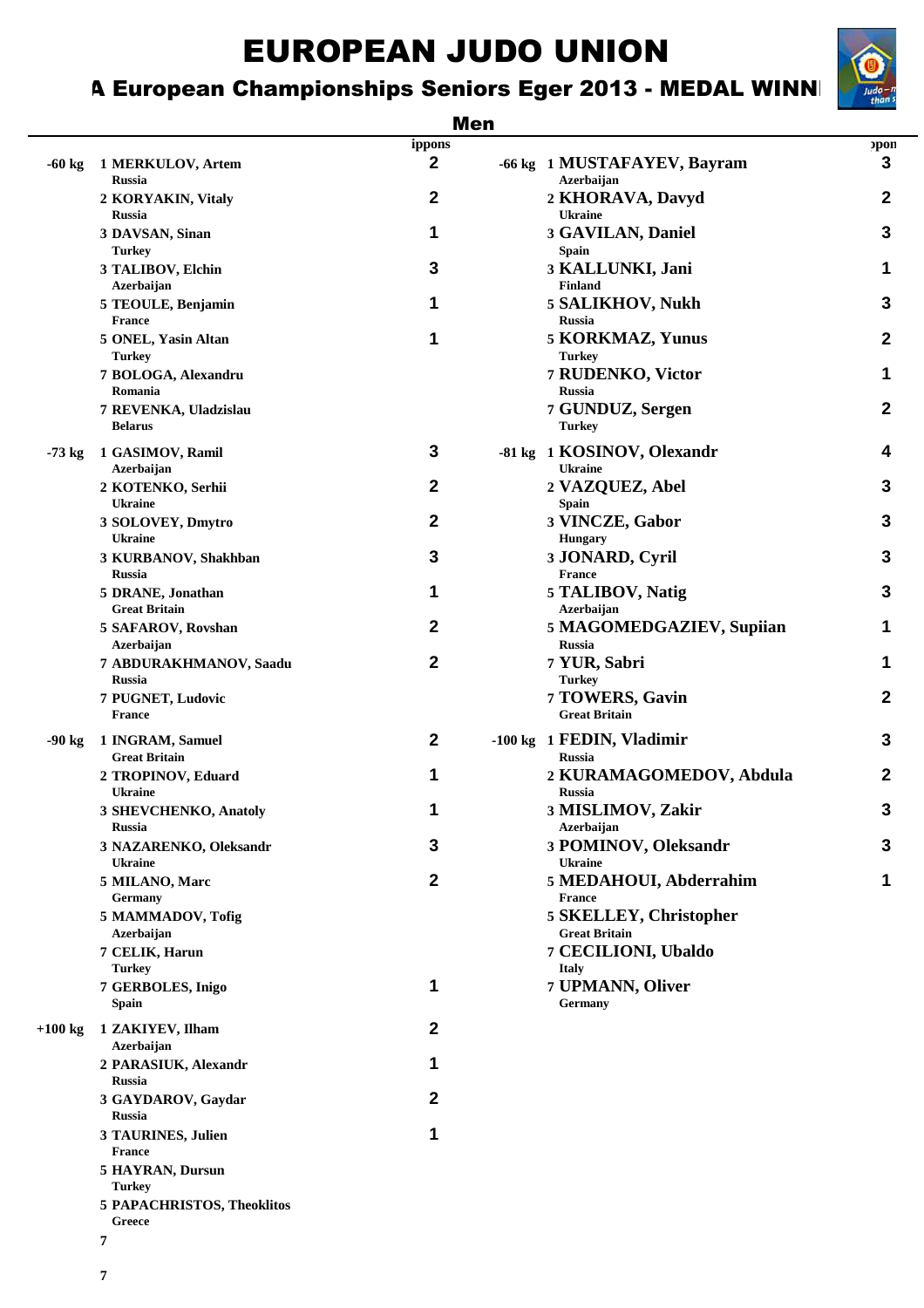## A European Championships Seniors Eger 2013 - MEDAL WINN

#### Men

| $-60$ kg  | 1 MERKULOV, Artem                                 | ippons<br>$\mathbf{2}$ | -66 kg 1 MUSTAFAYEV, Bayram                        | pon<br>3         |
|-----------|---------------------------------------------------|------------------------|----------------------------------------------------|------------------|
|           | <b>Russia</b><br>2 KORYAKIN, Vitaly               | $\boldsymbol{2}$       | Azerbaijan<br>2 KHORAVA, Davyd                     | $\mathbf{2}$     |
|           | Russia<br>3 DAVSAN, Sinan                         | 1                      | <b>Ukraine</b><br>3 GAVILAN, Daniel                | $\mathbf{3}$     |
|           | <b>Turkey</b><br>3 TALIBOV, Elchin                | 3                      | <b>Spain</b><br>3 KALLUNKI, Jani<br><b>Finland</b> | 1                |
|           | Azerbaijan<br>5 TEOULE, Benjamin<br><b>France</b> | 1                      | 5 SALIKHOV, Nukh<br><b>Russia</b>                  | 3                |
|           | 5 ONEL, Yasin Altan<br><b>Turkey</b>              | 1                      | 5 KORKMAZ, Yunus<br><b>Turkey</b>                  | $\mathbf{2}$     |
|           | 7 BOLOGA, Alexandru<br>Romania                    |                        | 7 RUDENKO, Victor<br><b>Russia</b>                 | 1                |
|           | 7 REVENKA, Uladzislau<br><b>Belarus</b>           |                        | 7 GUNDUZ, Sergen<br><b>Turkey</b>                  | $\boldsymbol{2}$ |
| $-73$ kg  | 1 GASIMOV, Ramil<br>Azerbaijan                    | 3                      | -81 kg 1 KOSINOV, Olexandr<br><b>Ukraine</b>       | 4                |
|           | 2 KOTENKO, Serhii<br><b>Ukraine</b>               | $\boldsymbol{2}$       | 2 VAZQUEZ, Abel<br><b>Spain</b>                    | 3                |
|           | 3 SOLOVEY, Dmytro<br><b>Ukraine</b>               | $\mathbf{2}$           | 3 VINCZE, Gabor<br><b>Hungary</b>                  | 3                |
|           | 3 KURBANOV, Shakhban<br><b>Russia</b>             | 3                      | 3 JONARD, Cyril<br><b>France</b>                   | $\mathbf{3}$     |
|           | 5 DRANE, Jonathan<br><b>Great Britain</b>         | 1                      | 5 TALIBOV, Natig<br>Azerbaijan                     | 3                |
|           | 5 SAFAROV, Rovshan<br>Azerbaijan                  | 2                      | 5 MAGOMEDGAZIEV, Supiian<br><b>Russia</b>          | 1                |
|           | 7 ABDURAKHMANOV, Saadu<br><b>Russia</b>           | $\boldsymbol{2}$       | 7 YUR, Sabri<br><b>Turkey</b>                      | 1                |
|           | 7 PUGNET, Ludovic<br><b>France</b>                |                        | 7 TOWERS, Gavin<br><b>Great Britain</b>            | $\boldsymbol{2}$ |
| $-90$ kg  | 1 INGRAM, Samuel<br><b>Great Britain</b>          | $\boldsymbol{2}$       | -100 kg 1 FEDIN, Vladimir<br><b>Russia</b>         | 3                |
|           | 2 TROPINOV, Eduard<br><b>Ukraine</b>              | 1                      | 2 KURAMAGOMEDOV, Abdula<br><b>Russia</b>           | $\mathbf{2}$     |
|           | 3 SHEVCHENKO, Anatoly<br>Russia                   | 1                      | 3 MISLIMOV, Zakir<br>Azerbaijan                    | $\mathbf{3}$     |
|           | 3 NAZARENKO, Oleksandr<br><b>Ukraine</b>          | 3                      | 3 POMINOV, Oleksandr<br><b>Ukraine</b>             | 3                |
|           | 5 MILANO, Marc<br>Germany                         | $\boldsymbol{2}$       | 5 MEDAHOUI, Abderrahim<br><b>France</b>            | 1                |
|           | 5 MAMMADOV, Tofig<br><b>Azerbaijan</b>            |                        | 5 SKELLEY, Christopher<br><b>Great Britain</b>     |                  |
|           | 7 CELIK, Harun<br><b>Turkey</b>                   |                        | 7 CECILIONI, Ubaldo<br><b>Italy</b>                |                  |
|           | 7 GERBOLES, Inigo<br><b>Spain</b>                 | 1                      | 7 UPMANN, Oliver<br>Germany                        |                  |
| $+100$ kg | 1 ZAKIYEV, Ilham<br>Azerbaijan                    | $\boldsymbol{2}$       |                                                    |                  |
|           | 2 PARASIUK, Alexandr<br>Russia                    | 1                      |                                                    |                  |
|           | 3 GAYDAROV, Gaydar<br><b>Russia</b>               | $\boldsymbol{2}$       |                                                    |                  |
|           | 3 TAURINES, Julien<br><b>France</b>               | 1                      |                                                    |                  |
|           | <b>5 HAYRAN, Dursun</b><br><b>Turkey</b>          |                        |                                                    |                  |
|           | 5 PAPACHRISTOS, Theoklitos<br>Greece              |                        |                                                    |                  |
|           | 7                                                 |                        |                                                    |                  |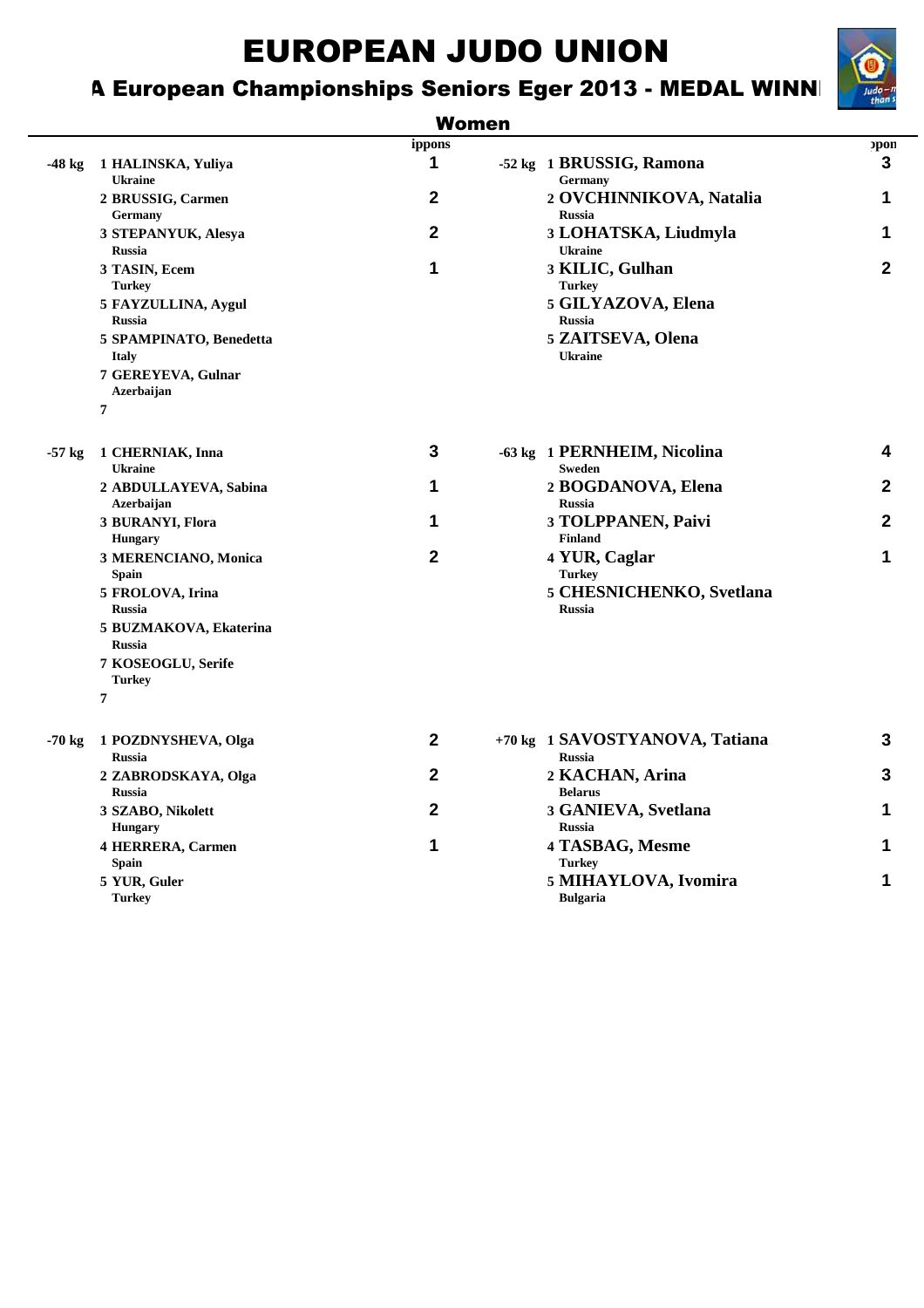## A European Championships Seniors Eger 2013 - MEDAL WINN



|          |                                                                                  | <b>Women</b> |                                                                         |              |
|----------|----------------------------------------------------------------------------------|--------------|-------------------------------------------------------------------------|--------------|
|          |                                                                                  | ippons       |                                                                         | opon         |
| -48 kg   | 1 HALINSKA, Yuliya<br><b>Ukraine</b>                                             | 1            | -52 kg 1 BRUSSIG, Ramona<br>Germany                                     | 3            |
|          | 2 BRUSSIG, Carmen<br><b>Germany</b>                                              | $\mathbf{2}$ | 2 OVCHINNIKOVA, Natalia<br><b>Russia</b>                                | 1            |
|          | 3 STEPANYUK, Alesya<br><b>Russia</b>                                             | $\mathbf{2}$ | 3 LOHATSKA, Liudmyla<br><b>Ukraine</b>                                  | 1            |
|          | 3 TASIN, Ecem<br><b>Turkey</b><br>5 FAYZULLINA, Aygul<br><b>Russia</b>           | 1            | 3 KILIC, Gulhan<br><b>Turkey</b><br>5 GILYAZOVA, Elena<br><b>Russia</b> | $\mathbf{2}$ |
|          | 5 SPAMPINATO, Benedetta<br><b>Italy</b><br>7 GEREYEVA, Gulnar<br>Azerbaijan<br>7 |              | 5 ZAITSEVA, Olena<br><b>Ukraine</b>                                     |              |
| $-57$ kg | 1 CHERNIAK, Inna                                                                 | 3            | -63 kg 1 PERNHEIM, Nicolina                                             | 4            |
|          | <b>Ukraine</b><br>2 ABDULLAYEVA, Sabina<br>Azerbaijan                            | 1            | <b>Sweden</b><br>2 BOGDANOVA, Elena<br><b>Russia</b>                    | $\mathbf{2}$ |
|          | 3 BURANYI, Flora<br><b>Hungary</b>                                               | 1            | 3 TOLPPANEN, Paivi<br><b>Finland</b>                                    | $\mathbf{2}$ |
|          | 3 MERENCIANO, Monica<br>Spain                                                    | $\mathbf{2}$ | 4 YUR, Caglar<br><b>Turkey</b>                                          | 1            |
|          | 5 FROLOVA, Irina<br><b>Russia</b><br>5 BUZMAKOVA, Ekaterina<br><b>Russia</b>     |              | 5 CHESNICHENKO, Svetlana<br><b>Russia</b>                               |              |
|          | 7 KOSEOGLU, Serife<br><b>Turkey</b><br>$\overline{7}$                            |              |                                                                         |              |
| $-70$ kg | 1 POZDNYSHEVA, Olga<br><b>Russia</b>                                             | $\mathbf{2}$ | +70 kg 1 SAVOSTYANOVA, Tatiana<br><b>Russia</b>                         | 3            |
|          | 2 ZABRODSKAYA, Olga<br><b>Russia</b>                                             | 2            | 2 KACHAN, Arina<br><b>Belarus</b>                                       | 3            |
|          | 3 SZABO, Nikolett<br><b>Hungary</b>                                              | 2            | 3 GANIEVA, Svetlana<br><b>Russia</b>                                    | 1            |
|          |                                                                                  |              | $\sim$ $\sim$ $\sim$ $\sim$                                             |              |

**Spain Turkey**

## **4 HERRERA, Carmen 1 4 TASBAG, Mesme 1 5 YUR, Guler 5 MIHAYLOVA, Ivomira 1 Bulgaria**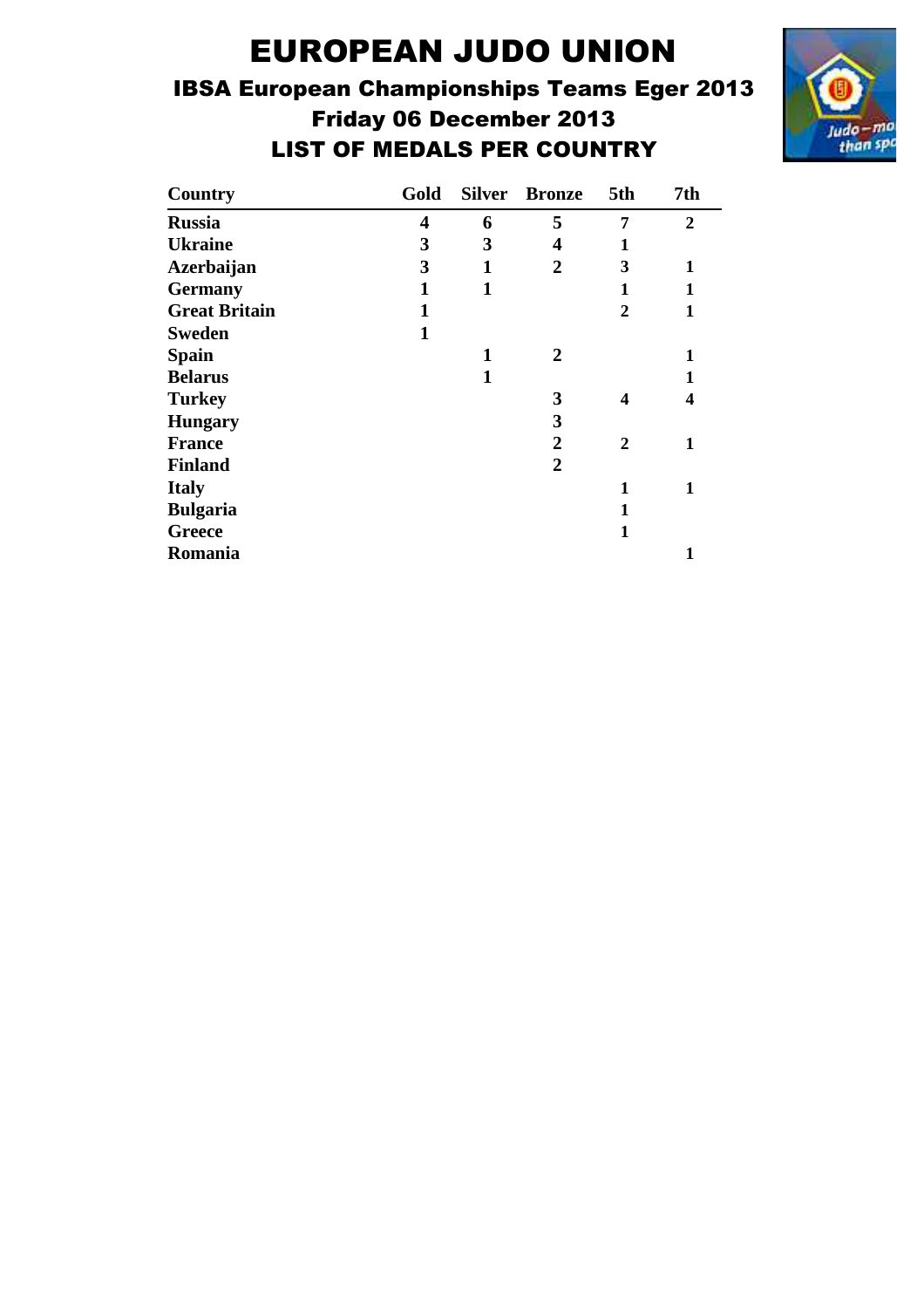## IBSA European Championships Teams Eger 2013 Friday 06 December 2013 LIST OF MEDALS PER COUNTRY



| Country              | Gold                    |              | <b>Silver Bronze</b>    | 5th            | 7th            |
|----------------------|-------------------------|--------------|-------------------------|----------------|----------------|
| <b>Russia</b>        | $\overline{\mathbf{4}}$ | 6            | 5                       | 7              | $\overline{2}$ |
| <b>Ukraine</b>       | 3                       | 3            | $\overline{\mathbf{4}}$ | 1              |                |
| <b>Azerbaijan</b>    | 3                       | 1            | $\overline{2}$          | 3              | 1              |
| <b>Germany</b>       | $\mathbf{1}$            | $\mathbf{1}$ |                         | 1              | 1              |
| <b>Great Britain</b> | 1                       |              |                         | $\overline{2}$ | $\mathbf{1}$   |
| <b>Sweden</b>        | $\mathbf{1}$            |              |                         |                |                |
| <b>Spain</b>         |                         | 1            | 2                       |                | 1              |
| <b>Belarus</b>       |                         | 1            |                         |                | $\mathbf{1}$   |
| <b>Turkey</b>        |                         |              | 3                       | 4              | 4              |
| <b>Hungary</b>       |                         |              | 3                       |                |                |
| <b>France</b>        |                         |              | $\overline{2}$          | $\mathbf{2}$   | 1              |
| <b>Finland</b>       |                         |              | $\overline{2}$          |                |                |
| <b>Italy</b>         |                         |              |                         | 1              | 1              |
| <b>Bulgaria</b>      |                         |              |                         | 1              |                |
| Greece               |                         |              |                         | 1              |                |
| <b>Romania</b>       |                         |              |                         |                | 1              |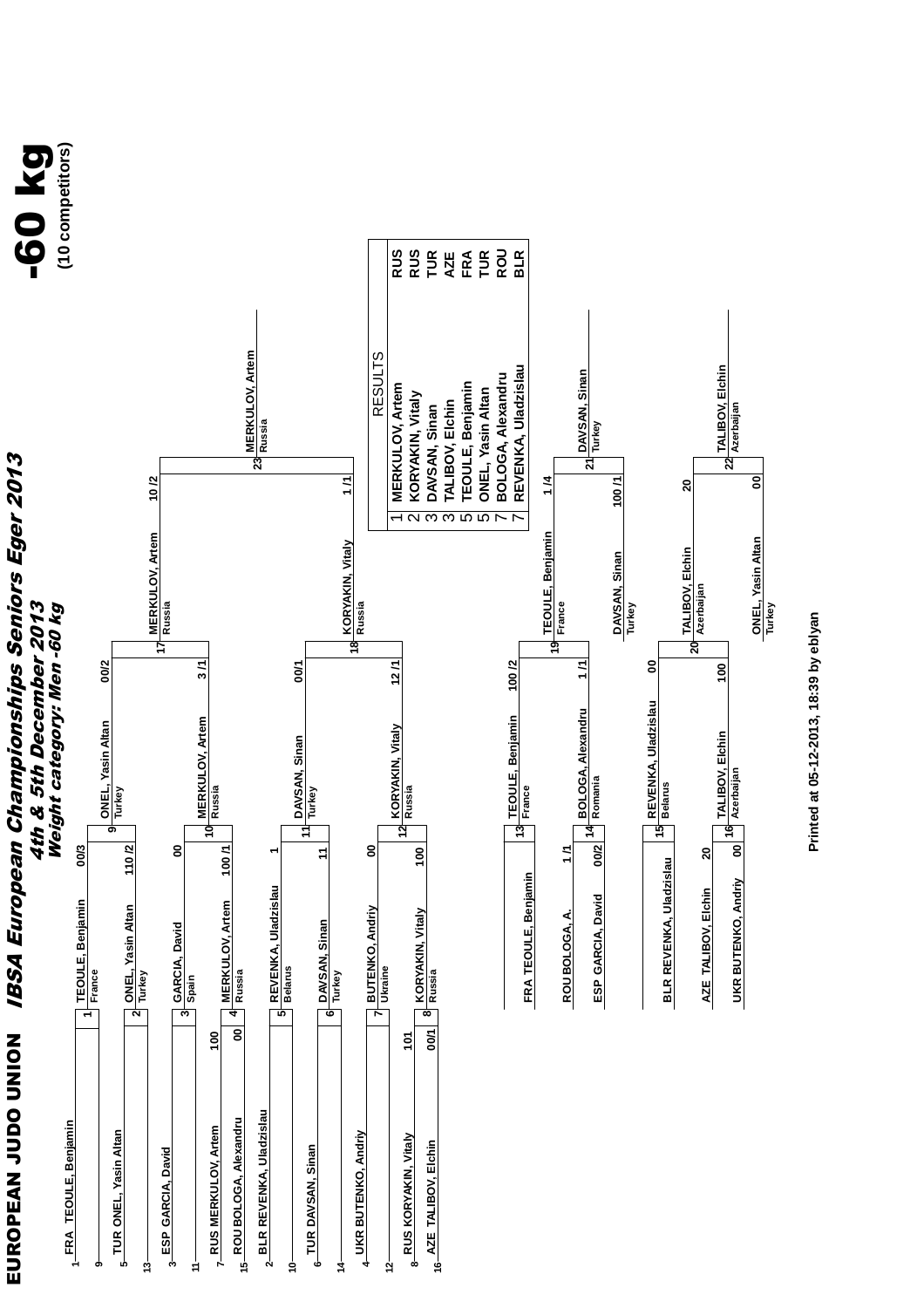

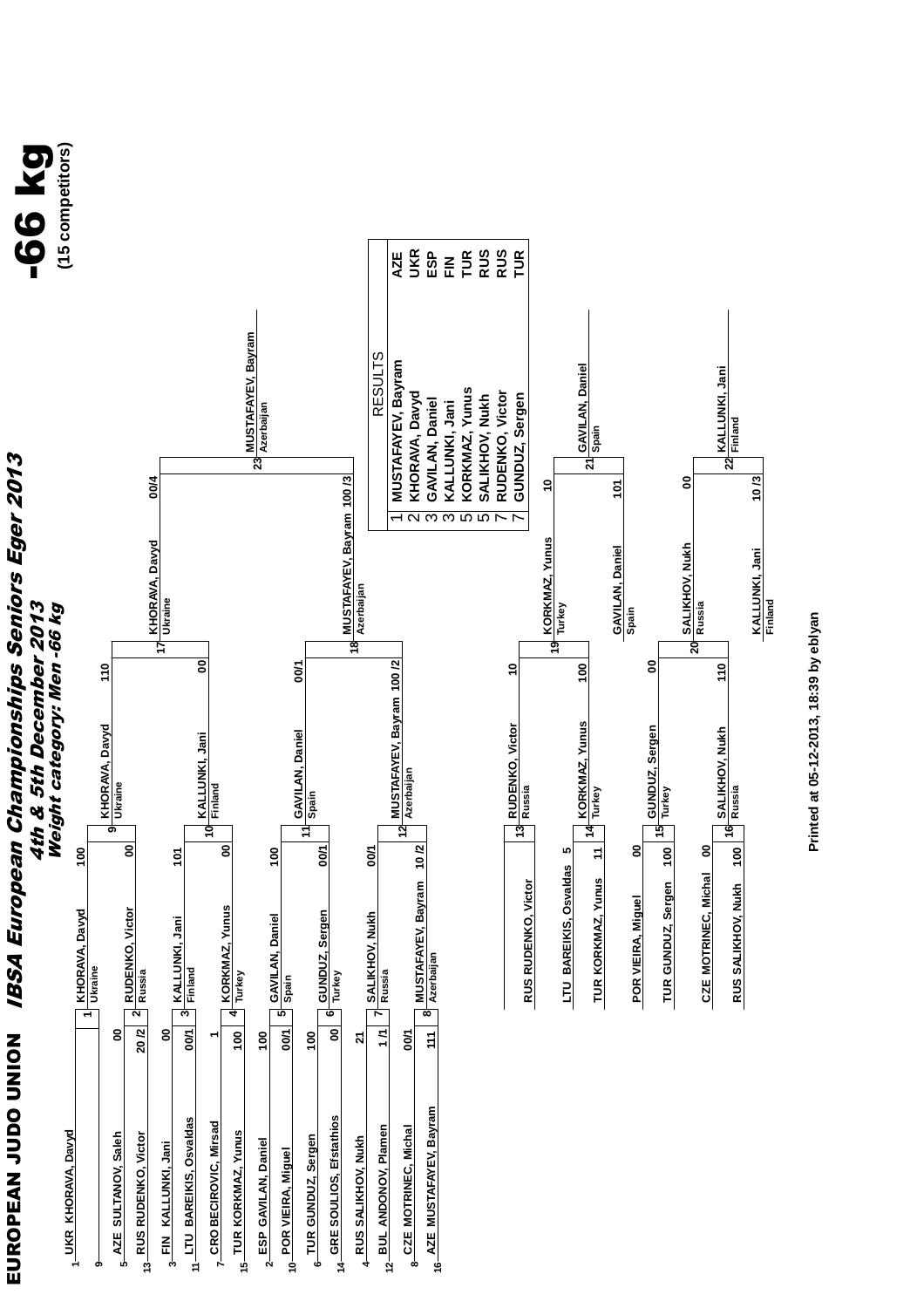



Printed at 05-12-2013, 18:39 by eblyan **Printed at 05-12-2013, 18:39 by eblyan**

**KALLUNKI, Jani KALLUNKI, Jani**<br>Finland

 **10 /3**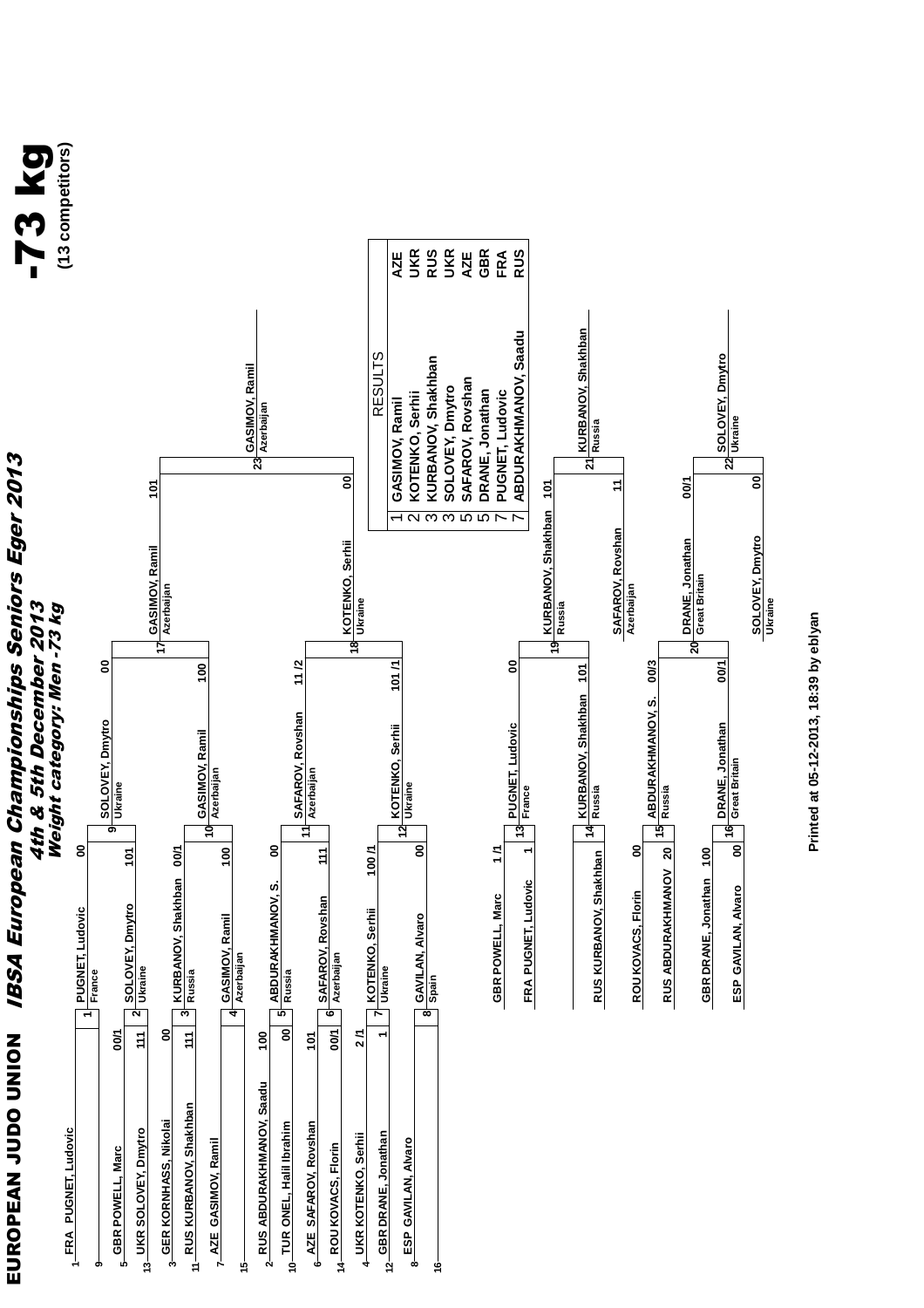

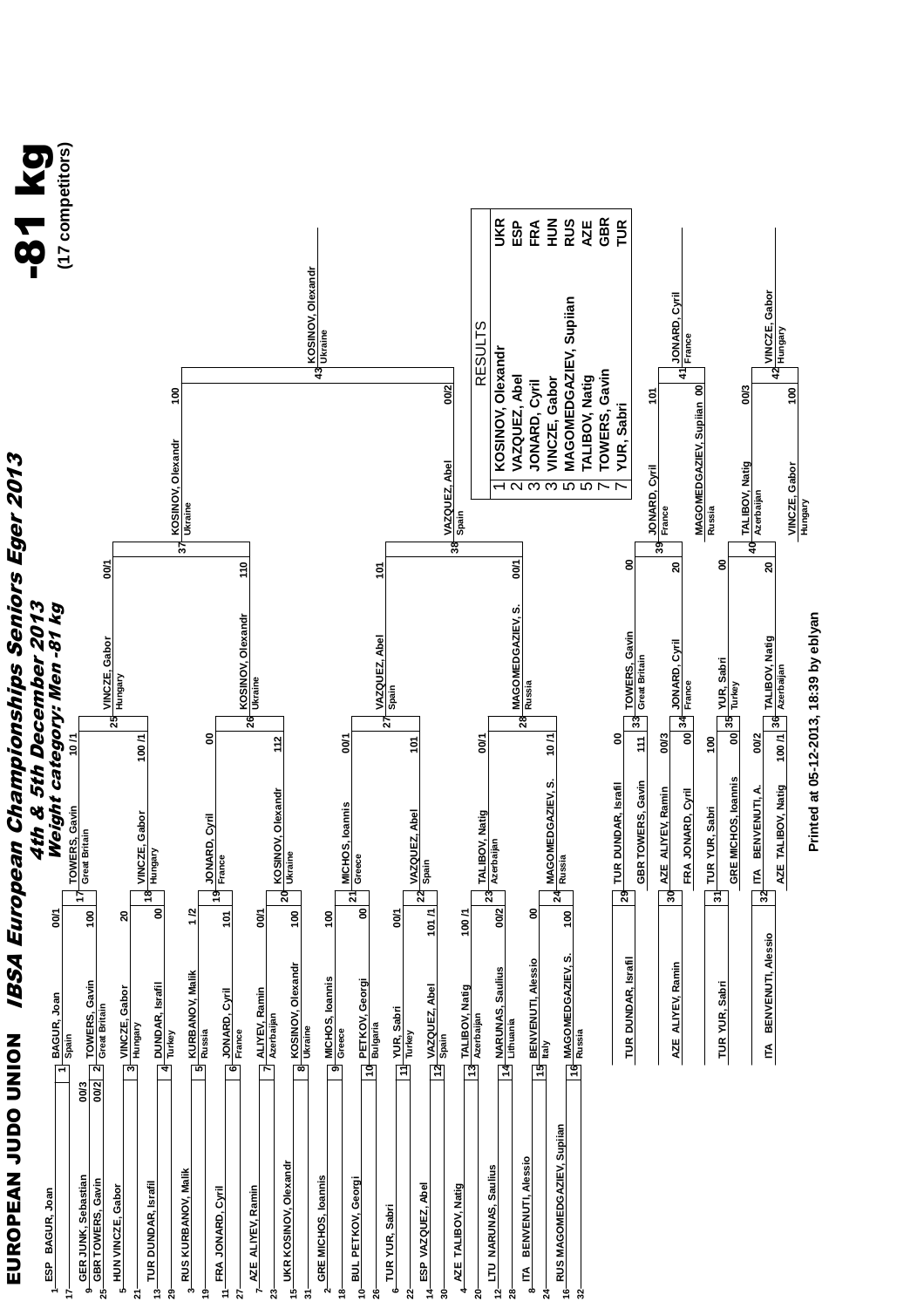

Printed at 05-12-2013, 18:39 by eblyan **Printed at 05-12-2013, 18:39 by eblyan**

**AZE ALIYEV, Ramin 30**

AZE ALIYEV, Ramin

**AZE ALIYEV, Ramin**

30 AZE ALIYEV, Ramin FRA JONARD, Cyril  $\sqrt{31}$  TUR YUR, Sabri

 **00/3 00**

**JONARD, Cyril France**

**39**

**JONARD, Cyril France**

 $\boldsymbol{\xi}$ 

 **20** 

**FRA JONARD, Cyril 34**

**TUR YUR, Sabri**

**100 00**

**YUR, Sabri Turkey**

 **00**

**Russia**

**MAGOMEDGAZIEV, Supiian**

 **00**

**41**

**JONARD, Cyril** JONARD, Cyril<br>France

**GRE MICHOS, Ioannis 35**

GRE MICHOS, Ioannis

**ITA BENVENUTI, A.**

 $32$   $\overline{BA}$  BENVENUTI, A

 **00/2 100 /1**

**40**

**TALIBOV, Natig Azerbaijan**

 **00/3**

 **20** 

**VINCZE, Gabor Hungary**

**42**

**VINCZE, Gabor Hungary**

**100** 

**TALIBOV, Natig Azerbaijan**

**AZE TALIBOV, Natig 36**

AZE TALIBOV, Natig

**TUR YUR, Sabri 31**

TUR YUR, Sabri

**ITA BENVENUTI, Alessio 32**

ITA BENVENUTI, Alessio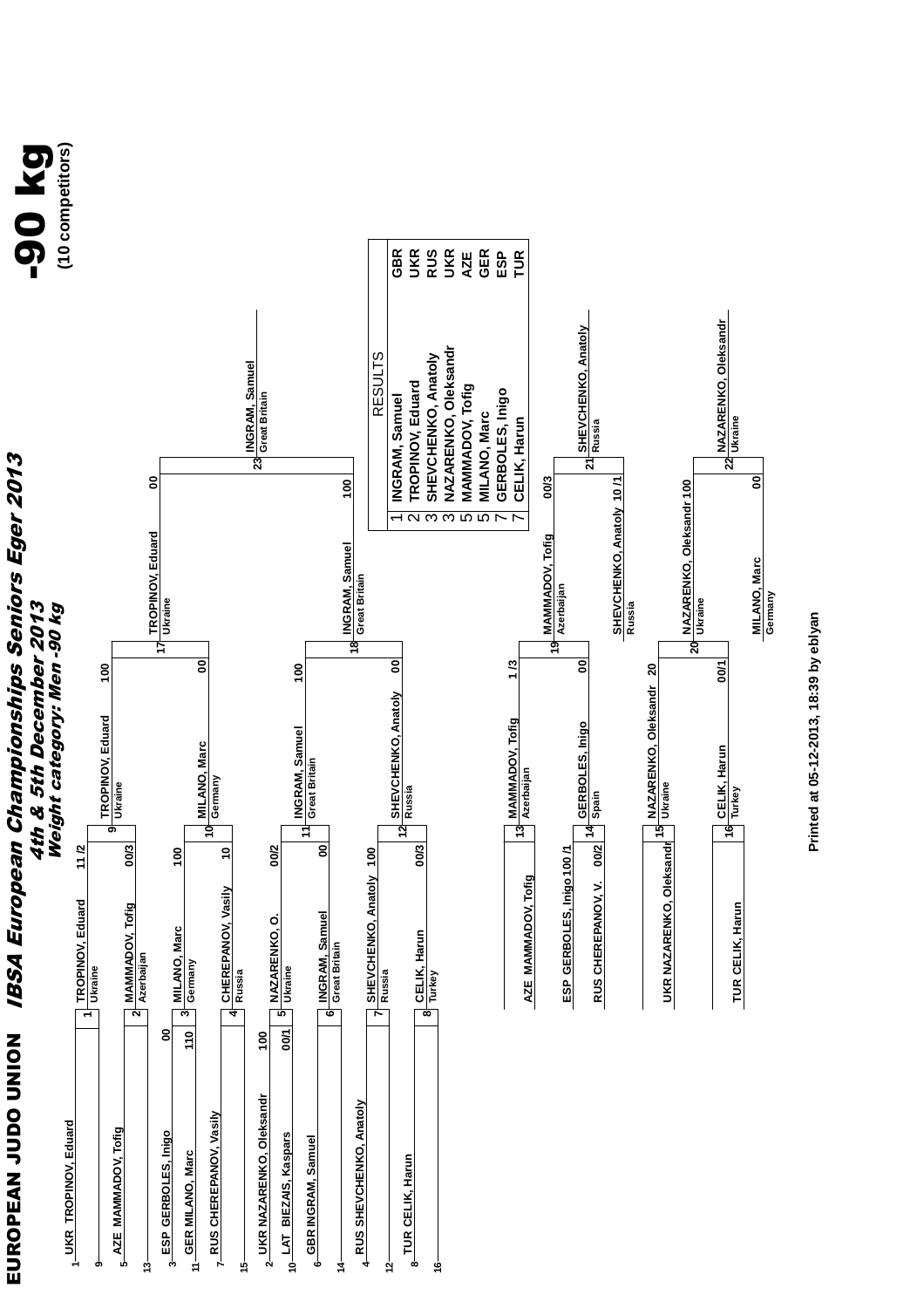

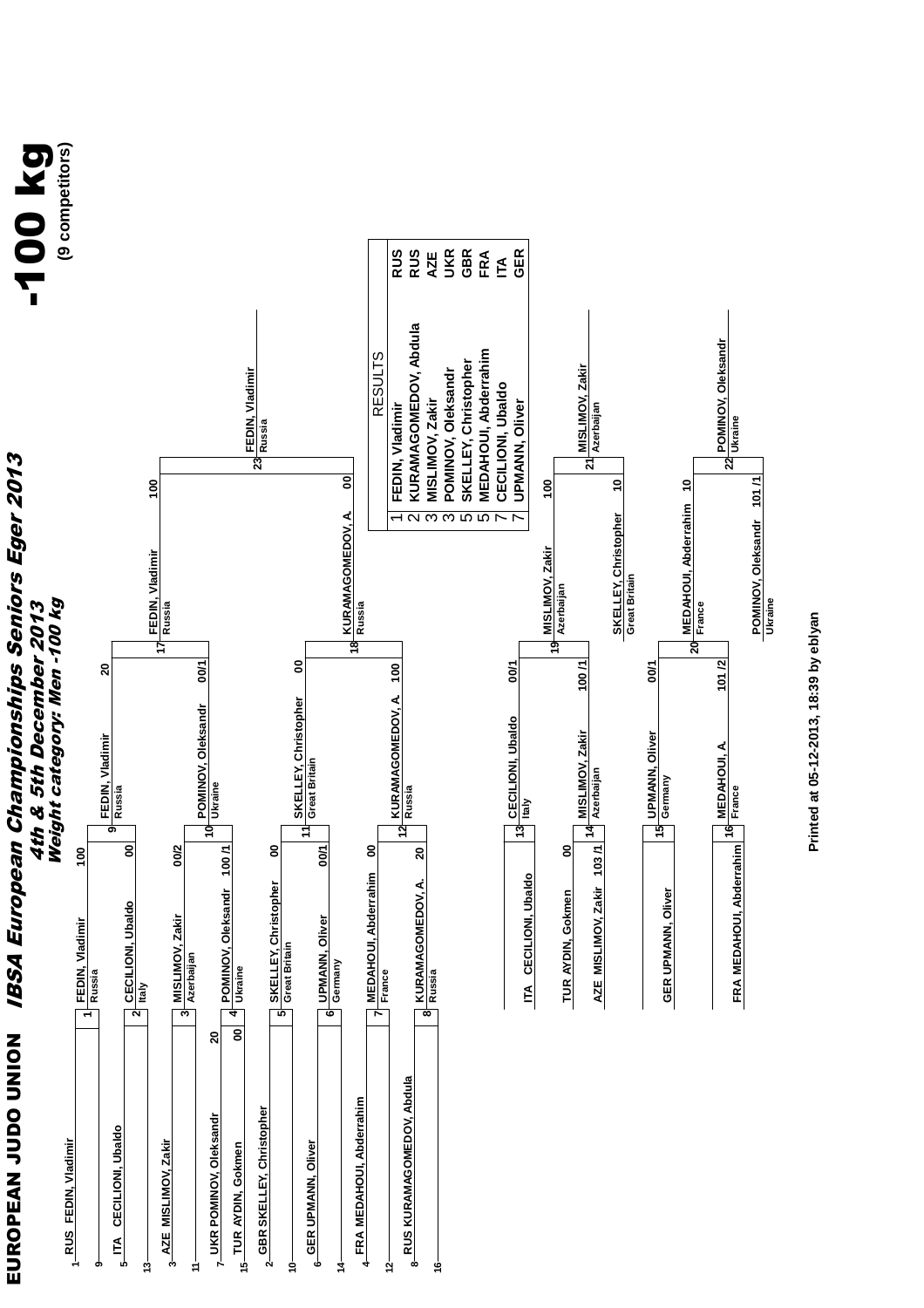**SSSER**<br>SSSER GBR<br>FRA<br>GER **SKELLEY, Christopher GBR FEDIN, Vladimir RUS KURAMAGOMEDOV, Abdula RUS POMINOV, Oleksandr UKR MEDAHOUI, Abderrahim FRA UPMANN, Oliver GER MISLIMOV, Zakir AZE CECILIONI, Ubaldo ITA** KURAMAGOMEDOV, Abdula **POMINOV, Oleksandr** MEDAHOUI, Abderrahim<br>CECILIONI, Ubaldo RESULTS<br>FEDIN. Vladimir SKELLEY, Christopher POMINOV, Oleksandr **MISLIMOV, Zakir FEDIN, Vladimir** MISLIMOV, Zakir **UPMANN, Oliver Azerbaijan Ukraine Russia IBSA European Championships Seniors Eger 2013** EUROPEAN JUDO UNION IBSA European Championships Seniors Eger 2013 **23** ี<br>2 ম  **00 10 100 100 10 101 /1 MEDAHOUI, Abderrahim** KURAMAGOMEDOV, A.<br>Russia **SKELLEY, Christopher**<br>Great Britain **KURAMAGOMEDOV, A. SKELLEY, Christopher**  $\alpha$   $\alpha$   $\alpha$   $\alpha$   $\alpha$  $\check{ }$  $\overline{\phantom{0}}$ **POMINOV, Oleksandr Azerbaijan MISLIMOV, Zakir FEDIN, Vladimir** 4th & 5th December 2013<br>Weight category: Men -100 kg Weight category: Men -100 kg **Ukraine** 4th & 5th December 2013 **Russia France** <u>হ্ন</u> <u>ক</u> **17 20 00/1 00 100 /1 101 /2 20 100 00/1 00/1 KURAMAGOMEDOV, A. SKELLEY, Christopher** POMINOV, Oleksandr<br>Ukraine **POMINOV, Oleksandr CECILIONI**, Ubaldo<br>Italy **CECILIONI, Ubaldo MISLIMOV, Zakir UPMANN, Oliver**<br>Germany **UPMANN, Oliver FEDIN, Vladimir FRA MEDAHOUI, Abderrahim 16 France**<br>FRA MEDAHOUI, Abderrahim 16 France **MEDAHOUI, A. Great Britain Azerbaijan Russia Russia 12**  $\frac{1}{2}$  $\frac{1}{2}$ **9** ុ្ត 11 **ITA CECILIONI, Ubaldo 13 AZE MISLIMOV, Zakir 14 GER UPMANN, Oliver 15 FRA MEDAHOUI, Abderrahim 16** <u>ទ</u> **POMINOV, Oleksandr** 100/1  **00 00/1 00 20 100 00/2 00 103 /1 MEDAHOUI, Abderrahim** ITA CECILIONI, Ubaldo **MEDAHOUI, Abderrahim KURAMAGOMEDOV, A. SKELLEY, Christopher** TUR AYDIN, Gokmen **GER UPMANN, Oliver POMINOV, Oleksandr TUR AYDIN, Gokmen CECILIONI, Ubaldo**<br>Italy **CECILIONI, Ubaldo MISLIMOV, Zakir**<br><sup>3</sup> Azerbaijan **MISLIMOV, Zakir UPMANN, Oliver FEDIN, Vladimir<br>Russia FEDIN, Vladimir Great Britain Germany Ukraine France Russia 3245 6 8 1 20**  8| EUROPEAN JUDO UNION **RUS KURAMAGOMEDOV, Abdula RUS KURAMAGOMEDOV, Abdula FRA MEDAHOUI, Abderrahim FRA MEDAHOUI, Abderrahim 2GBR SKELLEY, Christopher** 7-UKR POMINOV, Oleksandr **UKR POMINOV, Oleksandr ITA CECILIONI, Ubaldo** 1 RUS FEDIN, Vladimir **RUS FEDIN, Vladimir** 3 AZE MISLIMOV, Zakir **6** GER UPMANN, Oliver **AZE MISLIMOV, Zakir GER UPMANN, Oliver TUR AYDIN, Gokmen 14 13 10 12 16 9 5 15 11**

Printed at 05-12-2013, 18:39 by eblyan **Printed at 05-12-2013, 18:39 by eblyan**

-100 kg **(9 competitors)**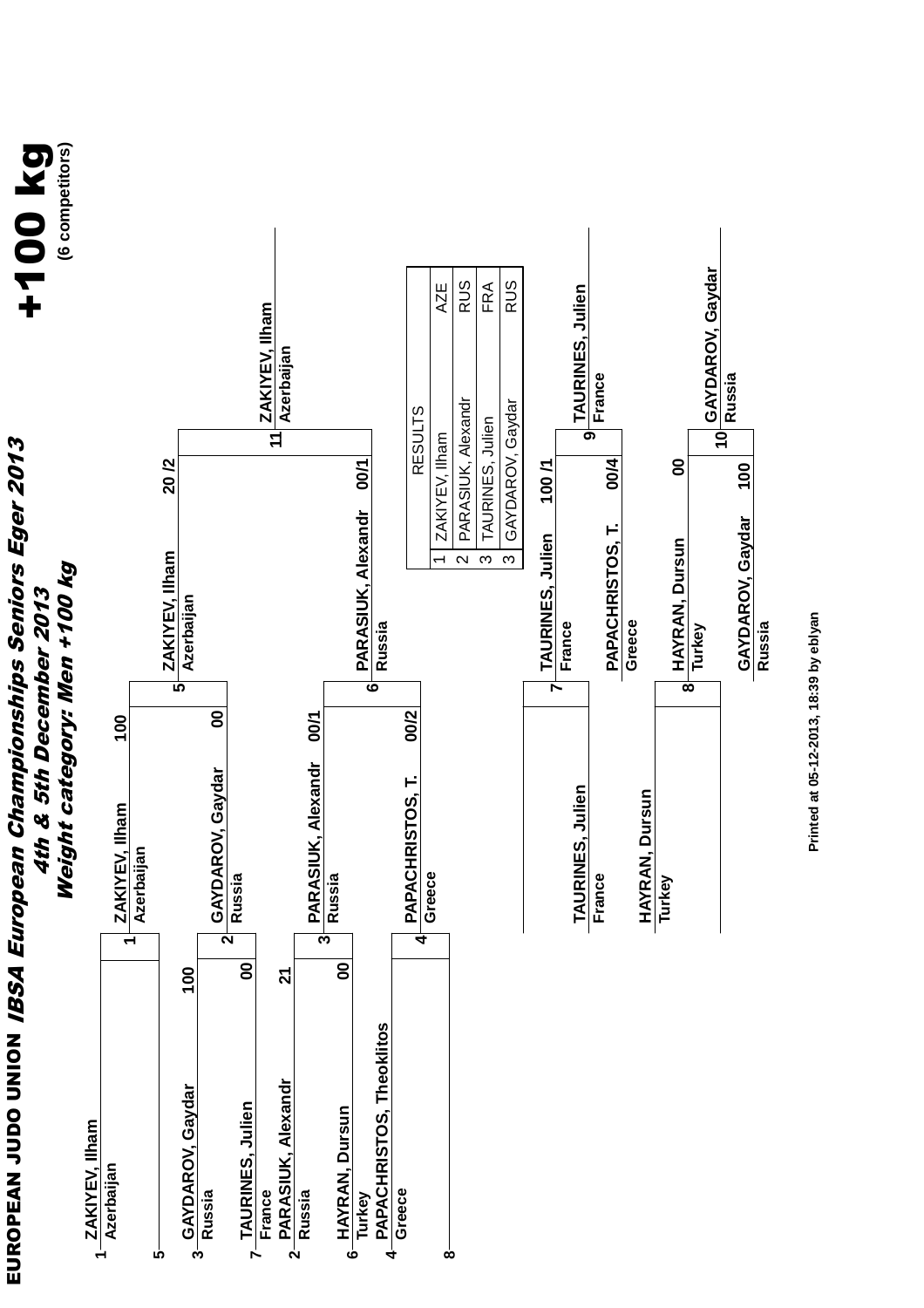**EUROPEAN JUDO UNIOM** *IBSA European Championships Seniors Eger 2013* EUROPEAN JUDO UNION IBSA European Championships Seniors Eger 2013 4th & 5th December 2013 4th & 5th December 2013



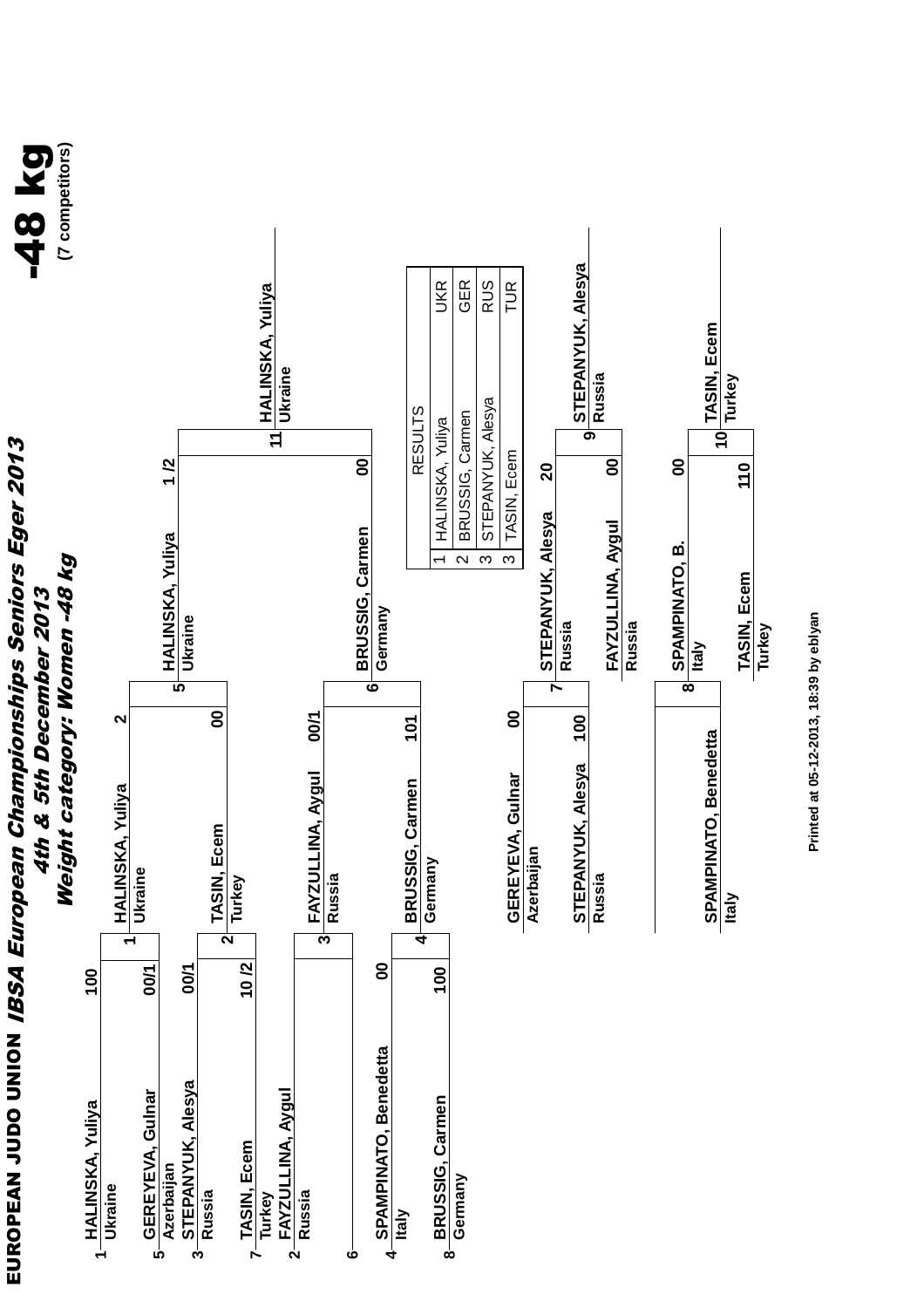**EUROPEAN JUDO UNIOM** *IBSA European Championships Seniors Eger 2013* EUROPEAN JUDO UNION IBSA European Championships Seniors Eger 2013 4th & 5th December 2013



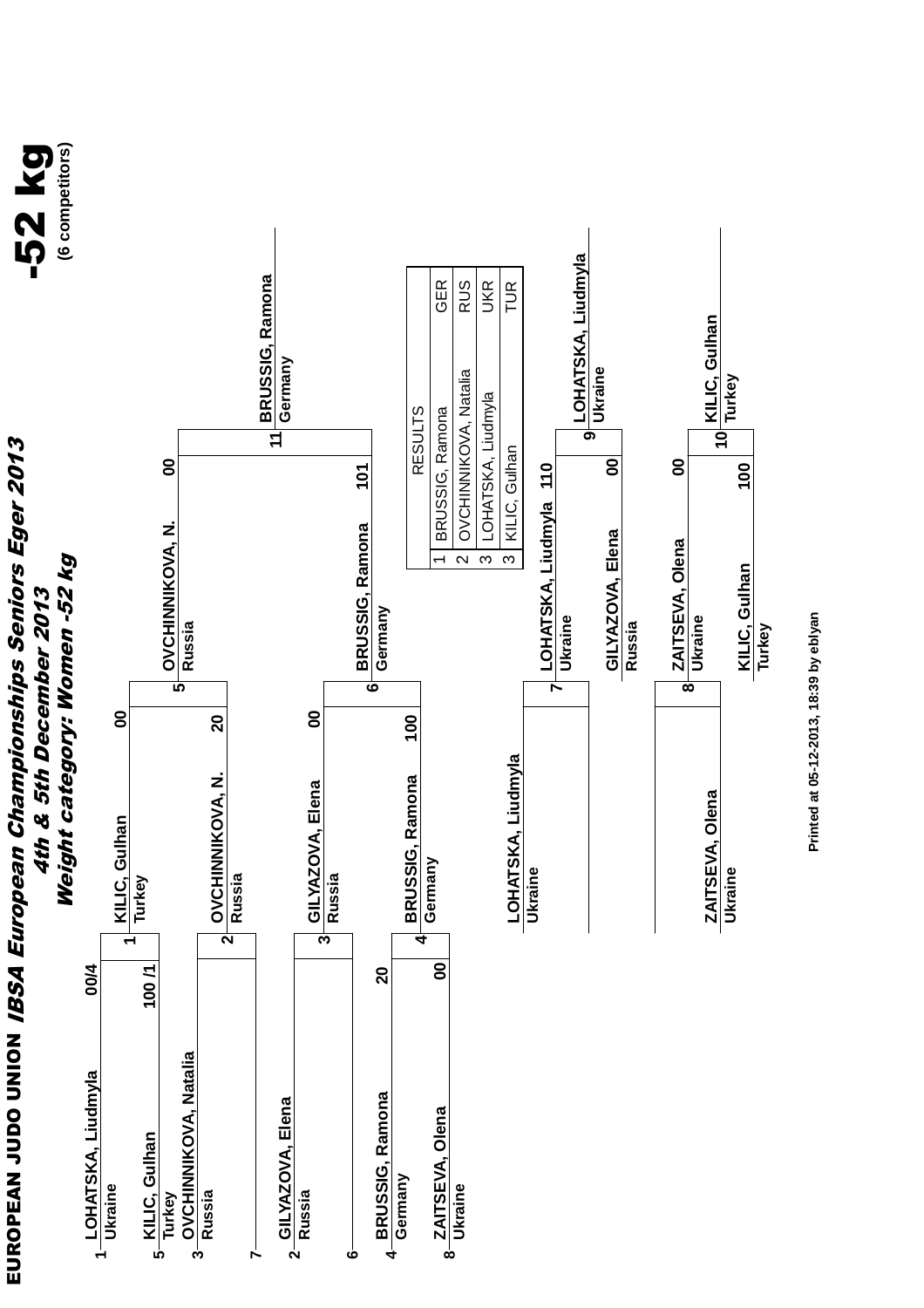**EUROPEAN JUDO UNIOM** *IBSA European Championships Seniors Eger 2013* EUROPEAN JUDO UNION IBSA European Championships Seniors Eger 2013 4th & 5th December 2013 4th & 5th December 2013



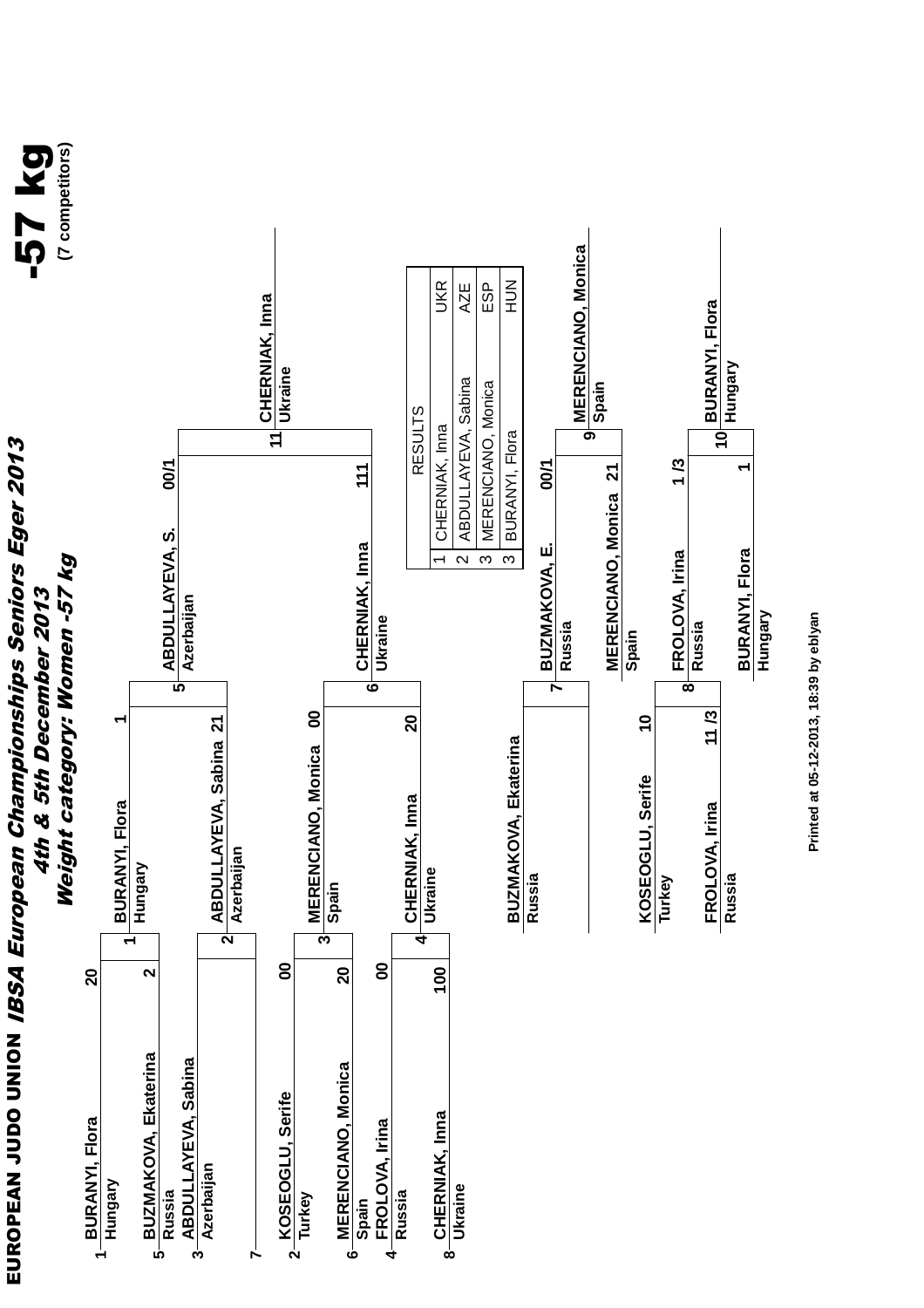**EUROPEAN JUDO UNIOM** *IBSA European Championships Seniors Eger 2013* EUROPEAN JUDO UNION IBSA European Championships Seniors Eger 2013 4th & 5th December 2013

![](_page_13_Picture_1.jpeg)

![](_page_13_Figure_2.jpeg)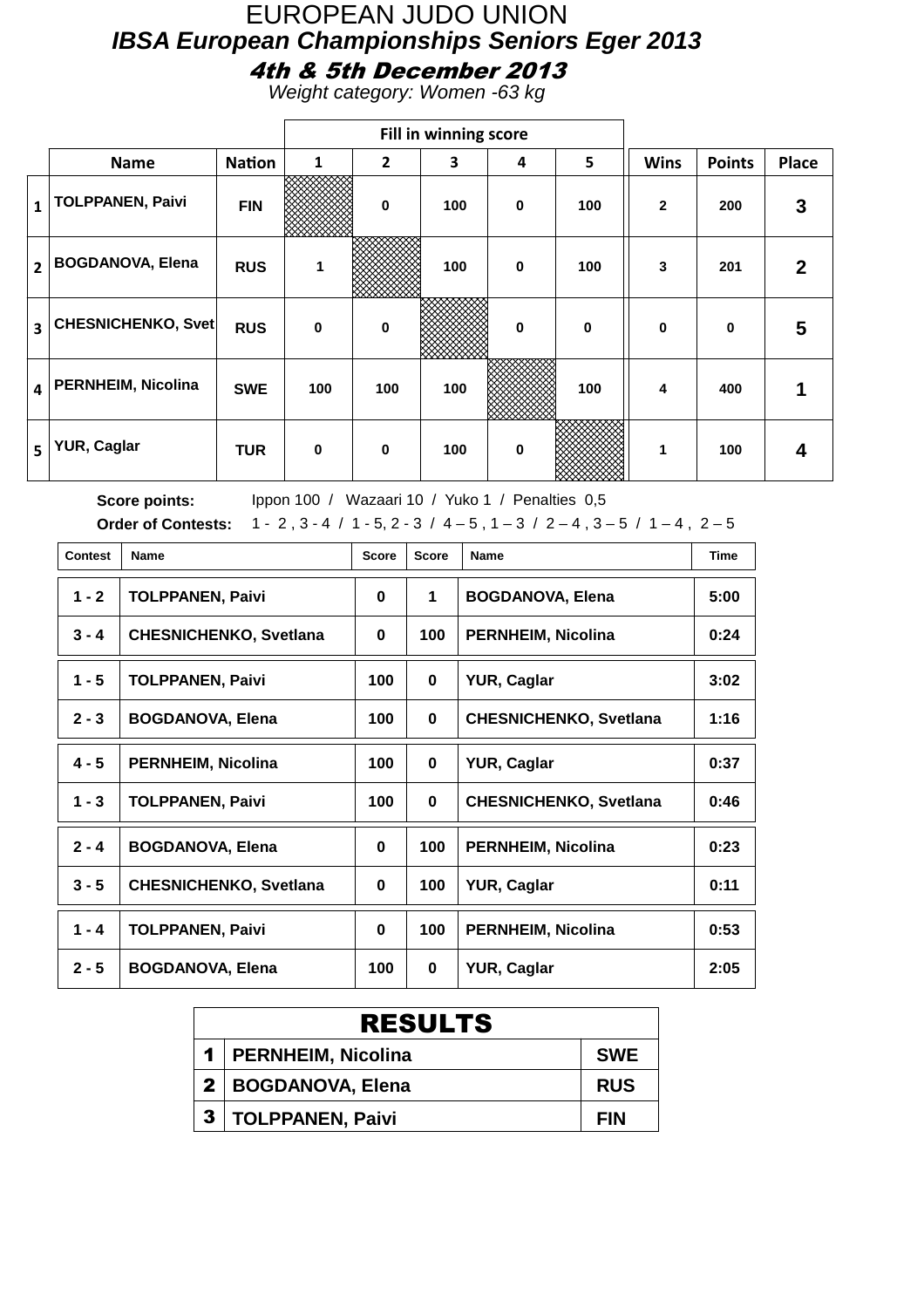#### EUROPEAN JUDO UNION **IBSA European Championships Seniors Eger 2013** 4th & 5th December 2013

Weight category: Women -63 kg

|                         |                           |               |             |              | Fill in winning score |   |             |              |               |              |
|-------------------------|---------------------------|---------------|-------------|--------------|-----------------------|---|-------------|--------------|---------------|--------------|
|                         | <b>Name</b>               | <b>Nation</b> | 1           | $\mathbf{2}$ | 3                     | 4 | 5           | <b>Wins</b>  | <b>Points</b> | <b>Place</b> |
| $\mathbf{1}$            | <b>TOLPPANEN, Paivi</b>   | <b>FIN</b>    |             | $\bf{0}$     | 100                   | 0 | 100         | $\mathbf{2}$ | 200           | 3            |
| $\overline{2}$          | <b>BOGDANOVA, Elena</b>   | <b>RUS</b>    | 1           |              | 100                   | 0 | 100         | 3            | 201           | $\mathbf{2}$ |
| 3                       | <b>CHESNICHENKO, Svet</b> | <b>RUS</b>    | $\mathbf 0$ | $\mathbf 0$  |                       | 0 | $\mathbf 0$ | $\mathbf 0$  | $\bf{0}$      | 5            |
| $\overline{\mathbf{4}}$ | <b>PERNHEIM, Nicolina</b> | <b>SWE</b>    | 100         | 100          | 100                   |   | 100         | 4            | 400           |              |
| 5                       | YUR, Caglar               | <b>TUR</b>    | $\mathbf 0$ | $\bf{0}$     | 100                   | 0 |             |              | 100           | 4            |

| <b>Contest</b> | Name                          | <b>Score</b> | <b>Score</b> | Name                          | <b>Time</b> |
|----------------|-------------------------------|--------------|--------------|-------------------------------|-------------|
| $1 - 2$        | <b>TOLPPANEN, Paivi</b>       | $\bf{0}$     | 1            | <b>BOGDANOVA, Elena</b>       | 5:00        |
| $3 - 4$        | <b>CHESNICHENKO, Svetlana</b> | $\bf{0}$     | 100          | <b>PERNHEIM, Nicolina</b>     | 0:24        |
| $1 - 5$        | <b>TOLPPANEN, Paivi</b>       | 100          | $\mathbf{0}$ | <b>YUR, Caglar</b>            | 3:02        |
| $2 - 3$        | <b>BOGDANOVA, Elena</b>       | 100          | $\mathbf{0}$ | <b>CHESNICHENKO, Svetlana</b> | 1:16        |
| $4 - 5$        | <b>PERNHEIM, Nicolina</b>     | 100          | $\mathbf{0}$ | <b>YUR, Caglar</b>            | 0:37        |
| $1 - 3$        | <b>TOLPPANEN, Paivi</b>       | 100          | $\mathbf{0}$ | <b>CHESNICHENKO, Svetlana</b> | 0:46        |
| $2 - 4$        | <b>BOGDANOVA, Elena</b>       | $\bf{0}$     | 100          | <b>PERNHEIM, Nicolina</b>     | 0:23        |
| $3 - 5$        | <b>CHESNICHENKO, Svetlana</b> | 0            | 100          | <b>YUR, Caglar</b>            | 0:11        |
| $1 - 4$        | <b>TOLPPANEN, Paivi</b>       | $\bf{0}$     | 100          | <b>PERNHEIM, Nicolina</b>     | 0:53        |
| $2 - 5$        | <b>BOGDANOVA, Elena</b>       | 100          | $\mathbf{0}$ | <b>YUR, Caglar</b>            | 2:05        |

|              | <b>RESULTS</b>          |            |  |  |  |  |  |
|--------------|-------------------------|------------|--|--|--|--|--|
|              | 1   PERNHEIM, Nicolina  | <b>SWE</b> |  |  |  |  |  |
|              | 2   BOGDANOVA, Elena    | <b>RUS</b> |  |  |  |  |  |
| $\mathbf{3}$ | <b>TOLPPANEN, Paivi</b> | <b>FIN</b> |  |  |  |  |  |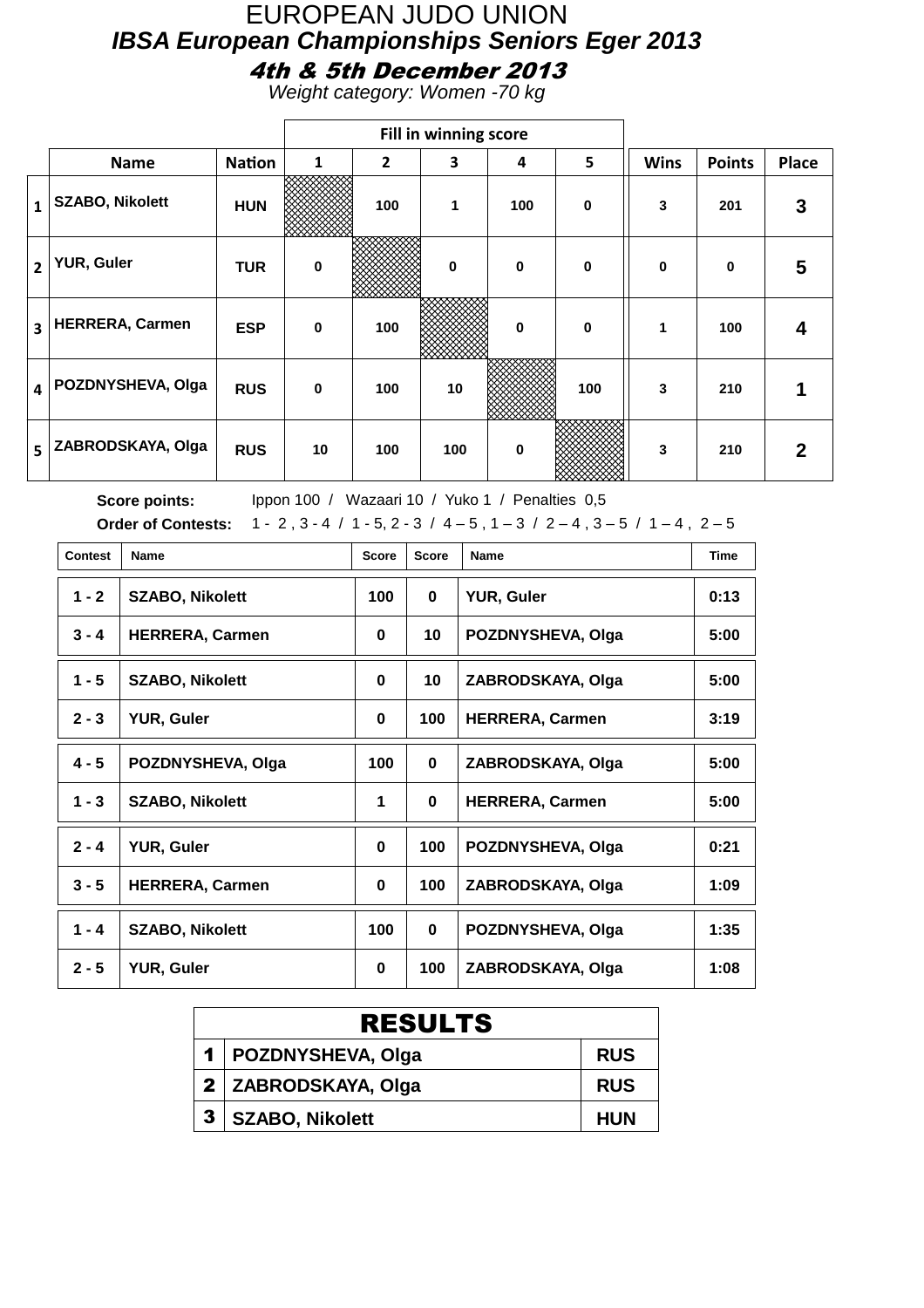#### EUROPEAN JUDO UNION **IBSA European Championships Seniors Eger 2013** 4th & 5th December 2013

Weight category: Women -70 kg

|                         |                        |               |             |                | Fill in winning score |             |             |              |               |              |
|-------------------------|------------------------|---------------|-------------|----------------|-----------------------|-------------|-------------|--------------|---------------|--------------|
|                         | <b>Name</b>            | <b>Nation</b> | 1           | $\overline{2}$ | 3                     | 4           | 5           | <b>Wins</b>  | <b>Points</b> | <b>Place</b> |
| 1                       | <b>SZABO, Nikolett</b> | <b>HUN</b>    |             | 100            | 1                     | 100         | 0           | 3            | 201           | 3            |
| $\overline{2}$          | YUR, Guler             | <b>TUR</b>    | $\mathbf 0$ |                | $\mathbf 0$           | $\mathbf 0$ | $\mathbf 0$ | $\mathbf{0}$ | $\bf{0}$      | 5            |
| 3                       | <b>HERRERA, Carmen</b> | <b>ESP</b>    | $\mathbf 0$ | 100            |                       | 0           | $\mathbf 0$ | 1            | 100           | 4            |
| $\overline{\mathbf{4}}$ | POZDNYSHEVA, Olga      | <b>RUS</b>    | $\mathbf 0$ | 100            | 10                    |             | 100         | 3            | 210           |              |
| 5                       | ZABRODSKAYA, Olga      | <b>RUS</b>    | 10          | 100            | 100                   | 0           |             | 3            | 210           | 2            |

| <b>Contest</b> | <b>Name</b>            | <b>Score</b> | <b>Score</b> | Name                   | <b>Time</b> |
|----------------|------------------------|--------------|--------------|------------------------|-------------|
| $1 - 2$        | <b>SZABO, Nikolett</b> | 100          | 0            | <b>YUR, Guler</b>      | 0:13        |
| $3 - 4$        | <b>HERRERA, Carmen</b> | $\mathbf 0$  | 10           | POZDNYSHEVA, Olga      | 5:00        |
| $1 - 5$        | <b>SZABO, Nikolett</b> | $\bf{0}$     | 10           | ZABRODSKAYA, Olga      | 5:00        |
| $2 - 3$        | <b>YUR, Guler</b>      | $\bf{0}$     | 100          | <b>HERRERA, Carmen</b> | 3:19        |
| $4 - 5$        | POZDNYSHEVA, Olga      | 100          | $\mathbf{0}$ | ZABRODSKAYA, Olga      | 5:00        |
| $1 - 3$        | <b>SZABO, Nikolett</b> | 1            | $\mathbf 0$  | <b>HERRERA, Carmen</b> | 5:00        |
| $2 - 4$        | <b>YUR, Guler</b>      | $\bf{0}$     | 100          | POZDNYSHEVA, Olga      | 0:21        |
| $3 - 5$        | <b>HERRERA, Carmen</b> | $\bf{0}$     | 100          | ZABRODSKAYA, Olga      | 1:09        |
| $1 - 4$        | <b>SZABO, Nikolett</b> | 100          | $\mathbf{0}$ | POZDNYSHEVA, Olga      | 1:35        |
| $2 - 5$        | <b>YUR, Guler</b>      | $\bf{0}$     | 100          | ZABRODSKAYA, Olga      | 1:08        |

|   | <b>RESULTS</b>         |            |  |  |  |  |  |
|---|------------------------|------------|--|--|--|--|--|
|   | 1   POZDNYSHEVA, Olga  | <b>RUS</b> |  |  |  |  |  |
|   | 2 ZABRODSKAYA, Olga    | <b>RUS</b> |  |  |  |  |  |
| 3 | <b>SZABO, Nikolett</b> | <b>HUN</b> |  |  |  |  |  |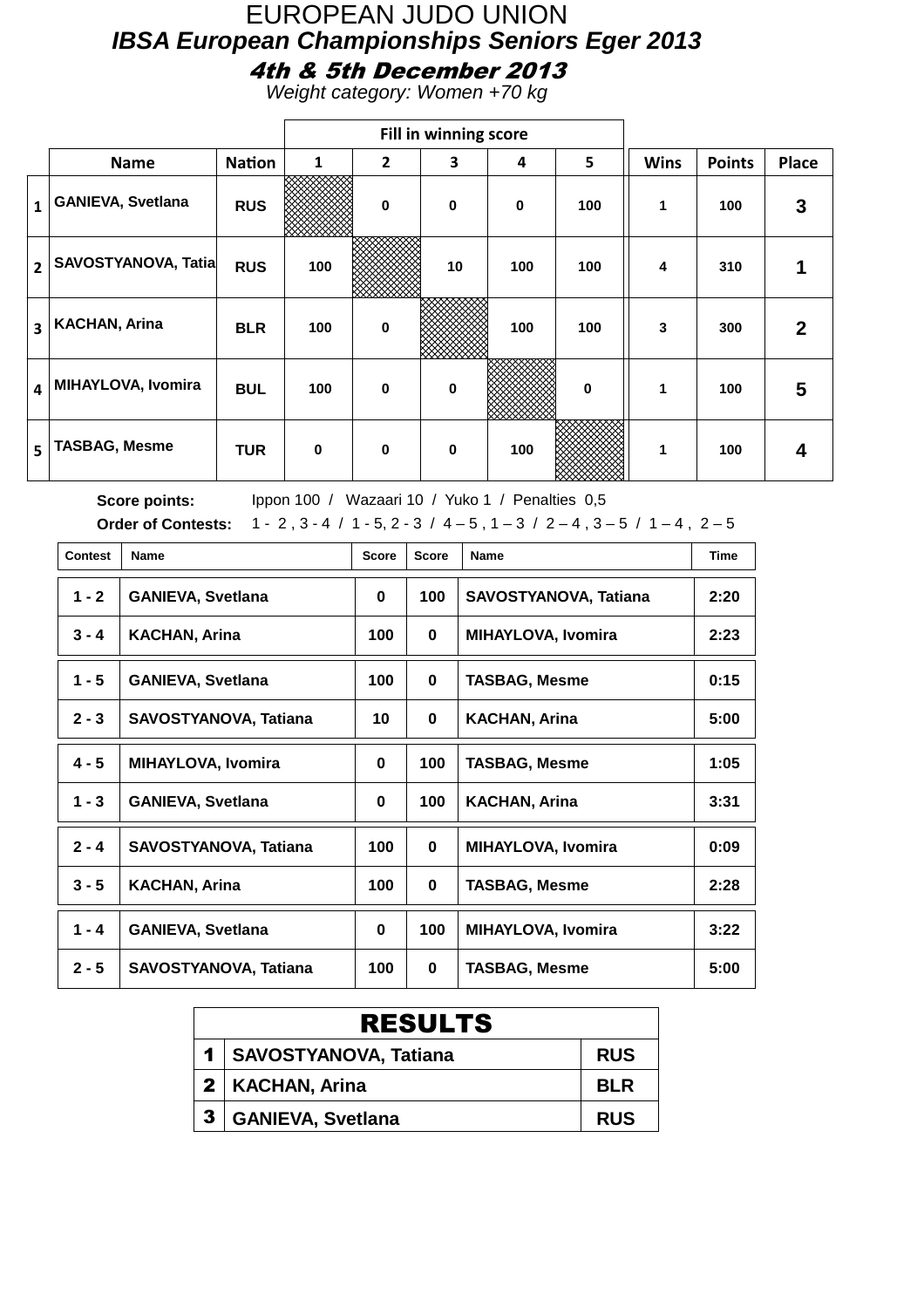#### EUROPEAN JUDO UNION **IBSA European Championships Seniors Eger 2013** 4th & 5th December 2013

Weight category: Women +70 kg

|                         |                           |               |              |              | Fill in winning score |             |          |             |               |              |
|-------------------------|---------------------------|---------------|--------------|--------------|-----------------------|-------------|----------|-------------|---------------|--------------|
|                         | <b>Name</b>               | <b>Nation</b> | $\mathbf{1}$ | $\mathbf{2}$ | 3                     | 4           | 5        | <b>Wins</b> | <b>Points</b> | <b>Place</b> |
| $\mathbf{1}$            | <b>GANIEVA, Svetlana</b>  | <b>RUS</b>    |              | $\bf{0}$     | $\mathbf 0$           | $\mathbf 0$ | 100      | 1           | 100           | 3            |
| $\overline{2}$          | SAVOSTYANOVA, Tatia       | <b>RUS</b>    | 100          |              | 10                    | 100         | 100      | 4           | 310           | 1            |
| $\overline{\mathbf{3}}$ | <b>KACHAN, Arina</b>      | <b>BLR</b>    | 100          | $\bf{0}$     |                       | 100         | 100      | 3           | 300           | $\mathbf{2}$ |
| $\overline{\mathbf{4}}$ | <b>MIHAYLOVA, Ivomira</b> | <b>BUL</b>    | 100          | $\bf{0}$     | $\mathbf 0$           |             | $\bf{0}$ | 1           | 100           | 5            |
| 5                       | <b>TASBAG, Mesme</b>      | <b>TUR</b>    | $\mathbf 0$  | $\bf{0}$     | 0                     | 100         |          | 1           | 100           | 4            |

| <b>Contest</b> | <b>Name</b>                  | <b>Score</b> | <b>Score</b> | Name                         | <b>Time</b> |
|----------------|------------------------------|--------------|--------------|------------------------------|-------------|
| $1 - 2$        | <b>GANIEVA, Svetlana</b>     | 0            | 100          | <b>SAVOSTYANOVA, Tatiana</b> | 2:20        |
| $3 - 4$        | <b>KACHAN, Arina</b>         | 100          | 0            | <b>MIHAYLOVA, Ivomira</b>    | 2:23        |
| $1 - 5$        | <b>GANIEVA, Svetlana</b>     | 100          | 0            | <b>TASBAG, Mesme</b>         | 0:15        |
| $2 - 3$        | SAVOSTYANOVA, Tatiana        | 10           | 0            | <b>KACHAN, Arina</b>         | 5:00        |
| $4 - 5$        | <b>MIHAYLOVA, Ivomira</b>    | 0            | 100          | <b>TASBAG, Mesme</b>         | 1:05        |
| $1 - 3$        | <b>GANIEVA, Svetlana</b>     | 0            | 100          | <b>KACHAN, Arina</b>         | 3:31        |
| $2 - 4$        | SAVOSTYANOVA, Tatiana        | 100          | 0            | <b>MIHAYLOVA, Ivomira</b>    | 0:09        |
| $3 - 5$        | <b>KACHAN, Arina</b>         | 100          | $\mathbf{0}$ | <b>TASBAG, Mesme</b>         | 2:28        |
| $1 - 4$        | <b>GANIEVA, Svetlana</b>     | 0            | 100          | <b>MIHAYLOVA, Ivomira</b>    | 3:22        |
| $2 - 5$        | <b>SAVOSTYANOVA, Tatiana</b> | 100          | $\mathbf{0}$ | <b>TASBAG, Mesme</b>         | 5:00        |

| <b>RESULTS</b>            |            |  |  |  |  |  |  |
|---------------------------|------------|--|--|--|--|--|--|
| 1   SAVOSTYANOVA, Tatiana | <b>RUS</b> |  |  |  |  |  |  |
| 2   KACHAN, Arina         | <b>BLR</b> |  |  |  |  |  |  |
| <b>GANIEVA, Svetlana</b>  | <b>RUS</b> |  |  |  |  |  |  |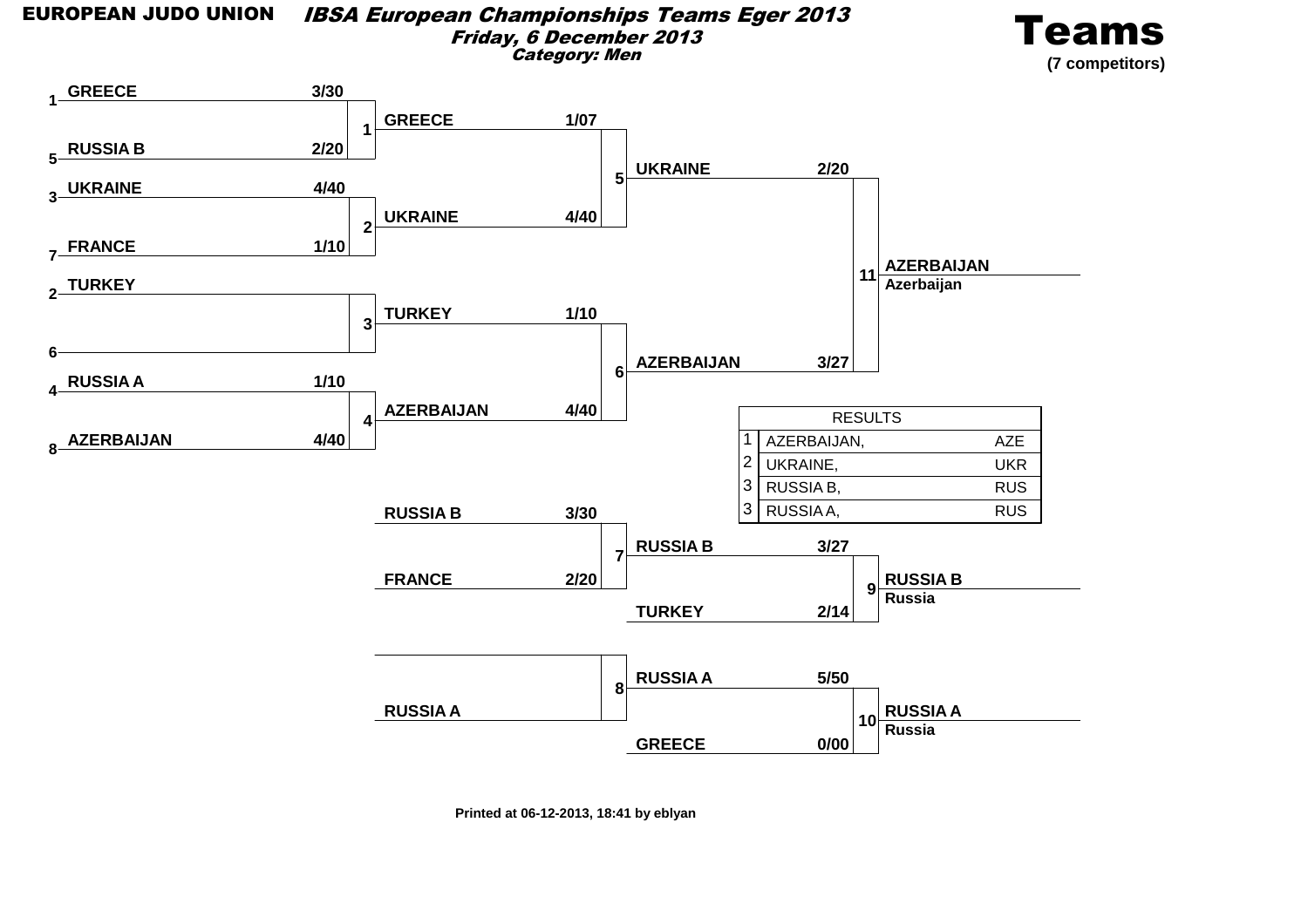#### EUROPEAN JUDO UNION IBSA European Championships Teams Eger 2013Friday, 6 December 2013Category: Men

![](_page_17_Picture_1.jpeg)

![](_page_17_Figure_2.jpeg)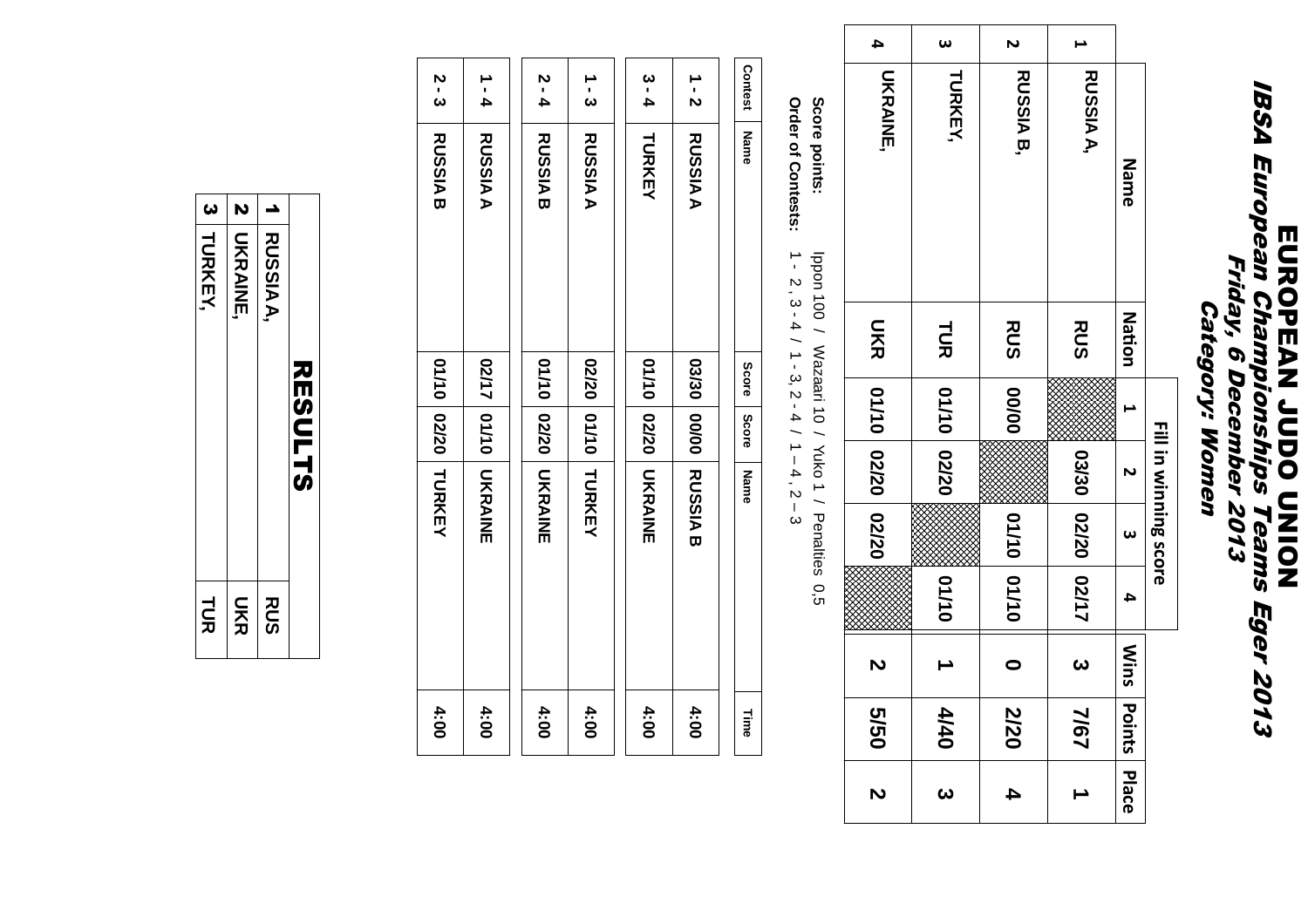# **IBSA European Championships Teams Eger 2013<br>Friday, 6 December 2013<br>Friday, 6 December 2013** IBSA European Championships Teams Eger 2013 **EUROPEAN JUDO CINON** Friday, 6 December 2013 **Category: Women** Category: Women

| 4                                                              | $\omega$                 | N                    |                   |                   |                       |
|----------------------------------------------------------------|--------------------------|----------------------|-------------------|-------------------|-----------------------|
| <b>UKRAINE,</b><br><b>TURKEY,</b>                              |                          | <b>RUSSIA B,</b>     | <b>RUSSIAA</b> ,  | <b>Name</b>       |                       |
|                                                                |                          | <b>RUS</b> 00/00     | <b>RUS</b>        | <b>Nation</b>     |                       |
|                                                                | TUR 01/10 02/20          |                      |                   |                   |                       |
| UKR 01/10 02/20 02/20                                          |                          |                      |                   | $\overline{a}$    | Fill in winning score |
|                                                                |                          |                      |                   | <b>ယ</b>          |                       |
|                                                                | 01/10                    | 01/10 01/10          | 03/30 02/20 02/17 | 4                 |                       |
| $\mathbf{v}$                                                   | $\overline{\phantom{0}}$ | $\ddot{\phantom{0}}$ |                   |                   |                       |
| $\begin{array}{ c c c }\hline 0 & 0 & 0 \\ \hline \end{array}$ | 4/40                     | 2/20                 | 3   7/67          | Mins Points Place |                       |
| N                                                              | <b>ယ</b>                 | 4                    |                   |                   |                       |

**Score points:**Score points: Ippon 100 / Wazaari 10 / Yuko 1 / Penalties 0,5Ippon 100 / Wazaari 10 / Yuko 1 / Penalties 0,5 **Order of Contests:**Order of Contests: 1 - 2 , 3 - 4 / 1 - 3, 2 - 4 / 1 – 4 , 2 – 3 $1 - 2$ ,  $3 - 4$  /  $1 - 3$ ,  $2 - 4$  /  $1 - 4$ ,  $2 - 3$ 

| Contest       | <b>Name</b>    | Score | Score | Name                        | Time |
|---------------|----------------|-------|-------|-----------------------------|------|
| $\frac{1}{2}$ | <b>RUSSIAA</b> |       |       | <b>BNSSURIA 2000 DDSSNB</b> | 4:00 |
| 3 - 4         | TURKEY         |       |       | 01/10 02/20 UKRAINE         | 4:00 |
| ှု<br>ပ       | <b>RUSSIAA</b> |       |       | <b>02/20 DH/10 LDRKEX</b>   | 4:00 |
| 5 - 4         | <b>RUSSIAB</b> |       |       | 01/10 02/20 UKRAINE         | 4:00 |
| $1 - 4$       | <b>RUSSIAA</b> |       |       | 02/17 01/10 UKRAINE         | 4:00 |
| _<br>'ಎ       | <b>RUSSIAB</b> |       |       | <b>01/10 02/20 LURKEY</b>   | 4:00 |

|                       | <b>RESULTS</b>     |            |
|-----------------------|--------------------|------------|
|                       | <b>RUSSIAA,</b>    | <b>RUS</b> |
|                       | <b>2   UKRAINE</b> | <b>NKR</b> |
| $\boldsymbol{\omega}$ | <b>TURKEY,</b>     | <b>TUR</b> |
|                       |                    |            |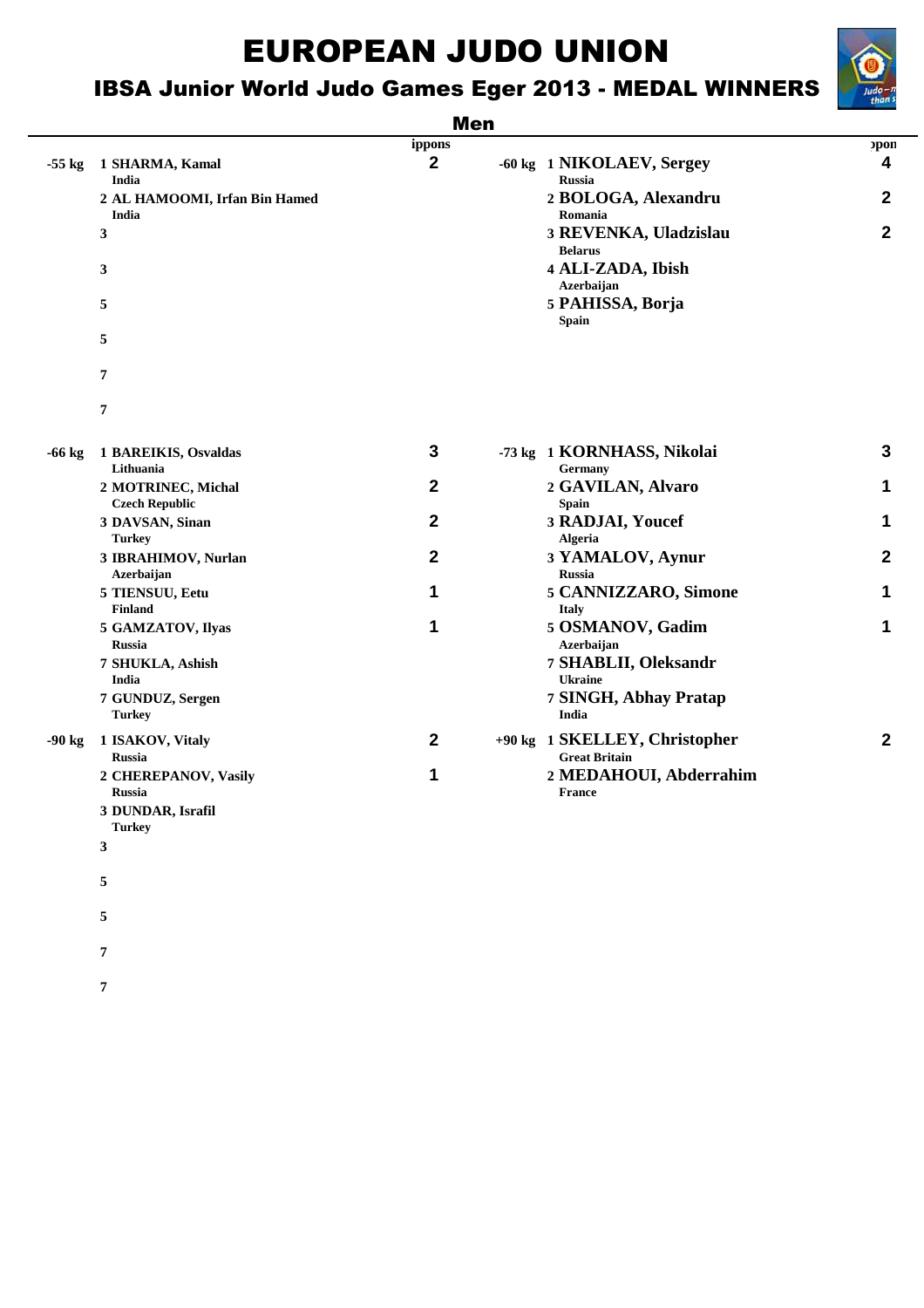## IBSA Junior World Judo Games Eger 2013 - MEDAL WINNERS

#### Men

|          |                                                      | ippons       |                                                       | pon                     |
|----------|------------------------------------------------------|--------------|-------------------------------------------------------|-------------------------|
| $-55$ kg | 1 SHARMA, Kamal<br>India                             | $\mathbf{2}$ | -60 kg 1 NIKOLAEV, Sergey<br><b>Russia</b>            | $\overline{\mathbf{4}}$ |
|          | 2 AL HAMOOMI, Irfan Bin Hamed<br>India               |              | 2 BOLOGA, Alexandru<br>Romania                        | $\mathbf{2}$            |
|          | $\mathbf{3}$                                         |              | 3 REVENKA, Uladzislau<br><b>Belarus</b>               | $\mathbf{2}$            |
|          | 3                                                    |              | 4 ALI-ZADA, Ibish<br>Azerbaijan                       |                         |
|          | 5                                                    |              | 5 PAHISSA, Borja<br><b>Spain</b>                      |                         |
|          | 5                                                    |              |                                                       |                         |
|          | 7                                                    |              |                                                       |                         |
|          | 7                                                    |              |                                                       |                         |
| $-66$ kg | 1 BAREIKIS, Osvaldas<br>Lithuania                    | 3            | -73 kg 1 KORNHASS, Nikolai<br>Germany                 | $\mathbf{3}$            |
|          | 2 MOTRINEC, Michal<br><b>Czech Republic</b>          | $\mathbf{2}$ | 2 GAVILAN, Alvaro<br><b>Spain</b>                     | 1                       |
|          | 3 DAVSAN, Sinan<br><b>Turkey</b>                     | $\mathbf{2}$ | 3 RADJAI, Youcef<br><b>Algeria</b>                    | 1                       |
|          | 3 IBRAHIMOV, Nurlan<br>Azerbaijan                    | $\mathbf{2}$ | 3 YAMALOV, Aynur<br><b>Russia</b>                     | $\overline{2}$          |
|          | 5 TIENSUU, Eetu                                      | 1            | 5 CANNIZZARO, Simone                                  | 1                       |
|          | <b>Finland</b><br>5 GAMZATOV, Ilyas<br><b>Russia</b> | 1            | <b>Italy</b><br>5 OSMANOV, Gadim<br>Azerbaijan        | 1                       |
|          | 7 SHUKLA, Ashish<br>India                            |              | 7 SHABLII, Oleksandr<br><b>Ukraine</b>                |                         |
|          | 7 GUNDUZ, Sergen<br><b>Turkey</b>                    |              | 7 SINGH, Abhay Pratap<br>India                        |                         |
| $-90$ kg | 1 ISAKOV, Vitaly<br><b>Russia</b>                    | $\mathbf{2}$ | +90 kg 1 SKELLEY, Christopher<br><b>Great Britain</b> | $\overline{2}$          |
|          | 2 CHEREPANOV, Vasily<br><b>Russia</b>                | 1            | 2 MEDAHOUI, Abderrahim<br><b>France</b>               |                         |
|          | 3 DUNDAR, Israfil<br><b>Turkey</b>                   |              |                                                       |                         |
|          |                                                      |              |                                                       |                         |

**3**

**5**

**5**

**7**

**7**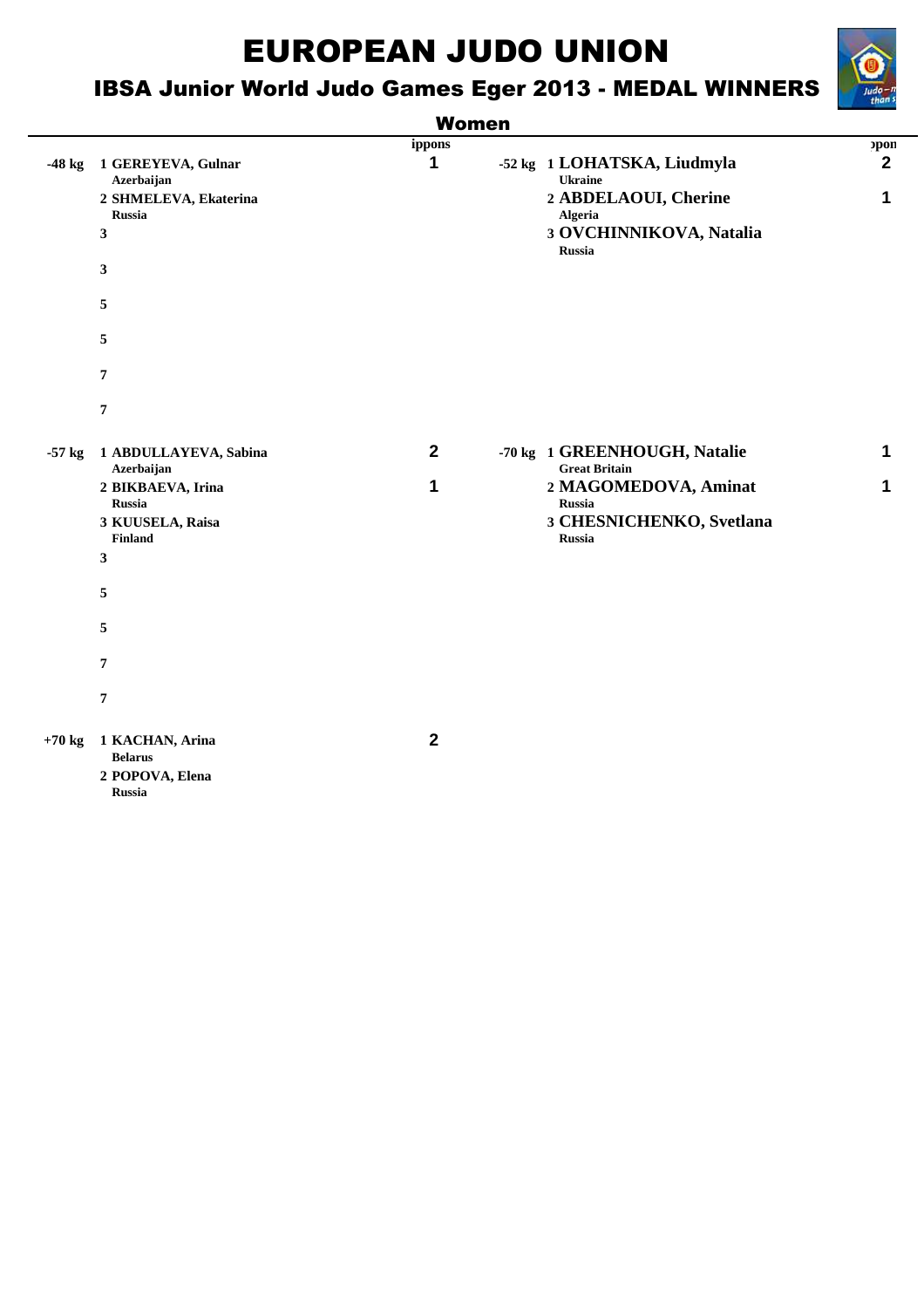## IBSA Junior World Judo Games Eger 2013 - MEDAL WINNERS

![](_page_20_Picture_2.jpeg)

|        |                                             | <b>Women</b> |                                                                                    |      |
|--------|---------------------------------------------|--------------|------------------------------------------------------------------------------------|------|
|        |                                             | ippons       |                                                                                    | opon |
| -48 kg | 1 GEREYEVA, Gulnar<br>Azerbaijan            |              | -52 kg 1 LOHATSKA, Liudmyla<br><b>Ukraine</b>                                      | כי   |
|        | 2 SHMELEVA, Ekaterina<br><b>Russia</b><br>3 |              | 2 ABDELAOUI, Cherine<br><b>Algeria</b><br>3 OVCHINNIKOVA, Natalia<br><b>Russia</b> |      |
|        | 3                                           |              |                                                                                    |      |
|        | 5                                           |              |                                                                                    |      |
|        | 5                                           |              |                                                                                    |      |

|          | -57 kg 1 ABDULLAYEVA, Sabina<br>Azerbaijan<br>2 BIKBAEVA, Irina<br><b>Russia</b><br>3 KUUSELA, Raisa<br><b>Finland</b><br>3 | $\mathbf{2}$<br>1 | -70 kg 1 GREENHOUGH, Natalie<br><b>Great Britain</b><br>2 MAGOMEDOVA, Aminat<br><b>Russia</b><br>3 CHESNICHENKO, Svetlana<br><b>Russia</b> | 1 |
|----------|-----------------------------------------------------------------------------------------------------------------------------|-------------------|--------------------------------------------------------------------------------------------------------------------------------------------|---|
|          | 5                                                                                                                           |                   |                                                                                                                                            |   |
|          | 5                                                                                                                           |                   |                                                                                                                                            |   |
|          | 7                                                                                                                           |                   |                                                                                                                                            |   |
|          | 7                                                                                                                           |                   |                                                                                                                                            |   |
| $+70$ kg | 1 KACHAN, Arina<br><b>Belarus</b>                                                                                           | $\mathbf{2}$      |                                                                                                                                            |   |

**2 POPOVA, Elena Russia**

**7**

**7**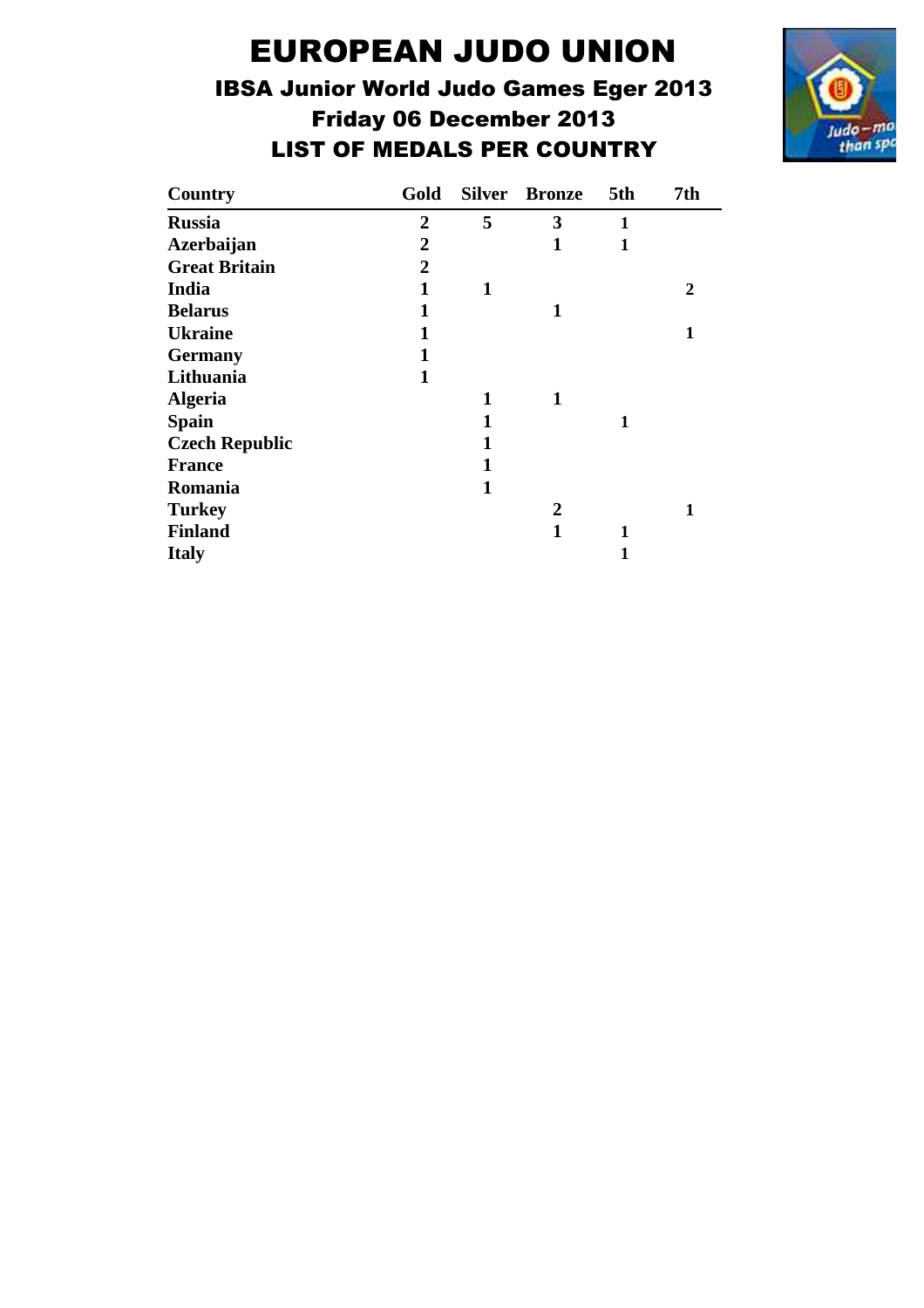## IBSA Junior World Judo Games Eger 2013 Friday 06 December 2013 LIST OF MEDALS PER COUNTRY

![](_page_21_Picture_2.jpeg)

| Country               | Gold           |   | <b>Silver Bronze</b> | 5th          | 7th |
|-----------------------|----------------|---|----------------------|--------------|-----|
| <b>Russia</b>         | $\overline{2}$ | 5 | 3                    | $\mathbf{1}$ |     |
| <b>Azerbaijan</b>     | 2              |   | 1                    | 1            |     |
| <b>Great Britain</b>  | $\overline{2}$ |   |                      |              |     |
| India                 | 1              | 1 |                      |              | 2   |
| <b>Belarus</b>        | 1              |   | 1                    |              |     |
| <b>Ukraine</b>        | 1              |   |                      |              | 1   |
| <b>Germany</b>        | 1              |   |                      |              |     |
| Lithuania             | 1              |   |                      |              |     |
| <b>Algeria</b>        |                | 1 | 1                    |              |     |
| <b>Spain</b>          |                |   |                      | 1            |     |
| <b>Czech Republic</b> |                | 1 |                      |              |     |
| <b>France</b>         |                | 1 |                      |              |     |
| Romania               |                | 1 |                      |              |     |
| <b>Turkey</b>         |                |   | 2                    |              | 1   |
| <b>Finland</b>        |                |   | 1                    | 1            |     |
| <b>Italy</b>          |                |   |                      | 1            |     |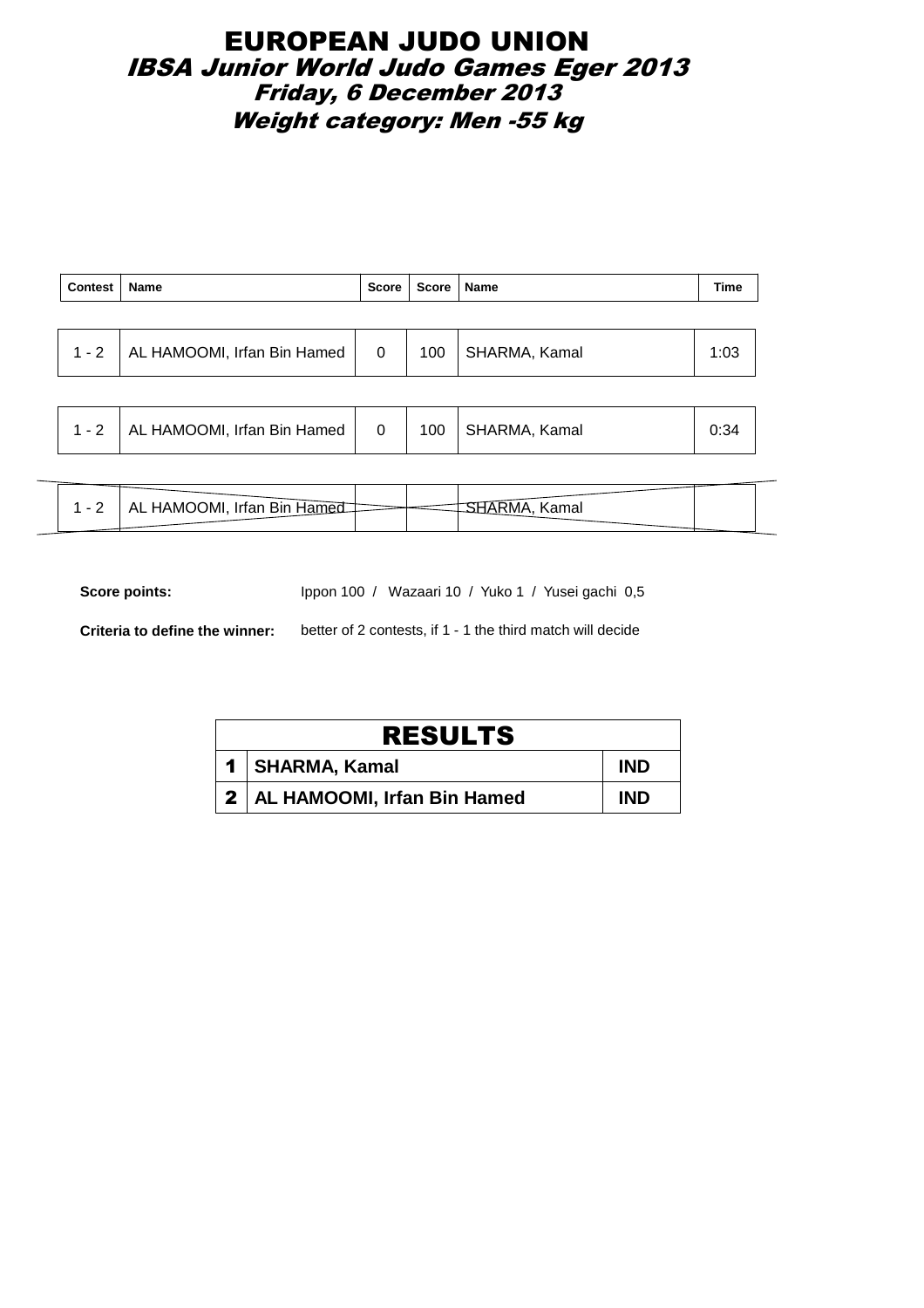### EUROPEAN JUDO UNION IBSA Junior World Judo Games Eger 2013 Friday, 6 December 2013 Weight category: Men -55 kg

| Contest | Name                                |                | Score   Score   Name |                     | Time |
|---------|-------------------------------------|----------------|----------------------|---------------------|------|
|         |                                     |                |                      |                     |      |
|         | 1 - 2   AL HAMOOMI, Irfan Bin Hamed | $\overline{0}$ |                      | 100   SHARMA, Kamal | 1:03 |
|         |                                     |                |                      |                     |      |

|  | AL HAMOOMI, Irfan Bin Hamed |  | 100 | SHARMA, Kamal |  |  |
|--|-----------------------------|--|-----|---------------|--|--|
|--|-----------------------------|--|-----|---------------|--|--|

| - | .∟ ⊓AMOOMI, Irfan Bin Ham <sup>2</sup> |  |  |
|---|----------------------------------------|--|--|
|   |                                        |  |  |

Score points: Ippon 100 / Wazaari 10 / Yuko 1 / Yusei gachi 0,5

**Criteria to define the winner:** better of 2 contests, if 1 - 1 the third match will decide

| <b>RESULTS</b>                  |            |
|---------------------------------|------------|
| 1   SHARMA, Kamal               | <b>IND</b> |
| 2   AL HAMOOMI, Irfan Bin Hamed | <b>IND</b> |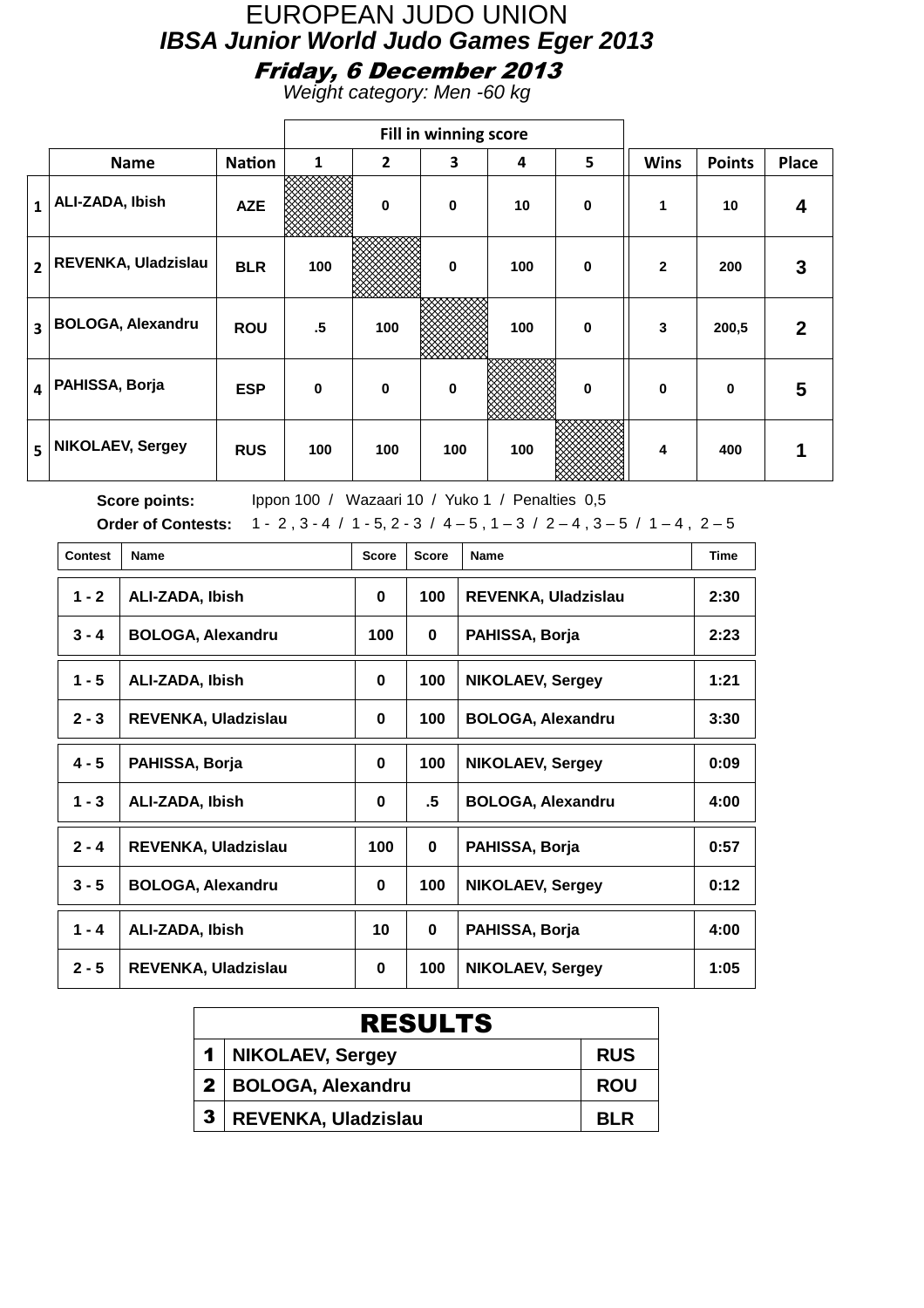Weight category: Men -60 kg

|                         |                          |               |                 |                | Fill in winning score |     |             |                |               |              |
|-------------------------|--------------------------|---------------|-----------------|----------------|-----------------------|-----|-------------|----------------|---------------|--------------|
|                         | <b>Name</b>              | <b>Nation</b> | 1               | $\overline{2}$ | 3                     | 4   | 5           | <b>Wins</b>    | <b>Points</b> | <b>Place</b> |
| $\mathbf{1}$            | ALI-ZADA, Ibish          | <b>AZE</b>    |                 | $\bf{0}$       | $\mathbf 0$           | 10  | $\mathbf 0$ | 1              | 10            | 4            |
| $\overline{2}$          | REVENKA, Uladzislau      | <b>BLR</b>    | 100             |                | $\mathbf 0$           | 100 | $\mathbf 0$ | $\overline{2}$ | 200           | 3            |
| $\overline{\mathbf{3}}$ | <b>BOLOGA, Alexandru</b> | <b>ROU</b>    | $.5\phantom{0}$ | 100            |                       | 100 | $\mathbf 0$ | 3              | 200,5         | $\mathbf{2}$ |
| 4                       | PAHISSA, Borja           | <b>ESP</b>    | $\bf{0}$        | $\bf{0}$       | $\bf{0}$              |     | $\bf{0}$    | $\mathbf{0}$   | $\bf{0}$      | 5            |
| 5                       | <b>NIKOLAEV, Sergey</b>  | <b>RUS</b>    | 100             | 100            | 100                   | 100 |             | 4              | 400           | 1            |

| <b>Contest</b> | <b>Name</b>                | <b>Score</b> | <b>Score</b> | Name                       | <b>Time</b> |
|----------------|----------------------------|--------------|--------------|----------------------------|-------------|
| $1 - 2$        | ALI-ZADA, Ibish            | 0            | 100          | <b>REVENKA, Uladzislau</b> | 2:30        |
| $3 - 4$        | <b>BOLOGA, Alexandru</b>   | 100          | 0            | PAHISSA, Borja             | 2:23        |
| $1 - 5$        | ALI-ZADA, Ibish            | $\mathbf 0$  | 100          | <b>NIKOLAEV, Sergey</b>    | 1:21        |
| $2 - 3$        | <b>REVENKA, Uladzislau</b> | 0            | 100          | <b>BOLOGA, Alexandru</b>   | 3:30        |
| $4 - 5$        | PAHISSA, Borja             | 0            | 100          | <b>NIKOLAEV, Sergey</b>    | 0:09        |
| $1 - 3$        | ALI-ZADA, Ibish            | 0            | .5           | <b>BOLOGA, Alexandru</b>   | 4:00        |
| $2 - 4$        | <b>REVENKA, Uladzislau</b> | 100          | 0            | PAHISSA, Borja             | 0:57        |
| $3 - 5$        | <b>BOLOGA, Alexandru</b>   | 0            | 100          | <b>NIKOLAEV, Sergey</b>    | 0:12        |
| $1 - 4$        | ALI-ZADA, Ibish            | 10           | 0            | PAHISSA, Borja             | 4:00        |
| $2 - 5$        | REVENKA, Uladzislau        | $\bf{0}$     | 100          | <b>NIKOLAEV, Sergey</b>    | 1:05        |

|   | <b>RESULTS</b>        |            |  |  |  |  |  |
|---|-----------------------|------------|--|--|--|--|--|
|   | 1   NIKOLAEV, Sergey  | <b>RUS</b> |  |  |  |  |  |
|   | 2   BOLOGA, Alexandru | <b>ROU</b> |  |  |  |  |  |
| 3 | REVENKA, Uladzislau   | <b>RIR</b> |  |  |  |  |  |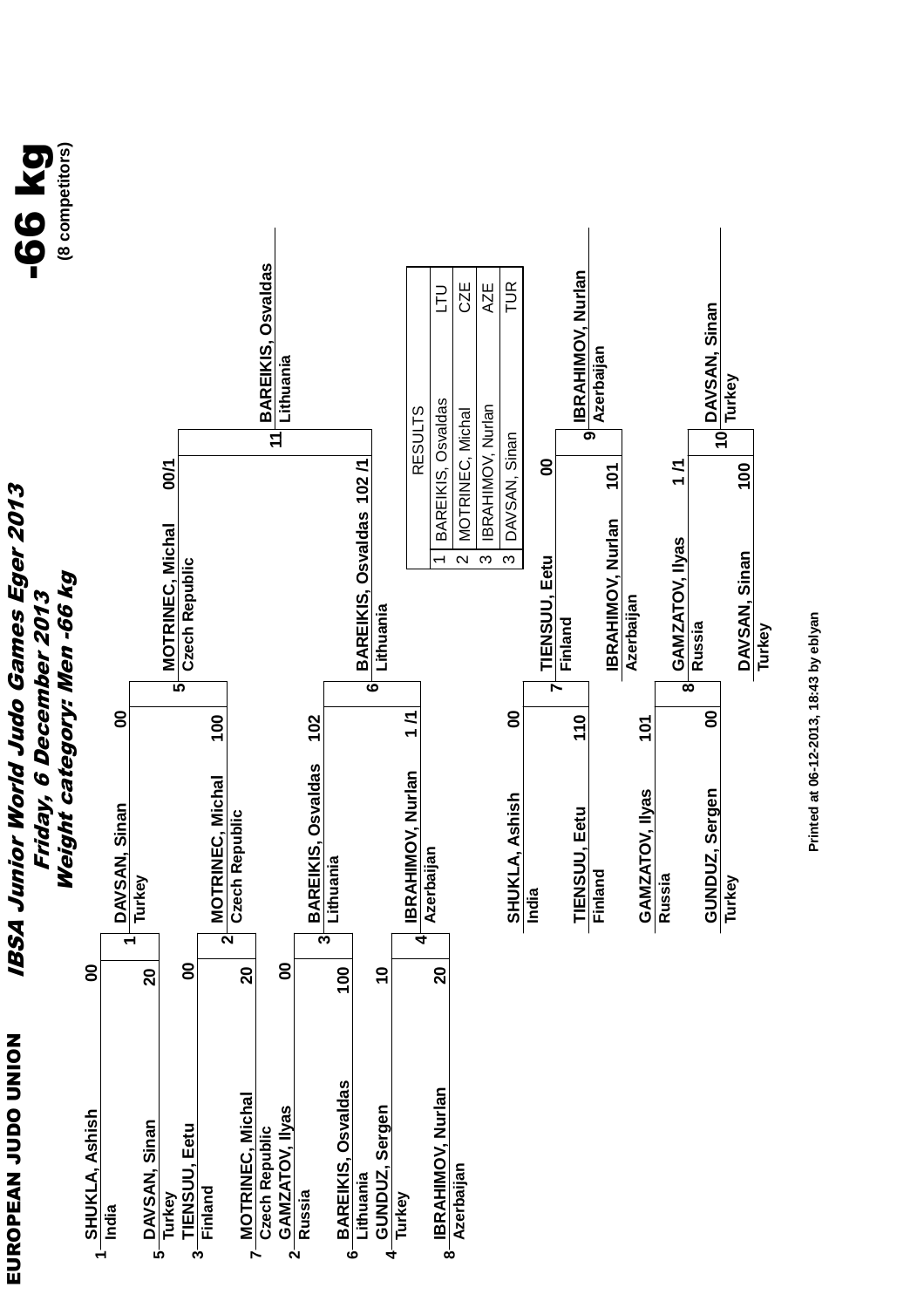![](_page_24_Figure_0.jpeg)

Printed at 06-12-2013, 18:43 by eblyan **Printed at 06-12-2013, 18:43 by eblyan**

 $-66$  kg<br> $_{\tiny\rm{8\,components}}$ **(8 competitors)**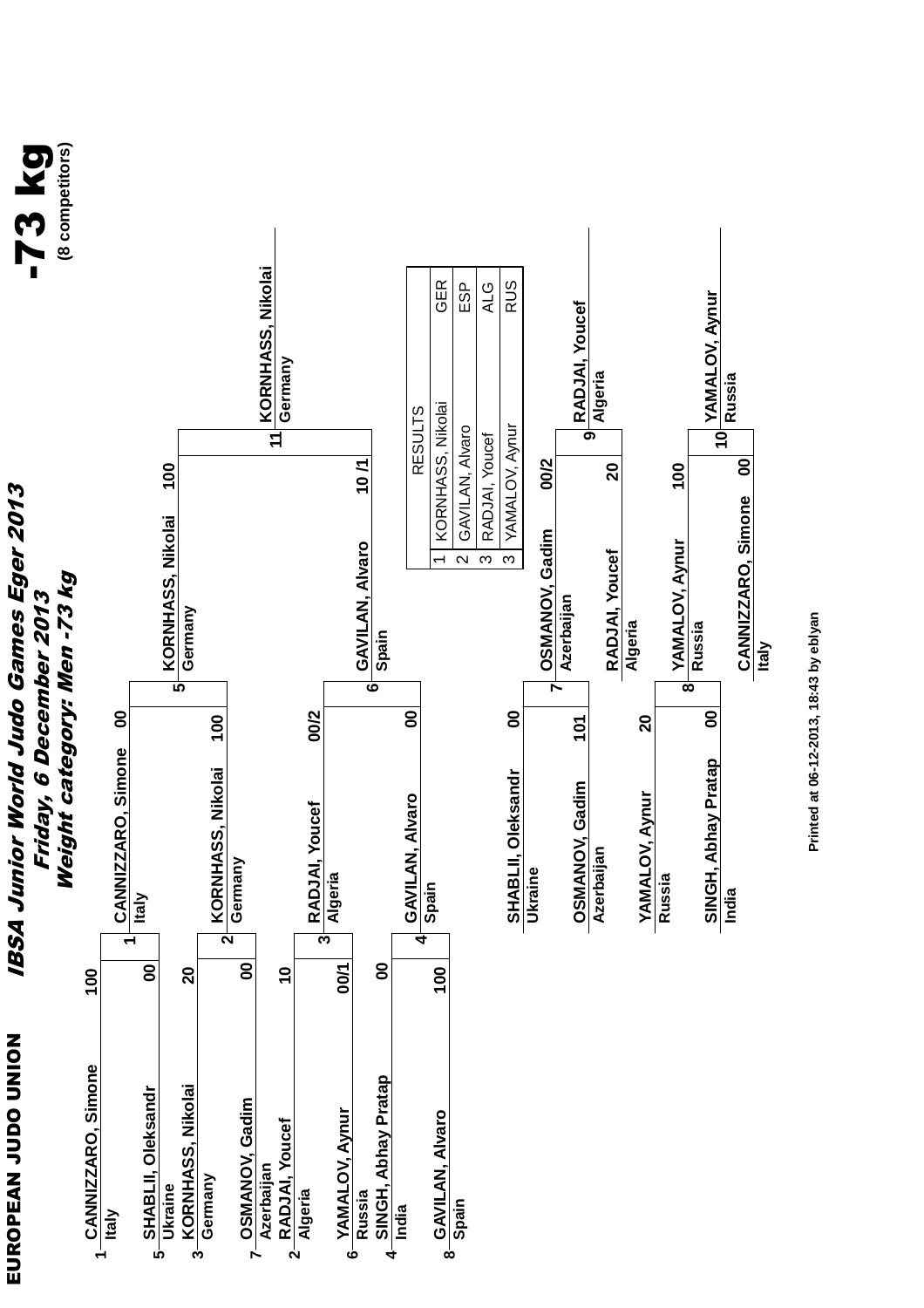![](_page_25_Figure_0.jpeg)

![](_page_25_Figure_1.jpeg)

**India**

**CANNIZZARO, Simone**

CANNIZZARO, Simone

**10**

**Russia**

 **00**

**Italy**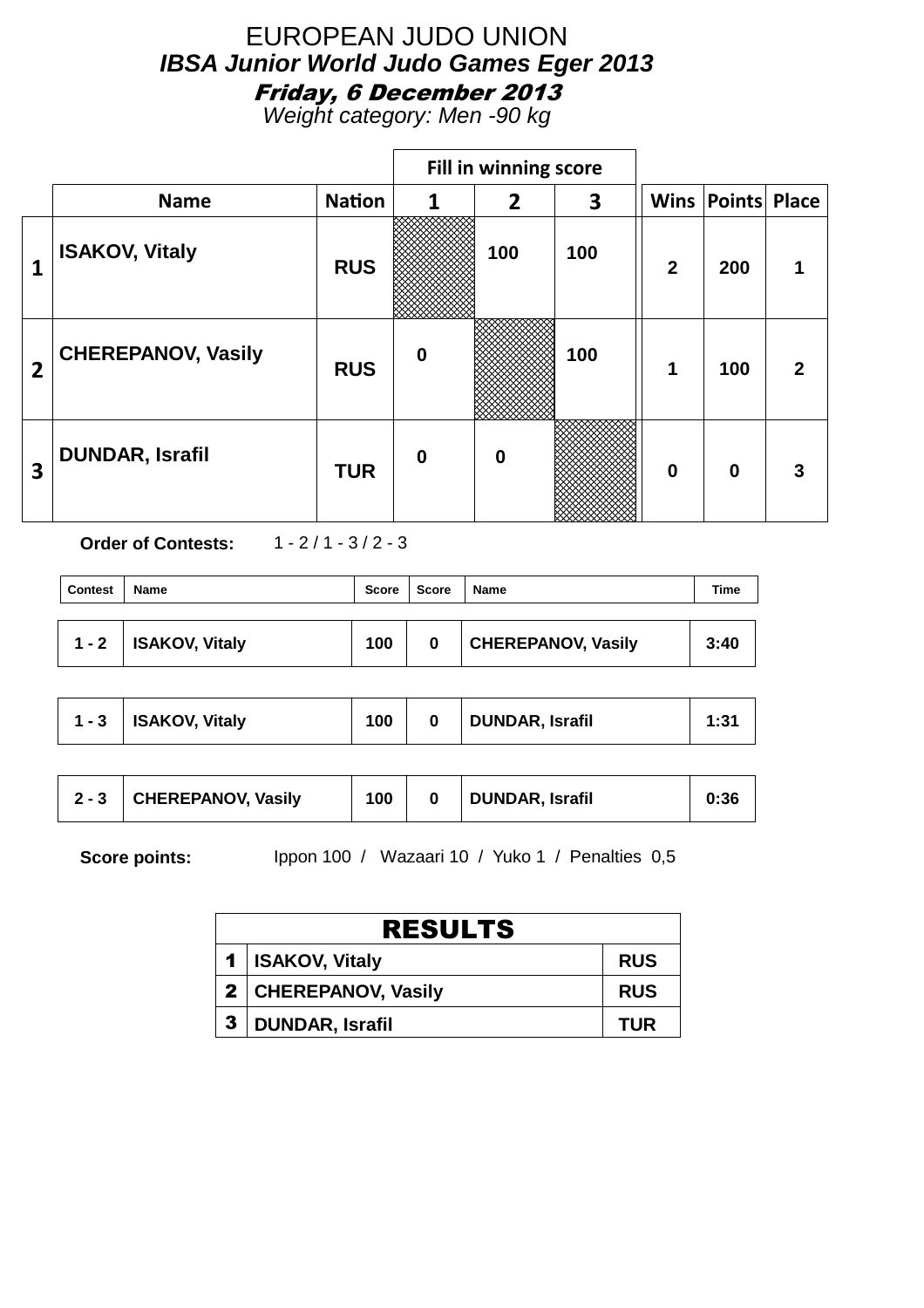Weight category: Men -90 kg

|                |                           |               |          | Fill in winning score |     |                |                          |             |
|----------------|---------------------------|---------------|----------|-----------------------|-----|----------------|--------------------------|-------------|
|                | <b>Name</b>               | <b>Nation</b> | 1        | $\overline{2}$        | 3   |                | <b>Wins Points Place</b> |             |
| 1              | <b>ISAKOV, Vitaly</b>     | <b>RUS</b>    |          | 100                   | 100 | $\overline{2}$ | 200                      |             |
| $\overline{2}$ | <b>CHEREPANOV, Vasily</b> | <b>RUS</b>    | $\bf{0}$ |                       | 100 | 1              | 100                      | $\mathbf 2$ |
| 3              | <b>DUNDAR, Israfil</b>    | <b>TUR</b>    | $\bf{0}$ | $\boldsymbol{0}$      |     | $\bf{0}$       | $\bf{0}$                 |             |

**Order of Contests:** 1 - 2 / 1 - 3 / 2 - 3

| <b>Contest</b> | <b>Name</b>    | Score | <b>Score</b> | Name                      | Time |
|----------------|----------------|-------|--------------|---------------------------|------|
| $1 - 2$        | ISAKOV, Vitaly | 100   | 0            | <b>CHEREPANOV, Vasily</b> | 3:40 |

| $1 - 3$ | ISAKOV, Vitaly | 100 |  | <b>DUNDAR, Israfil</b> | 1:31 |
|---------|----------------|-----|--|------------------------|------|
|---------|----------------|-----|--|------------------------|------|

| $2 - 3$ | CHEREPANOV, Vasily | 100 |  | <b>DUNDAR, Israfil</b> | 0:36 |
|---------|--------------------|-----|--|------------------------|------|
|---------|--------------------|-----|--|------------------------|------|

| <b>RESULTS</b>       |            |  |  |  |  |  |
|----------------------|------------|--|--|--|--|--|
| 1   ISAKOV, Vitaly   | <b>RUS</b> |  |  |  |  |  |
| 2 CHEREPANOV, Vasily | <b>RUS</b> |  |  |  |  |  |
| 3   DUNDAR, Israfil  | <b>TUR</b> |  |  |  |  |  |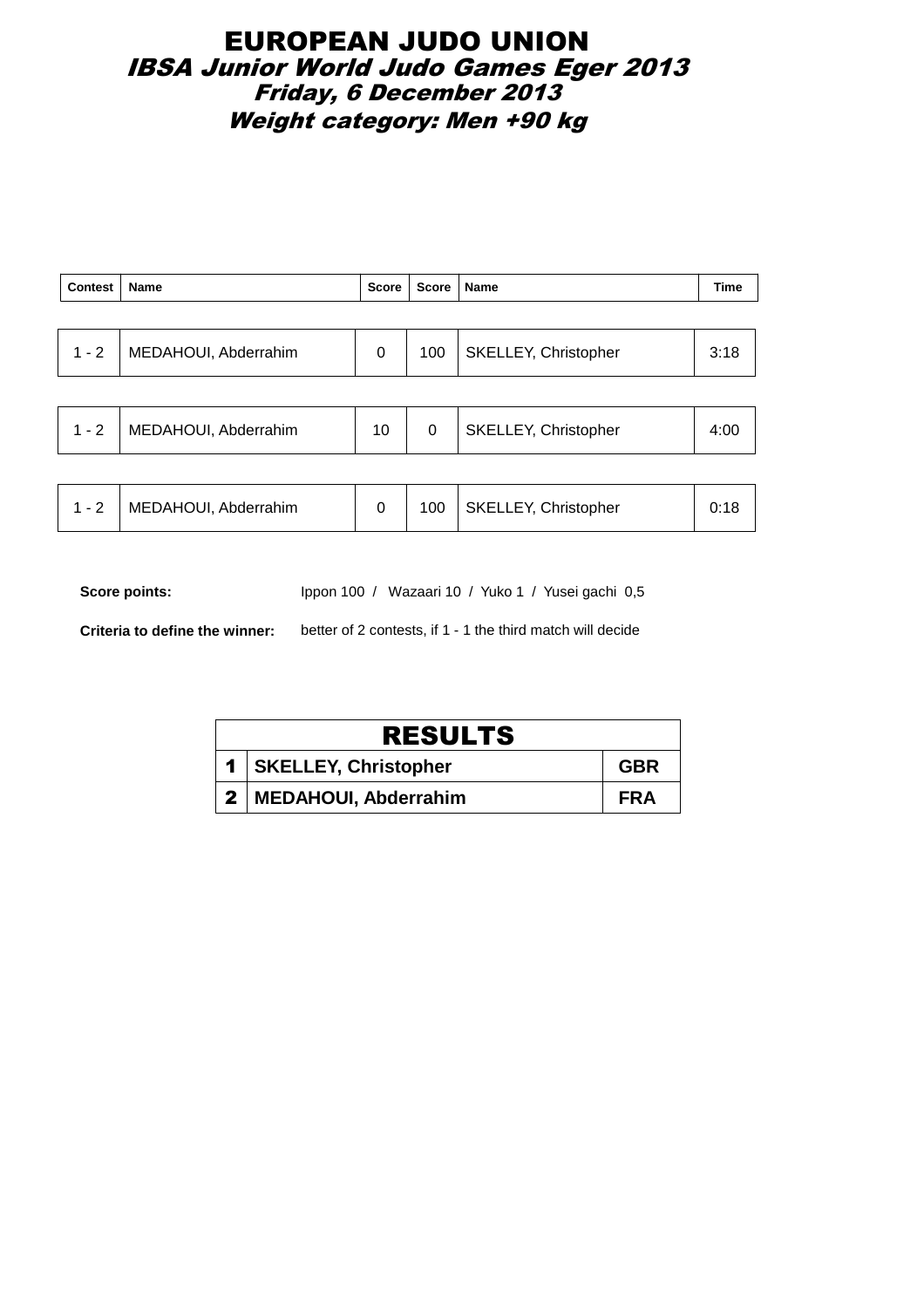### EUROPEAN JUDO UNION IBSA Junior World Judo Games Eger 2013 Friday, 6 December 2013 Weight category: Men +90 kg

| <b>Contest</b> | Name                 | Score | Score | <b>Name</b>                 | <b>Time</b> |
|----------------|----------------------|-------|-------|-----------------------------|-------------|
|                |                      |       |       |                             |             |
| $1 - 2$        | MEDAHOUI, Abderrahim | 0     | 100   | <b>SKELLEY, Christopher</b> | 3:18        |
|                |                      |       |       |                             |             |
| $1 - 2$        | MEDAHOUI, Abderrahim | 10    | 0     | SKELLEY, Christopher        | 4:00        |

|  | MEDAHOUI, Abderrahim |  | 100 | SKELLEY, Christopher |  |
|--|----------------------|--|-----|----------------------|--|
|--|----------------------|--|-----|----------------------|--|

Score points: Ippon 100 / Wazaari 10 / Yuko 1 / Yusei gachi 0,5

**Criteria to define the winner:** better of 2 contests, if 1 - 1 the third match will decide

| <b>RESULTS</b> |                          |            |  |  |  |  |
|----------------|--------------------------|------------|--|--|--|--|
|                | 1   SKELLEY, Christopher | <b>GBR</b> |  |  |  |  |
|                | 2   MEDAHOUI, Abderrahim | <b>FRA</b> |  |  |  |  |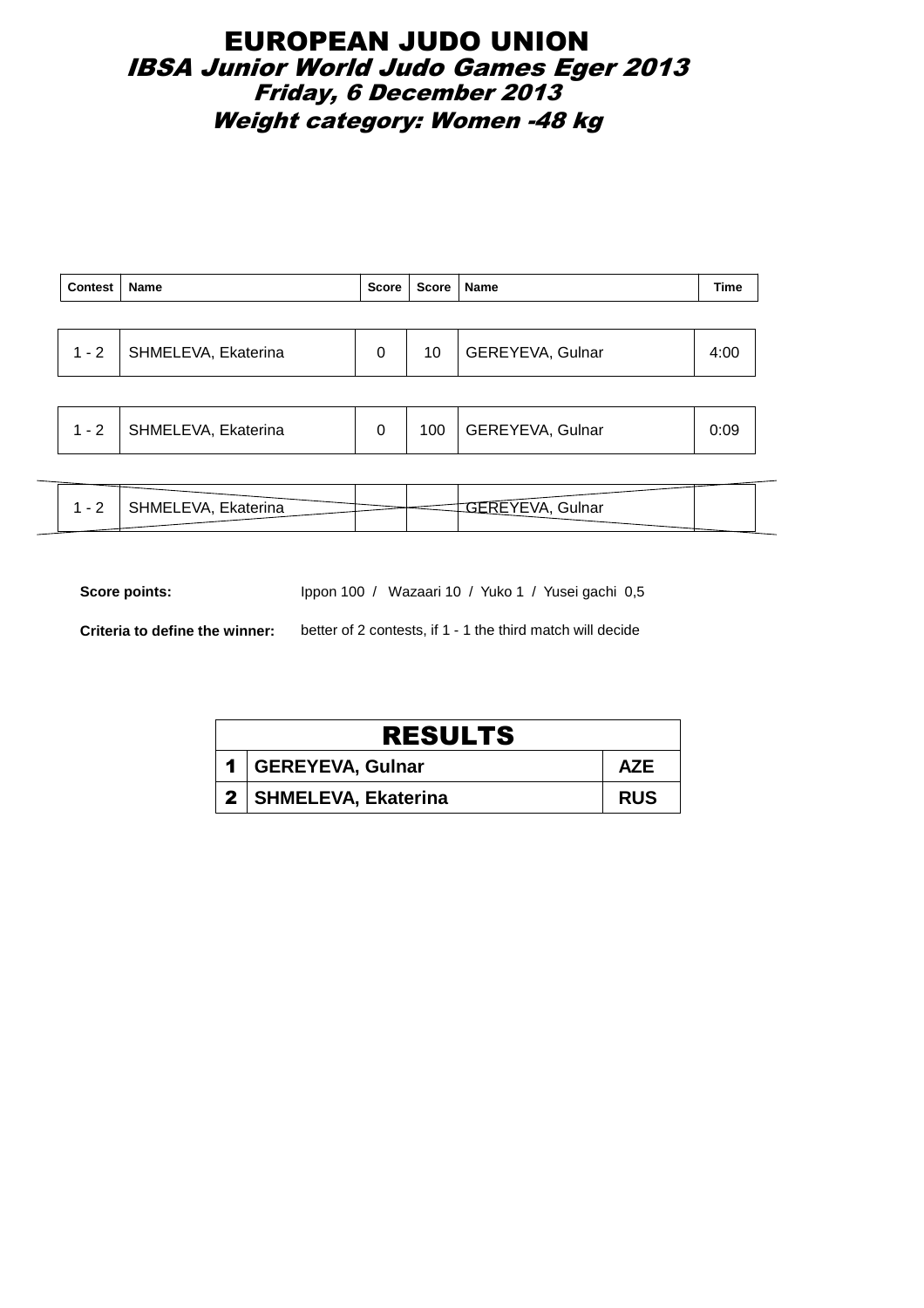### EUROPEAN JUDO UNION IBSA Junior World Judo Games Eger 2013 Friday, 6 December 2013 Weight category: Women -48 kg

| Contest   Name |                             | Score   Score   Name |                         | <b>Time</b> |
|----------------|-----------------------------|----------------------|-------------------------|-------------|
|                |                             |                      |                         |             |
|                | 1 - 2   SHMELEVA, Ekaterina | 10                   | <b>GEREYEVA, Gulnar</b> | 4:00        |

|  | 1 - 2 | SHMELEVA, Ekaterina |  | 100 | GEREYEVA, Gulnar | 09:ر |  |
|--|-------|---------------------|--|-----|------------------|------|--|
|--|-------|---------------------|--|-----|------------------|------|--|

| HMELEVA, Ekaterina | ، ۱۵<br>Gulnar |
|--------------------|----------------|
|                    |                |

Score points: Ippon 100 / Wazaari 10 / Yuko 1 / Yusei gachi 0,5

**Criteria to define the winner:** better of 2 contests, if 1 - 1 the third match will decide

| <b>RESULTS</b>          |            |  |  |  |  |
|-------------------------|------------|--|--|--|--|
| 1   GEREYEVA, Gulnar    | <b>AZE</b> |  |  |  |  |
| 2   SHMELEVA, Ekaterina | <b>RUS</b> |  |  |  |  |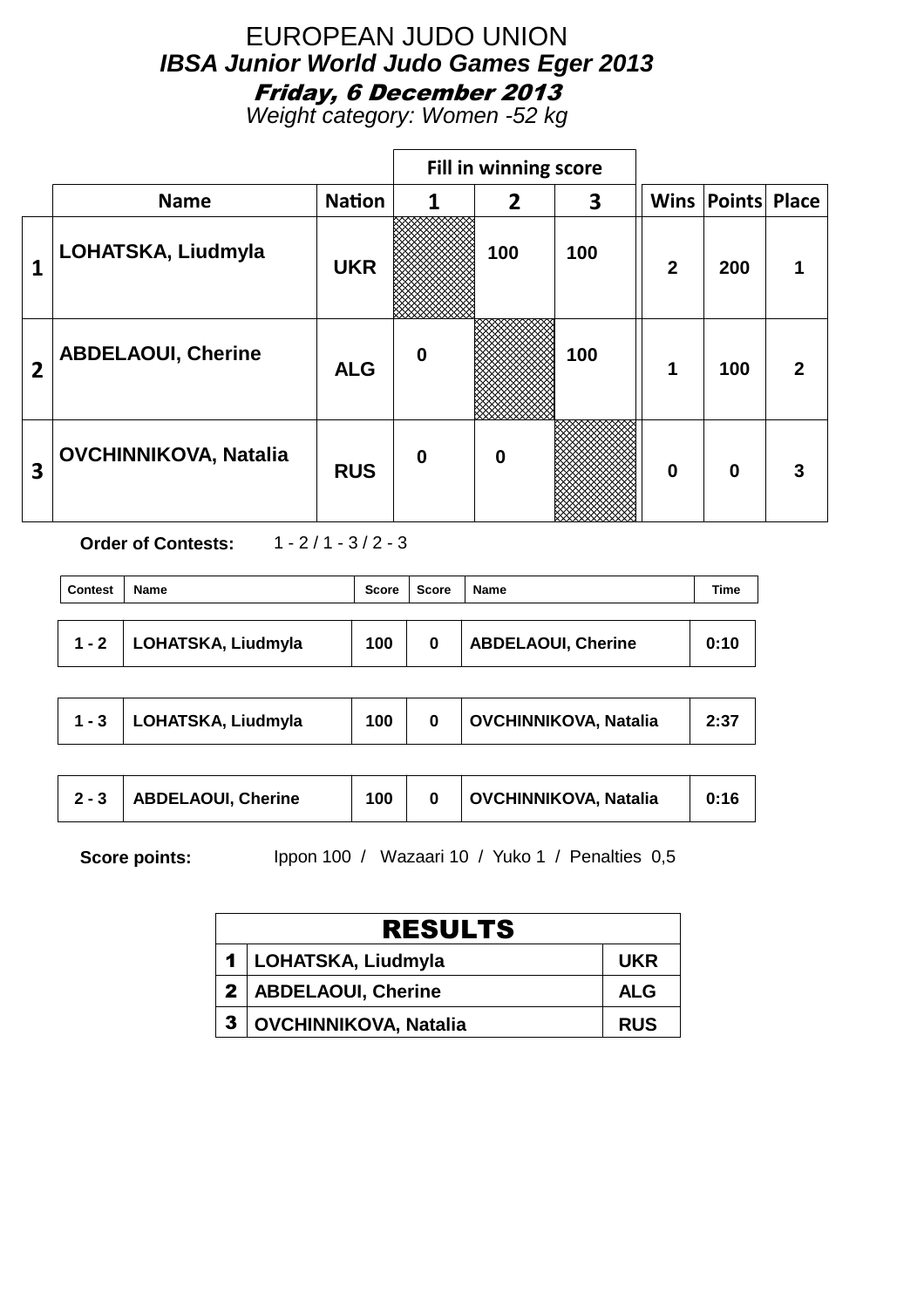Weight category: Women -52 kg

|                |                              |               |          | Fill in winning score |     |              |                          |              |
|----------------|------------------------------|---------------|----------|-----------------------|-----|--------------|--------------------------|--------------|
|                | <b>Name</b>                  | <b>Nation</b> | 1        | $\overline{2}$        | 3   |              | <b>Wins Points Place</b> |              |
| 1              | LOHATSKA, Liudmyla           | <b>UKR</b>    |          | 100                   | 100 | $\mathbf{2}$ | 200                      |              |
| $\overline{2}$ | <b>ABDELAOUI, Cherine</b>    | <b>ALG</b>    | $\bf{0}$ |                       | 100 | 1            | 100                      | $\mathbf{2}$ |
| 3              | <b>OVCHINNIKOVA, Natalia</b> | <b>RUS</b>    | $\bf{0}$ | $\bf{0}$              |     | $\bf{0}$     | $\mathbf 0$              |              |

**Order of Contests:** 1 - 2 / 1 - 3 / 2 - 3

| <b>Contest</b> | <b>Name</b>                | <b>Score</b> | <b>Score</b> | <b>Name</b>        | Time |
|----------------|----------------------------|--------------|--------------|--------------------|------|
|                | 1 - 2   LOHATSKA, Liudmyla | 100          | 0            | ABDELAOUI, Cherine | 0:10 |

| <b>OVCHINNIKOVA, Natalia</b><br>1 - 3   LOHATSKA, Liudmyla<br>100 | 2:37 |
|-------------------------------------------------------------------|------|
|-------------------------------------------------------------------|------|

| <b>OVCHINNIKOVA, Natalia</b><br><b>ABDELAOUI, Cherine</b><br>100<br>$2 - 3$ | 0:16 |
|-----------------------------------------------------------------------------|------|
|-----------------------------------------------------------------------------|------|

| <b>RESULTS</b>               |            |  |  |  |  |
|------------------------------|------------|--|--|--|--|
| 1 LOHATSKA, Liudmyla         | <b>UKR</b> |  |  |  |  |
| 2   ABDELAOUI, Cherine       | <b>ALG</b> |  |  |  |  |
| <b>OVCHINNIKOVA, Natalia</b> | <b>RUS</b> |  |  |  |  |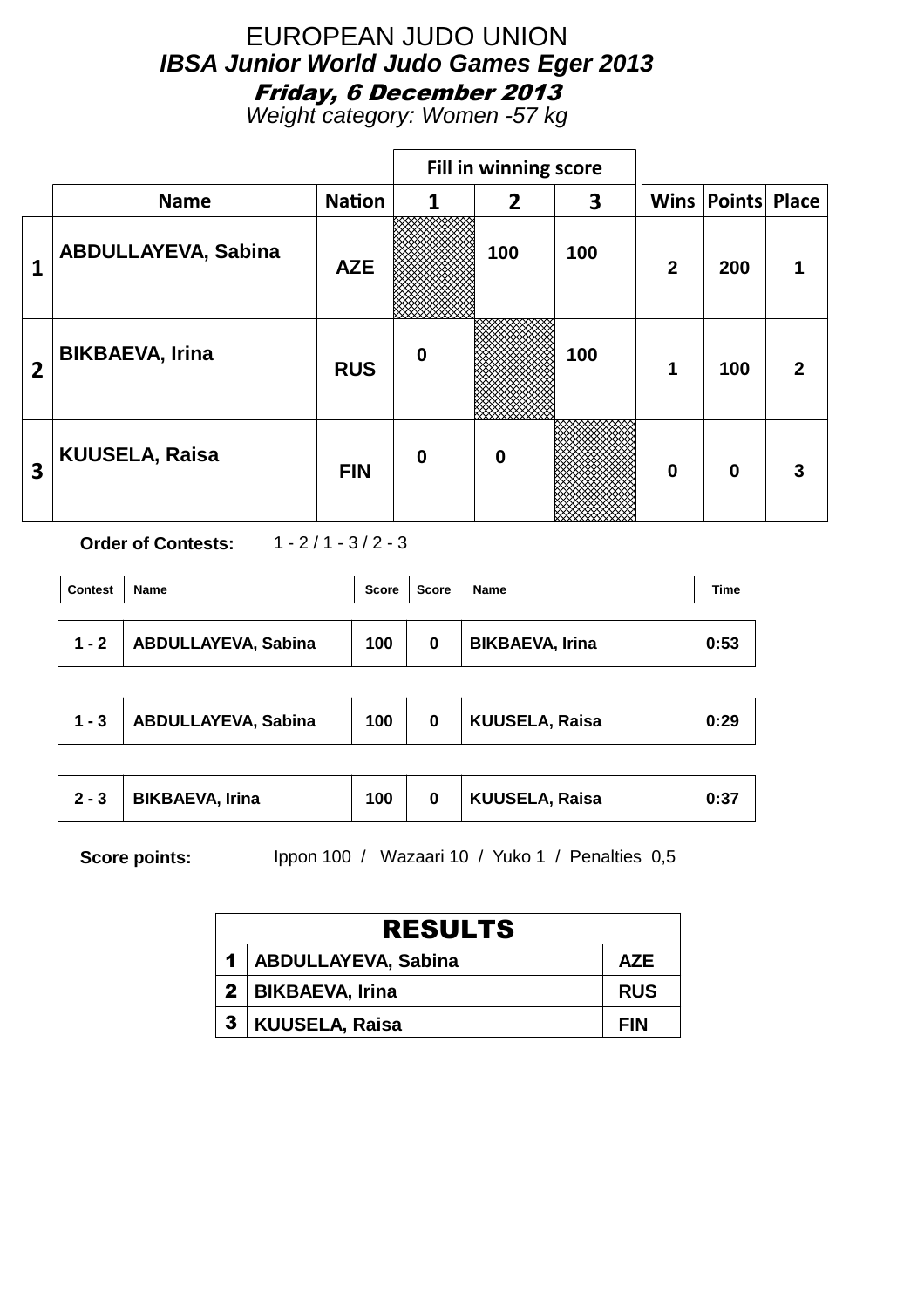Weight category: Women -57 kg

|                |                            |               | Fill in winning score |                  |     |                |                       |                  |
|----------------|----------------------------|---------------|-----------------------|------------------|-----|----------------|-----------------------|------------------|
|                | <b>Name</b>                | <b>Nation</b> | 1                     | $\overline{2}$   | 3   |                | Wins   Points   Place |                  |
| 1              | <b>ABDULLAYEVA, Sabina</b> | <b>AZE</b>    |                       | 100              | 100 | $\overline{2}$ | 200                   |                  |
| $\overline{2}$ | <b>BIKBAEVA, Irina</b>     | <b>RUS</b>    | $\mathbf 0$           |                  | 100 | 1              | 100                   | $\boldsymbol{p}$ |
| 3              | <b>KUUSELA, Raisa</b>      | <b>FIN</b>    | $\bf{0}$              | $\boldsymbol{0}$ |     | $\mathbf 0$    | $\bf{0}$              | 3                |

**Order of Contests:** 1 - 2 / 1 - 3 / 2 - 3

| <b>Contest</b> | <b>Name</b>         | Score | Score | Name                   | Time |
|----------------|---------------------|-------|-------|------------------------|------|
| $1 - 2$        | ABDULLAYEVA, Sabina | 100   | 0     | <b>BIKBAEVA, Irina</b> | 0:53 |

| $1 - 3$ | <b>ABDULLAYEVA, Sabina</b> | 100 |  | KUUSELA, Raisa | 0:29 |
|---------|----------------------------|-----|--|----------------|------|
|---------|----------------------------|-----|--|----------------|------|

| $2 - 3$ | <b>BIKBAEVA, Irina</b> | 100 |  | KUUSELA, Raisa | 0:37 |
|---------|------------------------|-----|--|----------------|------|
|---------|------------------------|-----|--|----------------|------|

| <b>RESULTS</b>          |            |  |  |  |  |
|-------------------------|------------|--|--|--|--|
| 1   ABDULLAYEVA, Sabina | <b>AZE</b> |  |  |  |  |
| 2   BIKBAEVA, Irina     | <b>RUS</b> |  |  |  |  |
| 3   KUUSELA, Raisa      | <b>FIN</b> |  |  |  |  |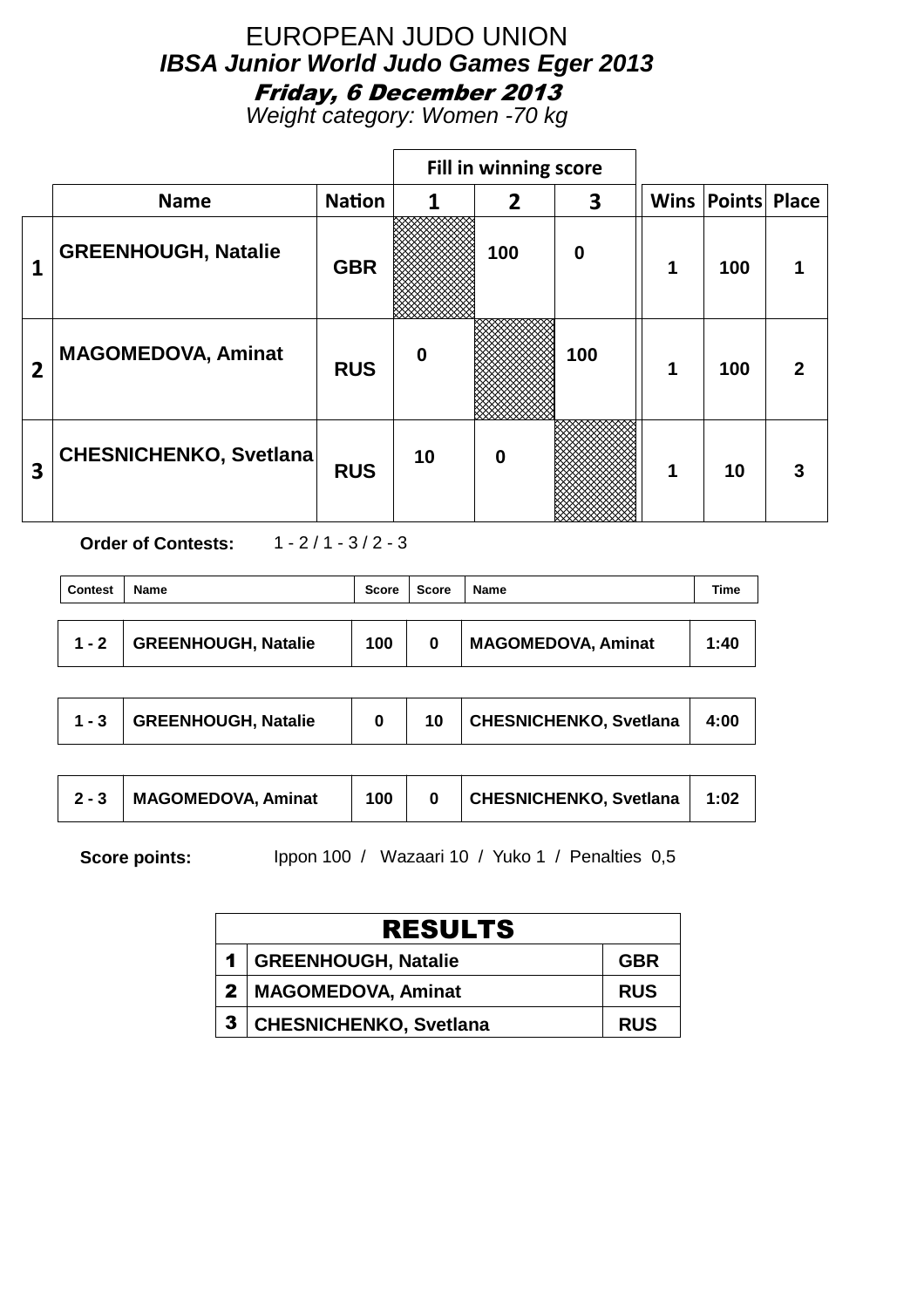Weight category: Women -70 kg

|                |                               |               |                  | Fill in winning score |             |   |                          |   |
|----------------|-------------------------------|---------------|------------------|-----------------------|-------------|---|--------------------------|---|
|                | <b>Name</b>                   | <b>Nation</b> | 1                | 2                     | 3           |   | <b>Wins Points Place</b> |   |
|                | <b>GREENHOUGH, Natalie</b>    | <b>GBR</b>    |                  | 100                   | $\mathbf 0$ | 1 | 100                      |   |
| $\overline{2}$ | <b>MAGOMEDOVA, Aminat</b>     | <b>RUS</b>    | $\boldsymbol{0}$ |                       | 100         | 1 | 100                      | 2 |
| 3              | <b>CHESNICHENKO, Svetlana</b> | <b>RUS</b>    | 10               | 0                     |             | 1 | 10                       |   |

**Order of Contests:** 1 - 2 / 1 - 3 / 2 - 3

| <b>Contest</b> | <b>Name</b>                | <b>Score</b> | <b>Score</b> | Name                      | Time |
|----------------|----------------------------|--------------|--------------|---------------------------|------|
| $1 - 2$        | <b>GREENHOUGH, Natalie</b> | 100          | 0            | <b>MAGOMEDOVA, Aminat</b> | 1:40 |

| $-1 - 3$ | GREENHOUGH, Natalie |  |  | CHESNICHENKO, Svetlana | 4:00 |
|----------|---------------------|--|--|------------------------|------|
|----------|---------------------|--|--|------------------------|------|

| CHESNICHENKO, Svetlana<br><b>MAGOMEDOVA, Aminat</b><br>100<br>1:02<br>$2 - 3$ |
|-------------------------------------------------------------------------------|
|-------------------------------------------------------------------------------|

| <b>RESULTS</b>                |            |
|-------------------------------|------------|
| 1   GREENHOUGH, Natalie       | <b>GBR</b> |
| 2   MAGOMEDOVA, Aminat        | <b>RUS</b> |
| <b>CHESNICHENKO, Svetlana</b> | <b>RUS</b> |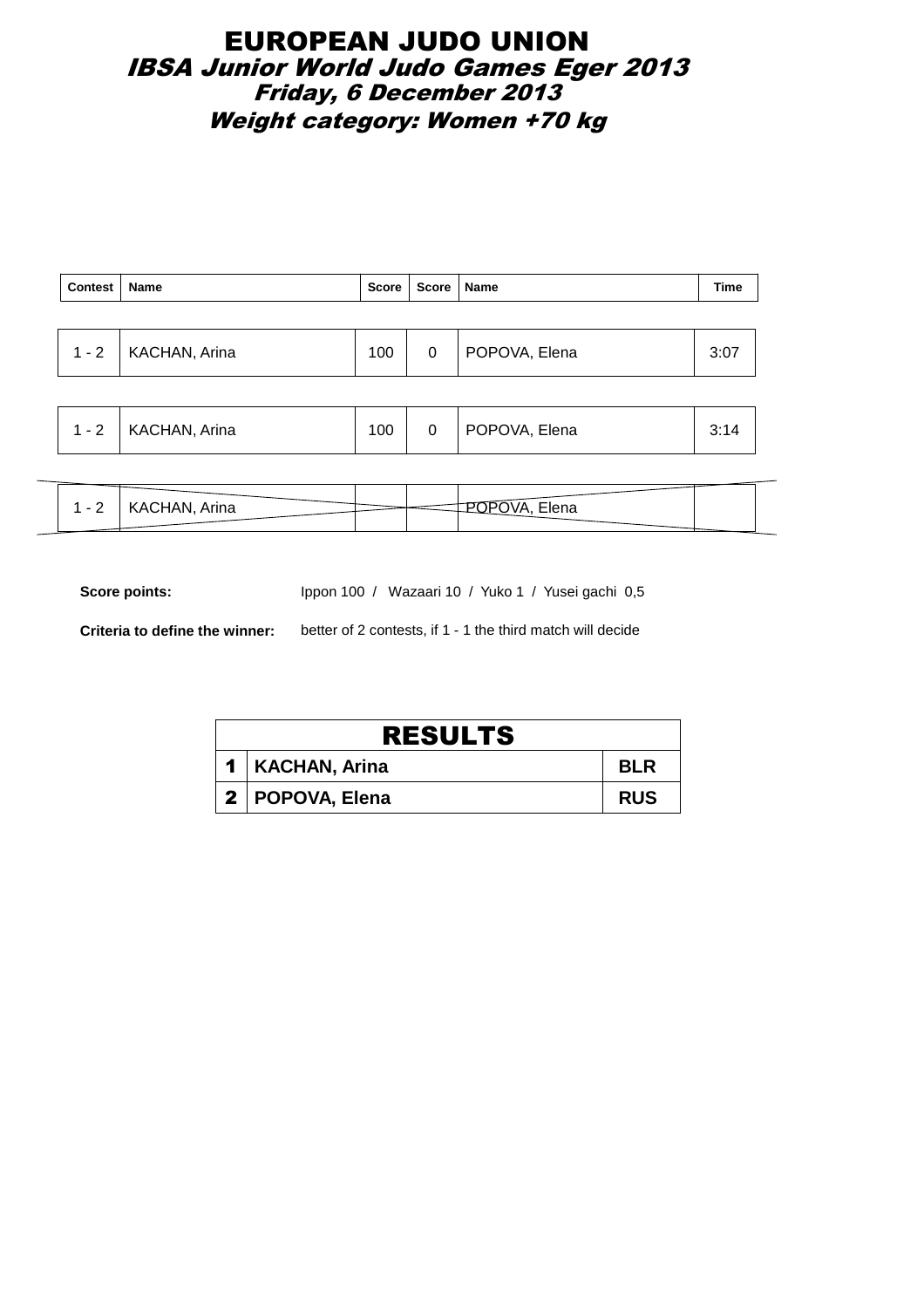### EUROPEAN JUDO UNION IBSA Junior World Judo Games Eger 2013 Friday, 6 December 2013 Weight category: Women +70 kg

| <b>Contest</b> | <b>Name</b>          | Score | Score   Name |               | <b>Time</b> |
|----------------|----------------------|-------|--------------|---------------|-------------|
|                |                      |       |              |               |             |
| $1 - 2$        | <b>KACHAN, Arina</b> | 100   | 0            | POPOVA, Elena | 3:07        |
|                |                      |       |              |               |             |
|                |                      |       |              |               |             |

|  | $1 - 2$ | KACHAN, Arina | 100 |  | POPOVA, Elena |  |  |
|--|---------|---------------|-----|--|---------------|--|--|
|--|---------|---------------|-----|--|---------------|--|--|

| HAN, Arina<br>1575117177<br><u>.</u> | $-1$<br>≒lena |
|--------------------------------------|---------------|
|                                      |               |

Score points: Ippon 100 / Wazaari 10 / Yuko 1 / Yusei gachi 0,5

**Criteria to define the winner:** better of 2 contests, if 1 - 1 the third match will decide

| <b>RESULTS</b>    |            |
|-------------------|------------|
| 1   KACHAN, Arina | <b>BLR</b> |
| 2   POPOVA, Elena | <b>RUS</b> |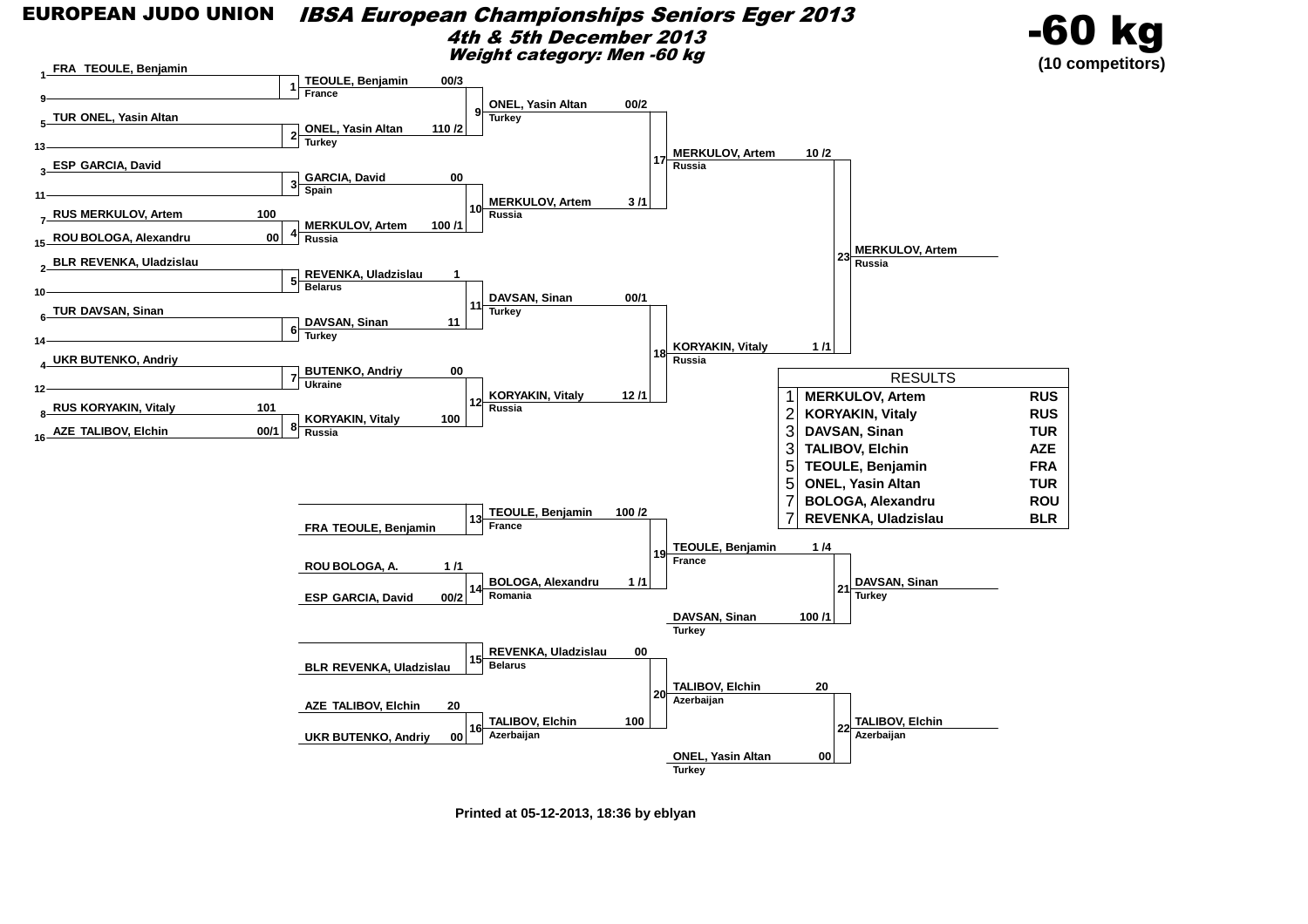#### EUROPEAN JUDO UNION IBSA European Championships Seniors Eger 20134th & 5th December 2013Weight category: Men -60 kg

![](_page_33_Picture_1.jpeg)

![](_page_33_Figure_2.jpeg)

**Printed at 05-12-2013, 18:36 by eblyan**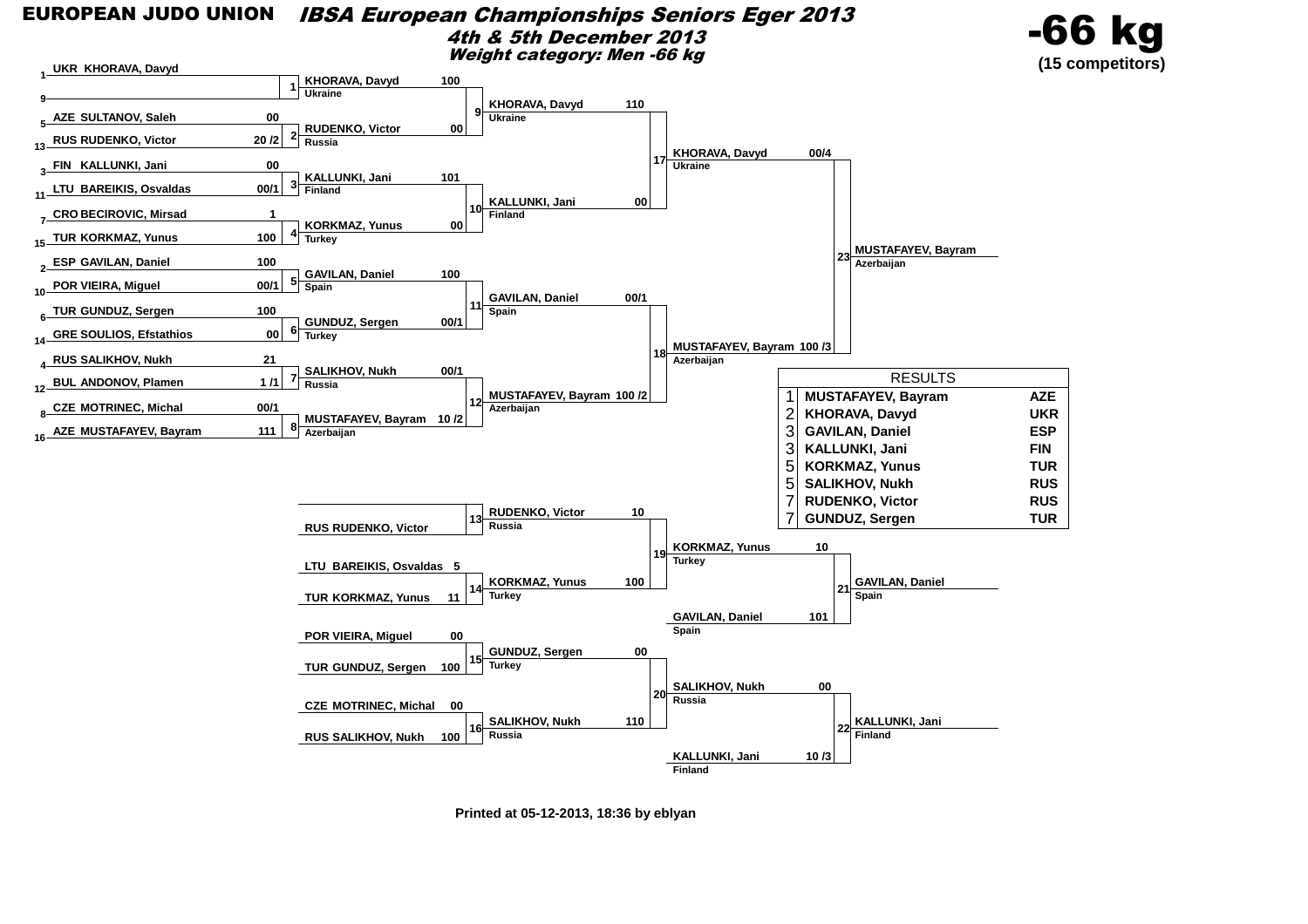![](_page_34_Figure_0.jpeg)

![](_page_34_Figure_1.jpeg)

![](_page_34_Figure_2.jpeg)

**Printed at 05-12-2013, 18:36 by eblyan**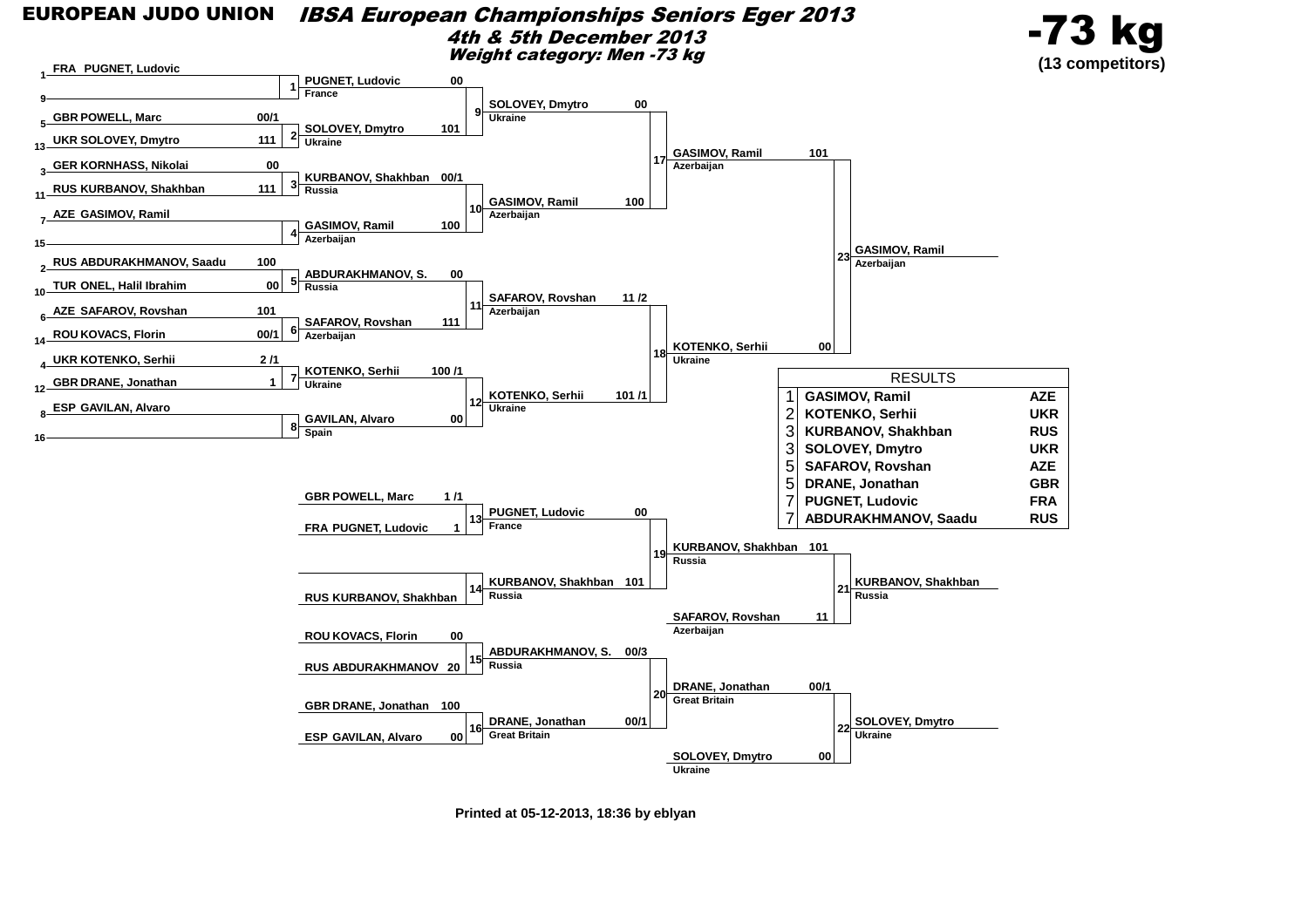![](_page_35_Figure_0.jpeg)

**Printed at 05-12-2013, 18:36 by eblyan**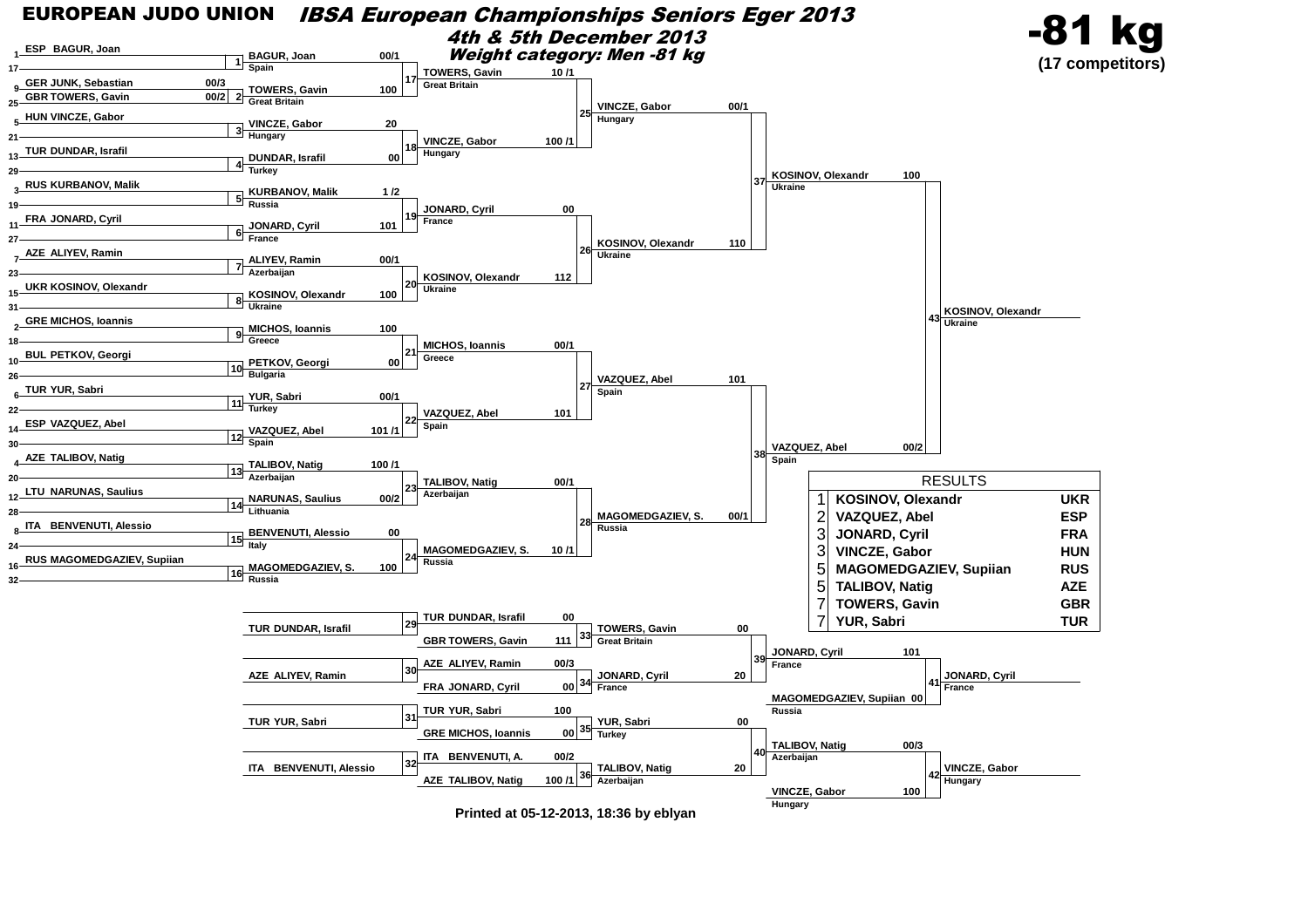![](_page_36_Figure_0.jpeg)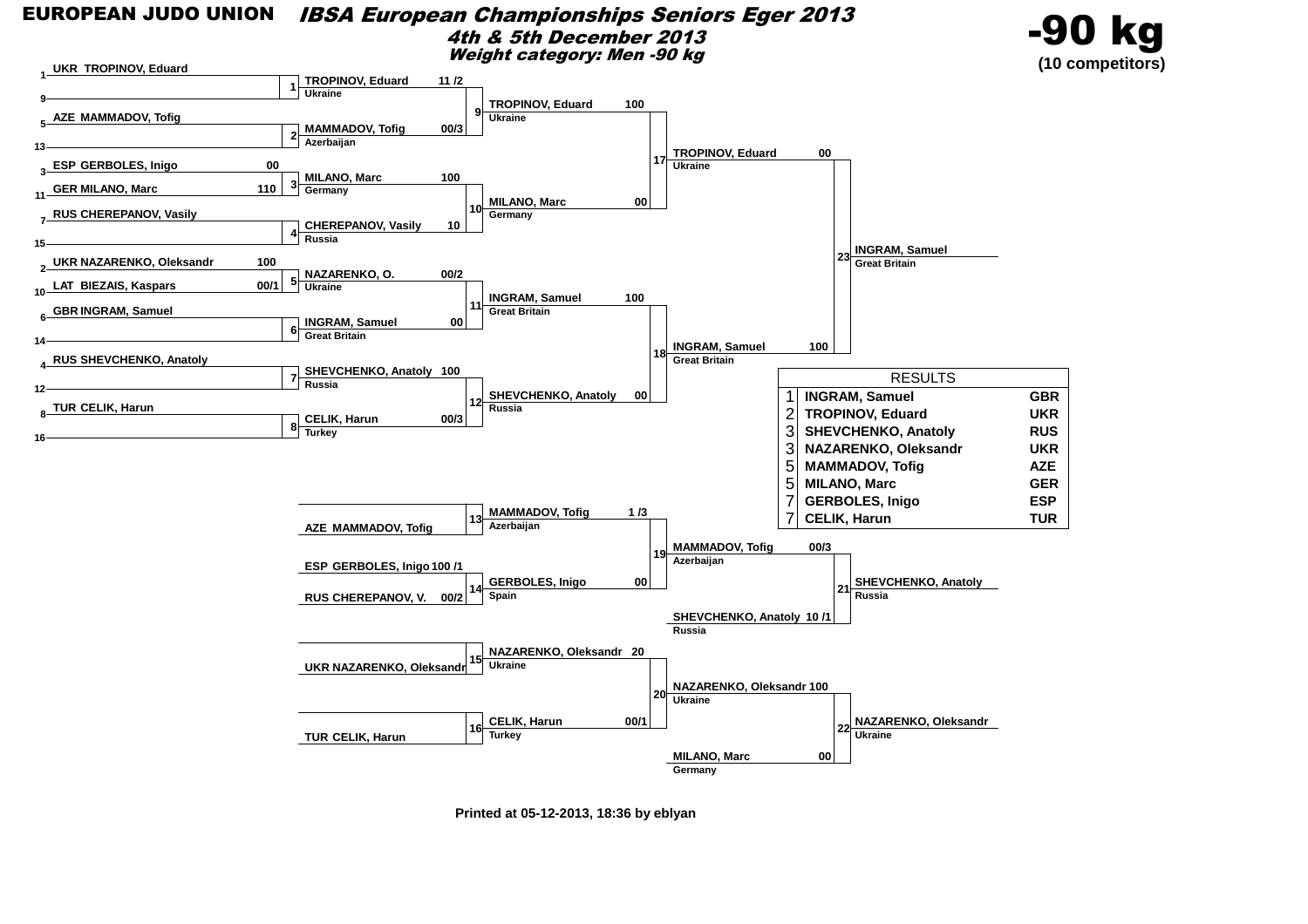![](_page_37_Figure_0.jpeg)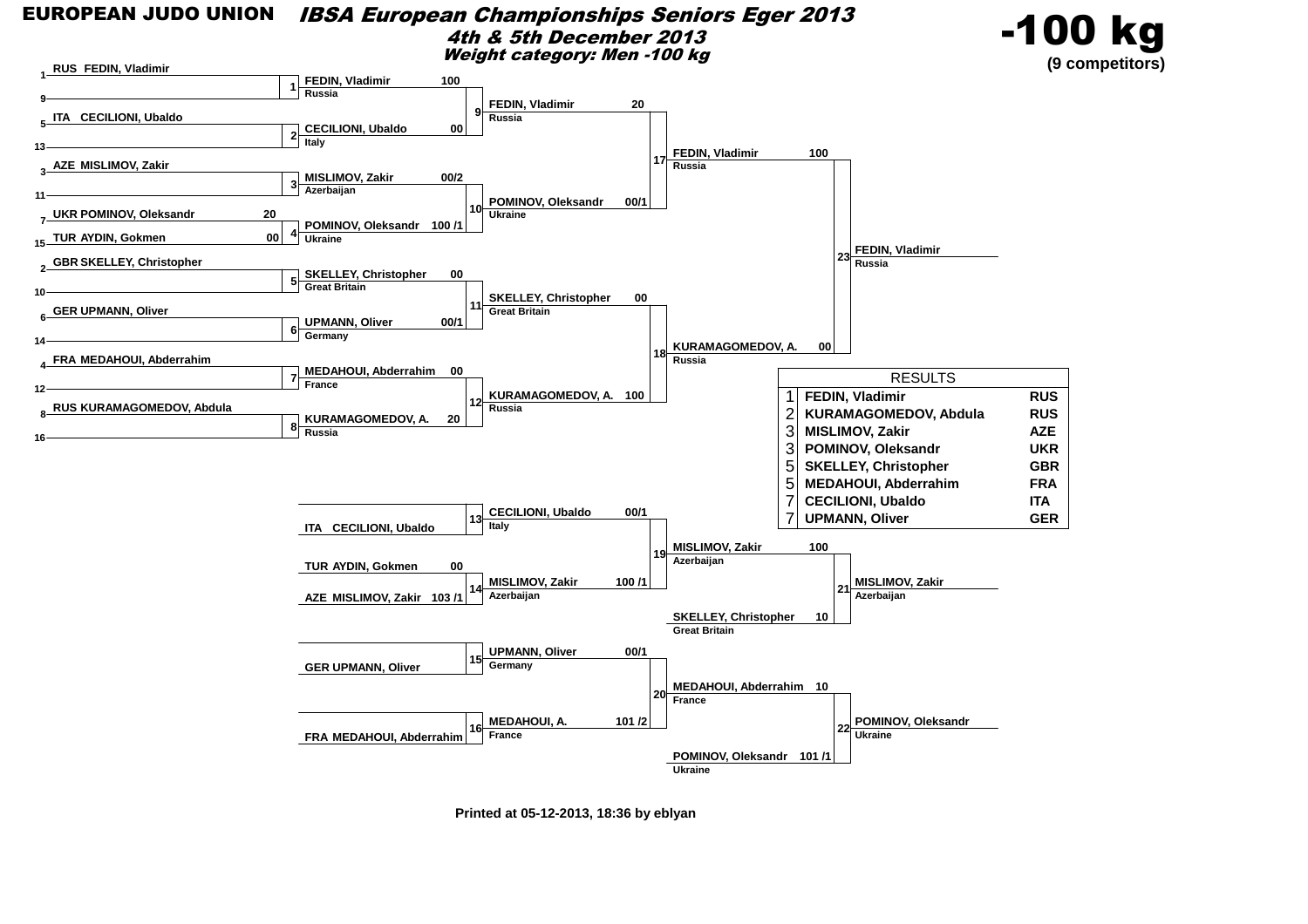#### EUROPEAN JUDO UNION IBSA European Championships Seniors Eger 20134th & 5th December 2013Weight category: Men -100 kg

![](_page_38_Picture_1.jpeg)

![](_page_38_Figure_2.jpeg)

**Printed at 05-12-2013, 18:36 by eblyan**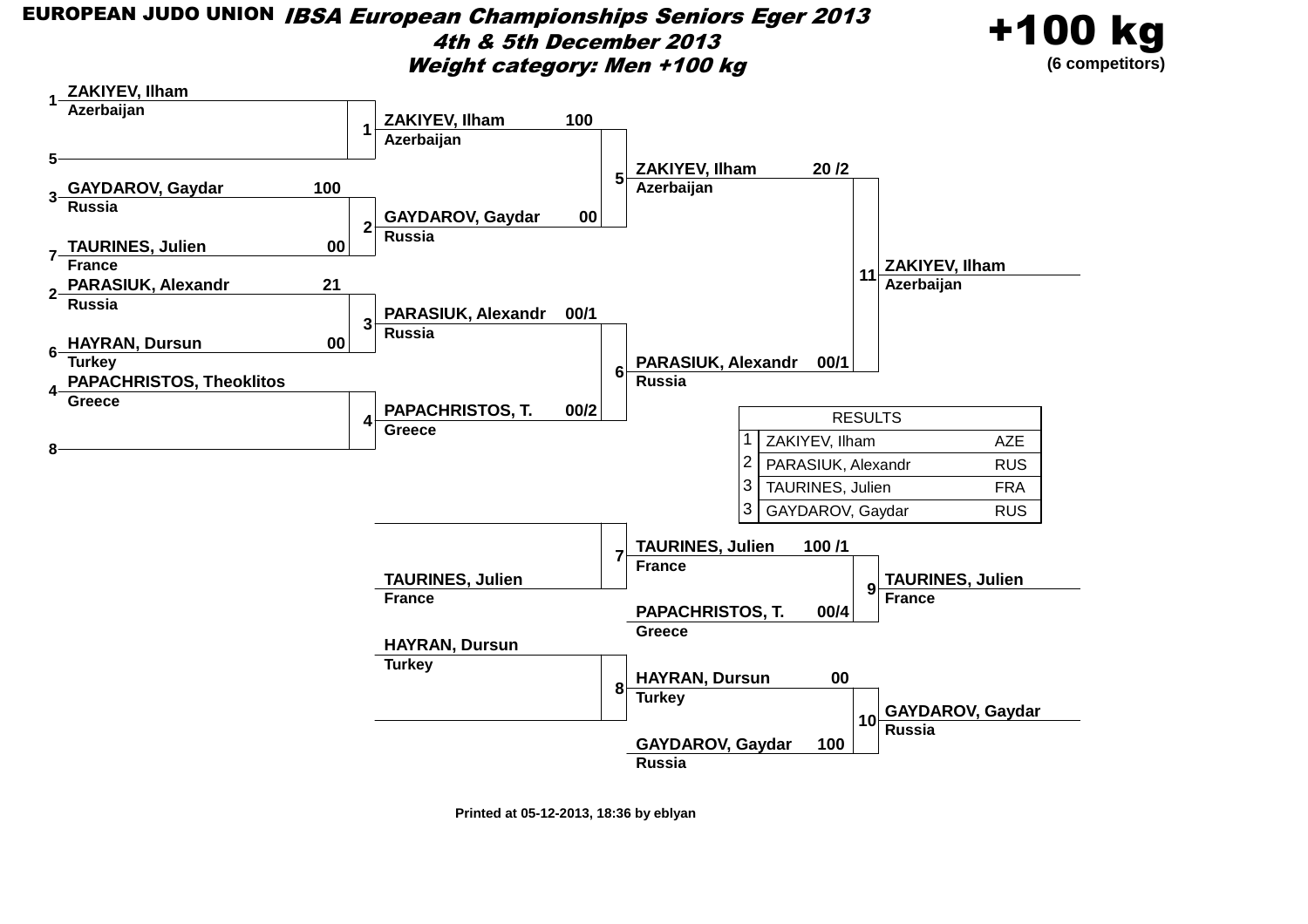#### EUROPEAN JUDO UNION IBSA European Championships Seniors Eger 20134th & 5th December 2013Weight category: Men +100 kg

![](_page_39_Picture_1.jpeg)

![](_page_39_Figure_2.jpeg)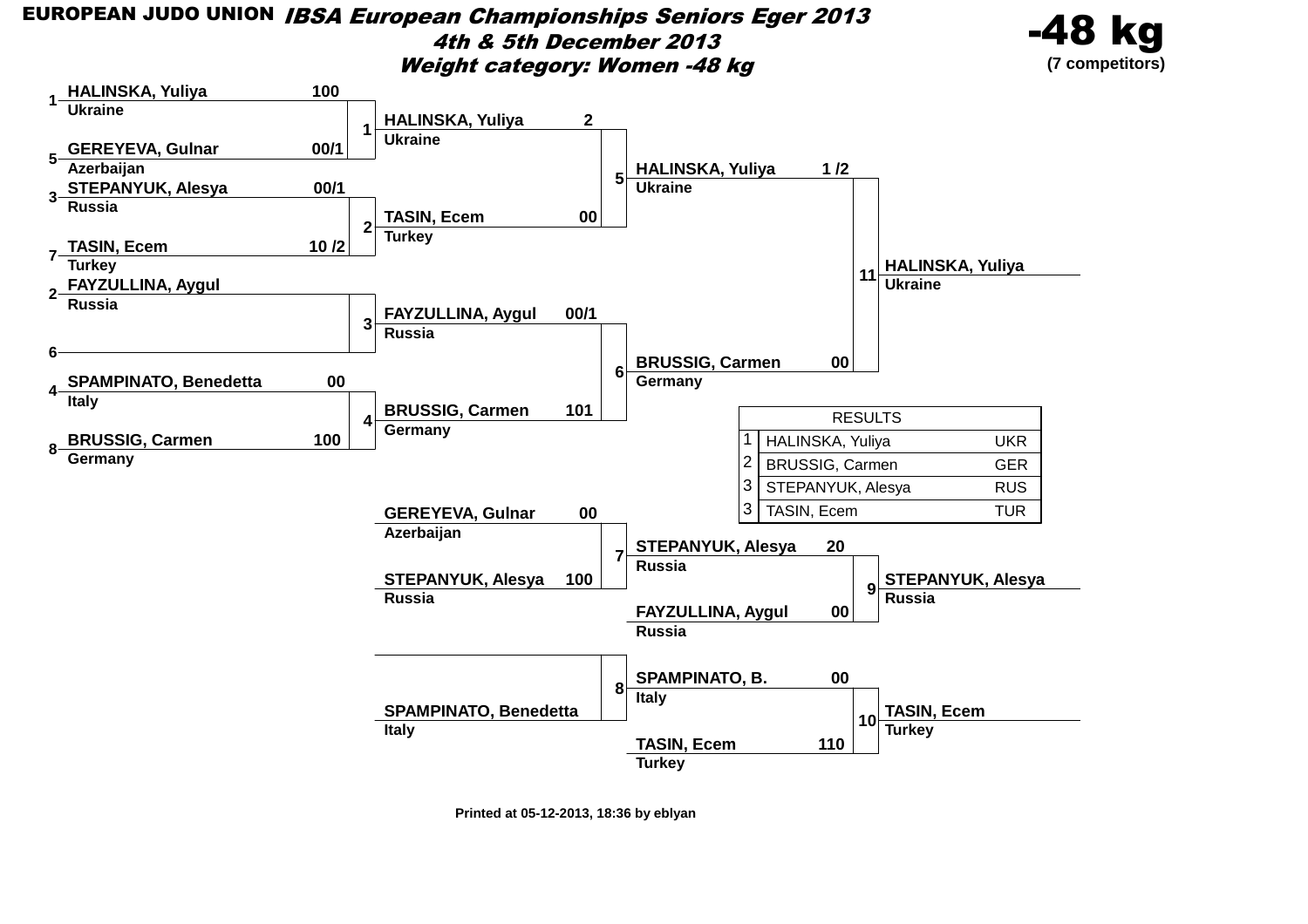EUROPEAN JUDO UNION IBSA European Championships Seniors Eger 20134th & 5th December 2013Weight category: Women -48 kg

![](_page_40_Picture_1.jpeg)

![](_page_40_Figure_2.jpeg)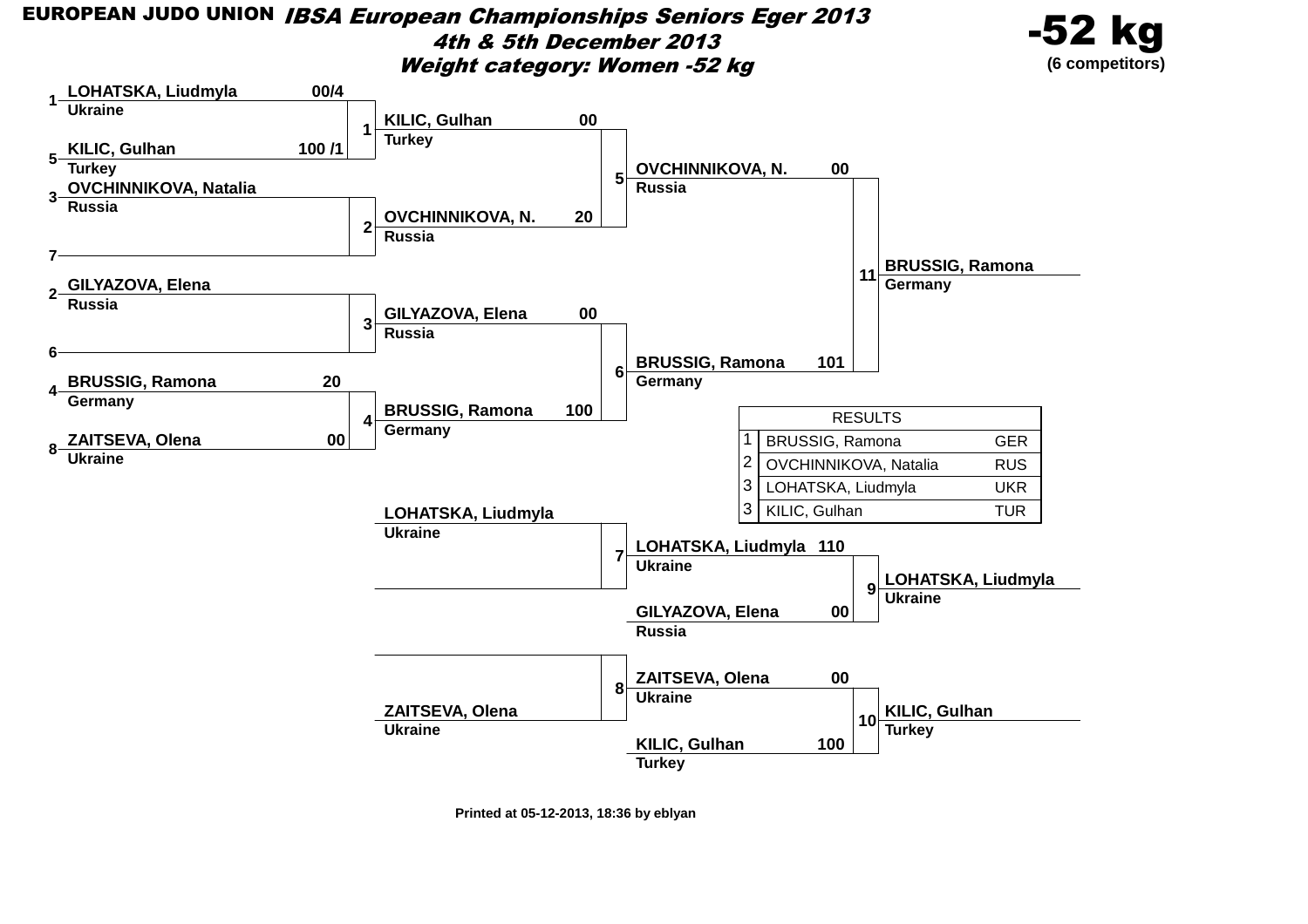EUROPEAN JUDO UNION IBSA European Championships Seniors Eger 20134th & 5th December 2013Weight category: Women -52 kg

![](_page_41_Picture_1.jpeg)

![](_page_41_Figure_2.jpeg)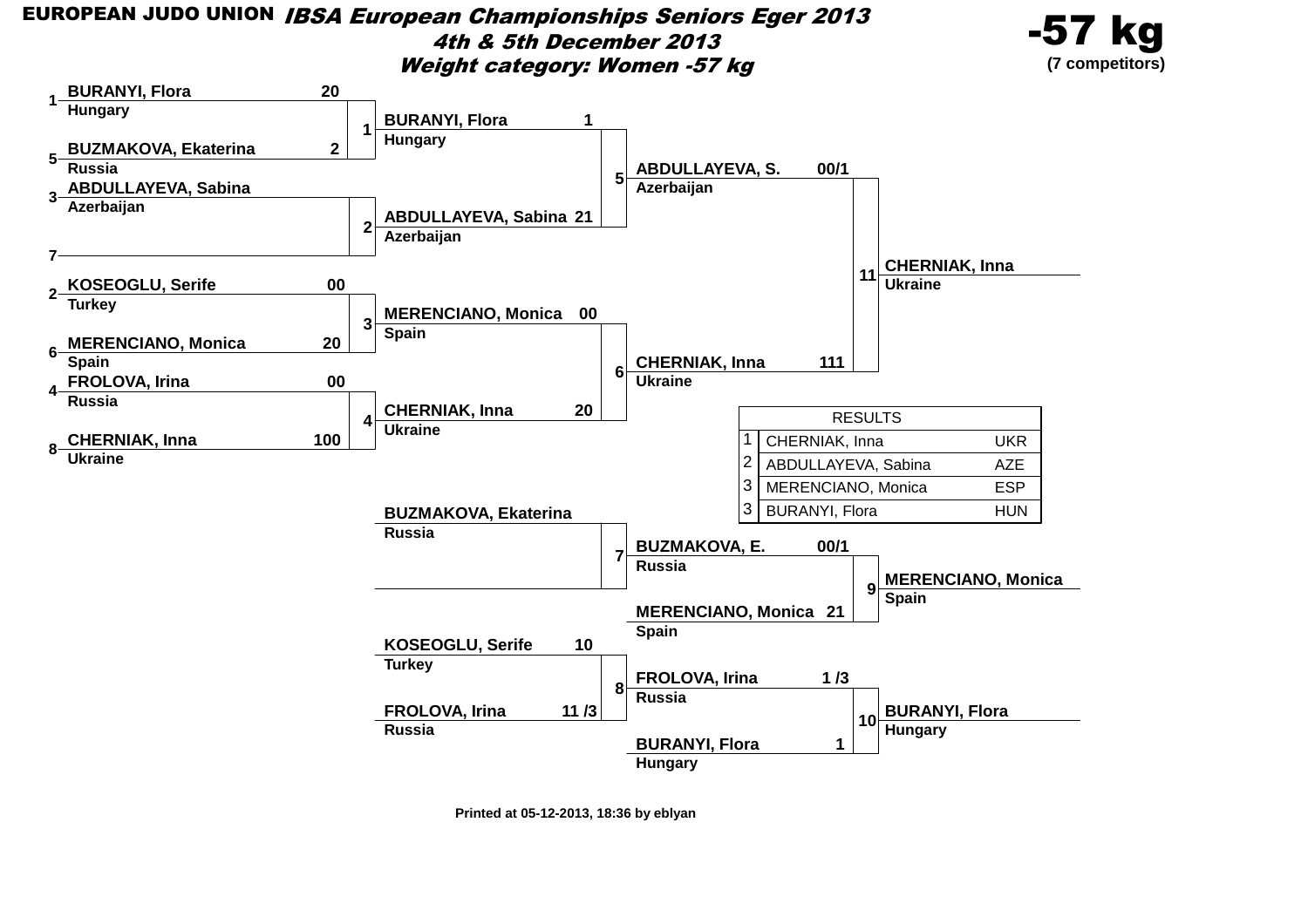EUROPEAN JUDO UNION IBSA European Championships Seniors Eger 20134th & 5th December 2013Weight category: Women -57 kg

![](_page_42_Figure_1.jpeg)

![](_page_42_Figure_2.jpeg)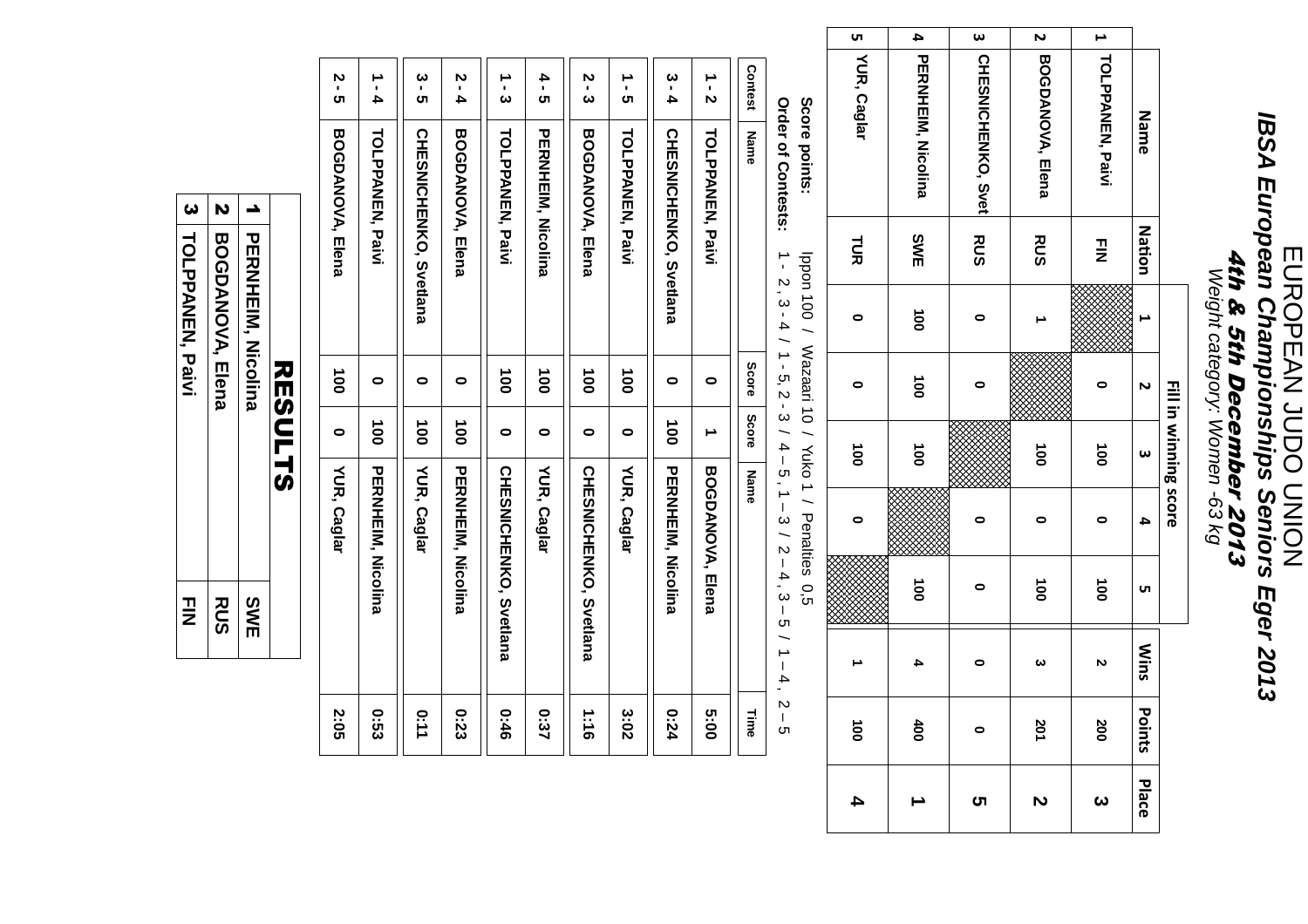## EUROPEAN JUDO UNIONEUROPEAN JUDO UNION **IBSA European Championships Seniors Eger 2013**IBSA European Championships Seniors Eger 2013 4th & 5th December 2013 Weight category: Women -63 kg4th & 5th December 2013<br>Weight category: Women -63 kg

| Nation<br>N<br>ω                                                                | Fill in winning score<br>4 | UΠ              |
|---------------------------------------------------------------------------------|----------------------------|-----------------|
| $\frac{1}{2}$                                                                   | 0                          | $\overline{0}0$ |
|                                                                                 |                            |                 |
| $\frac{1}{2}$                                                                   | 0                          |                 |
|                                                                                 |                            |                 |
| <b>Mins</b><br>N                                                                |                            |                 |
| $\overline{0}$<br>$\boldsymbol{\omega}$<br>$\overline{S}$<br>200<br>201<br>ints |                            |                 |

**Score points:**Score points: Ippon 100 / Wazaari 10 / Yuko 1 / Penalties 0,5Ippon 100 / Wazaari 10 / Yuko 1 / Penalties 0,5

**Order of Contests:**Order of Contests: 1 - 2 , 3 - 4 / 1 - 5, 2 - 3 / 4 – 5 , 1 – 3 / 2 – 4 , 3 – 5 / 1 – 4 , 2 – 51 - 2, 3 - 4 / 1 - 5, 2 - 3 / 4 - 5, 1 - 3 / 2 - 4, 3 - 5 / 1 - 4, 2 - 5

| <b>2:05</b> | YUR, Caglar                   | 0             | $\frac{1}{2}$ | <b>BOGDANOVA, Flena</b>       | <br>ს<br>თ  |
|-------------|-------------------------------|---------------|---------------|-------------------------------|-------------|
| 0:53        | PERNHEIN, Nicolina            | $\frac{1}{9}$ | 0             | <b>TOLPANEN, Paivi</b>        | $1 - 4$     |
| 0:11        | YUR, Caglar                   | $\vec{0}$     | 0             | <b>CHESNICHENKO, Svetlana</b> | ပ<br>၁<br>၁ |
| 0:23        | PERNHEIN, Nicolina            | à             | 0             | <b>BOGDANOVA, Elena</b>       | 5 - 4       |
| 0:46        | <b>CHESNICHENKO, Svettana</b> | 0             | $\frac{1}{9}$ | <b>TOLPANEN, Paivi</b>        | ー・こ         |
| 0:37        | YUR, Caglar                   | 0             | $\vec{0}$     | <b>PERNHEIN, Nicolina</b>     | 4 - 2       |
| 1:16        | <b>CHESNICHENKO, Svettana</b> | 0             | $\frac{1}{9}$ | BOGDANOVA, Elena              | 2 - 2       |
| 3:02        | YUR, Caglar                   | 0             | $\frac{1}{2}$ | <b>TOLPANEN, Paivi</b>        | ー<br>い      |
| 0:24        | PERNHEIN, Nicolina            | $\vec{0}$     | 0             | <b>CHESNICHENKO, Svetlana</b> | $3 - 4$     |
| <b>00:9</b> | <b>BOGDANOVA, Elena</b>       |               | 0             | <b>HOLPPANEN, Parki</b>       | ーー          |
| Time        | Name                          | Score         | Score         | Name                          | Contest     |

|                   | N                       |                     |                |
|-------------------|-------------------------|---------------------|----------------|
| 3 TOLPANEN, Parki | <b>BOGDANOVA, Elena</b> | │PERNHEIM, Nicolina | <b>RESULTS</b> |
| 그<br>기            | <b>RUS</b>              | SWE                 |                |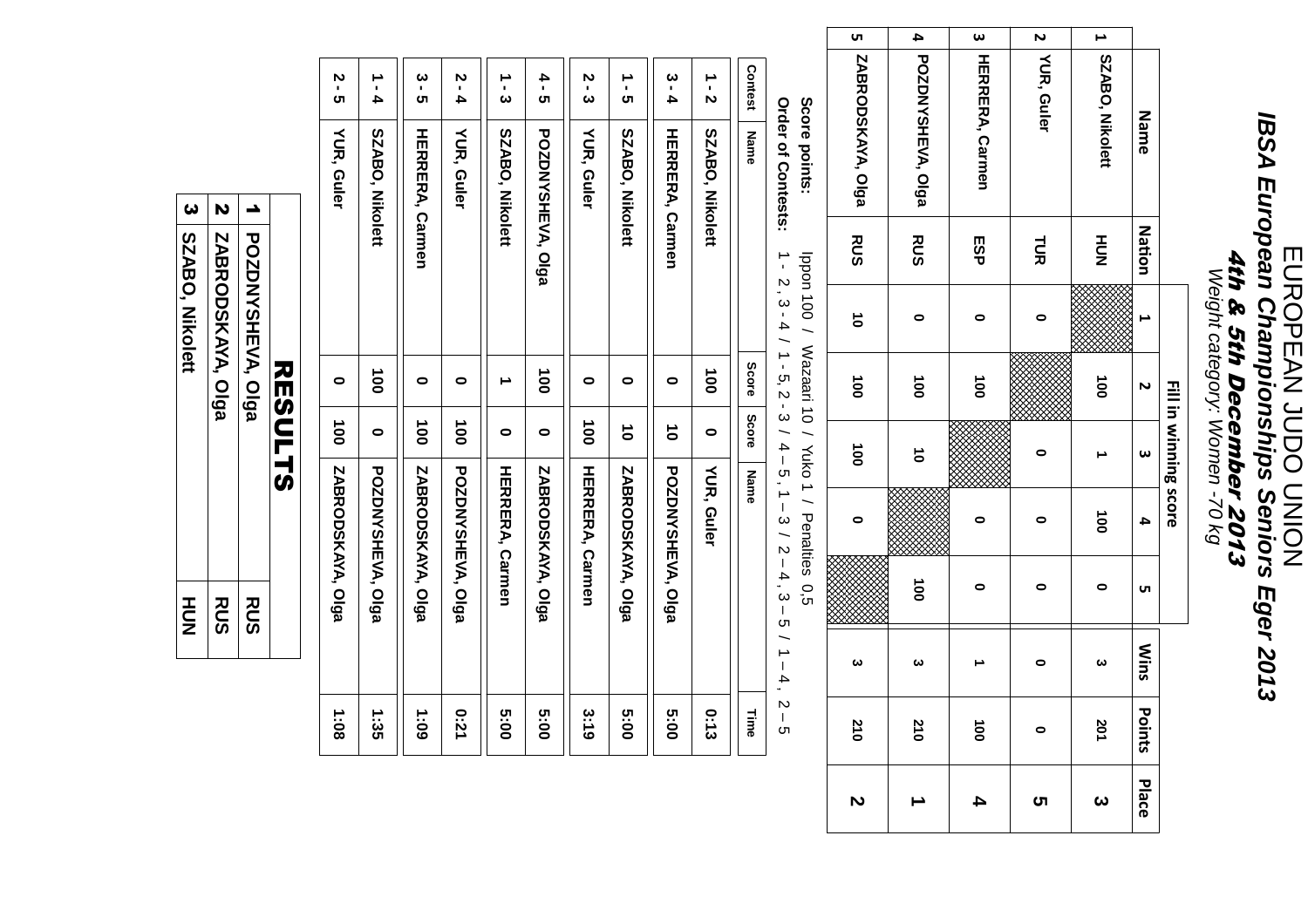# EUROPEAN JUDO UNIONEUROPEAN JUDO UNION **IBSA European Championships Seniors Eger 2013**4th & 5th December 2013 Weight category: Women -70 kg

| uл                    |                       | $\omega$               |              |                       |                        |                       |
|-----------------------|-----------------------|------------------------|--------------|-----------------------|------------------------|-----------------------|
| ZABRODSKAYA, Olga     | 4 POZDNYSHEVA, Olga   | <b>HERRERA, Carmen</b> | 2 YUR, Guler | 1 SZABO, Nikolett     | Name                   |                       |
| RUS                   | RUS                   | ESP                    | 1a           | HU<br>N               | Nation                 |                       |
| $\vec{0}$             | 0                     | 0                      |              |                       |                        |                       |
| $\overrightarrow{00}$ | $\overrightarrow{00}$ | $\vec{0}$              |              | $\vec{0}$             |                        |                       |
| $\overrightarrow{00}$ | $\vec{0}$             |                        |              |                       | ω                      | Fill in winning score |
| 0                     |                       | 0                      | 0            | $\overrightarrow{00}$ | 4                      |                       |
|                       | $\overrightarrow{00}$ | 0                      | 0            | 0                     | UП                     |                       |
| ယ                     | $\boldsymbol{\omega}$ |                        | 0            | ယ                     | <b>Mins</b>            |                       |
| ž<br>ä                | <b>210</b>            | 8                      | $\bullet$    | 201                   | $\overline{S}$<br>ints |                       |
| N                     |                       | 4                      | ເກ           | ω                     | Place                  |                       |

**Score points:**Score points: Ippon 100 / Wazaari 10 / Yuko 1 / Penalties 0,5

**Order of Contests:**Order of Contests: 1 - 2 , 3 - 4 / 1 - 5, 2 - 3 / 4 – 5 , 1 – 3 / 2 – 4 , 3 – 5 / 1 – 4 , 2 – 5

| <b>Contest</b>                  | <b>Name</b>              | Score         | Score         | Name                   | Time        |
|---------------------------------|--------------------------|---------------|---------------|------------------------|-------------|
| ーこ                              | SZABO, Nikolett          | $\frac{1}{2}$ | $\bullet$     | YUR, Guler             | 0:13        |
| $\boldsymbol{\omega}$<br>-<br>4 | <b>HERRERA, Corriner</b> | 0             | $\vec{0}$     | POZDNYSHEVA, Olga      | 00:5        |
| →<br>ن                          | SZABO, Nikolett          | 0             | $\vec{0}$     | ZABRODSKAYA, Olga      | 00:5        |
| 2 - 2                           | <b>NUR, Guler</b>        | 0             | $\vec{0}$     | <b>HERRERA, Carmen</b> | 3:19        |
| 4 - 2                           | <b>POZDNYSHEVA, Olga</b> | $\frac{1}{2}$ | 0             | ZABRODSKAYA, Olga      | 00:5        |
| ー・3                             | SZABO, Nikolett          |               | 0             | <b>HERRERA, Carmen</b> | <b>00:3</b> |
| 5 - 4                           | YUR, Guler               | 0             | $\vec{0}$     | POZDNYSHEVA, Olga      | 12:0        |
| ပ<br>၁<br>၁                     | <b>HERRERA, Carmen</b>   | 0             | $\vec{0}$     | ZABRODSKAYA, Olga      | 60:1        |
| ∸<br>.<br>4                     | SZABO, Nikolett          | $\frac{1}{2}$ | 0             | POZDNYSHEVA, Olga      | 1:35        |
| 7 - ე                           | YUR, Guler               | $\bullet$     | $\frac{1}{9}$ | ZABRODSKAYA, Olga      | 1:08        |

| $\boldsymbol{\omega}$<br>N<br><b>POZDNYSHEVA, Olga</b><br>SZABO, Nikolett<br>ZABRODSKAYA, Olga<br><b>RUS</b><br><b>RUS</b><br>HU<br>N | <b>RESULTS</b> |  |
|---------------------------------------------------------------------------------------------------------------------------------------|----------------|--|
|                                                                                                                                       |                |  |
|                                                                                                                                       |                |  |
|                                                                                                                                       |                |  |